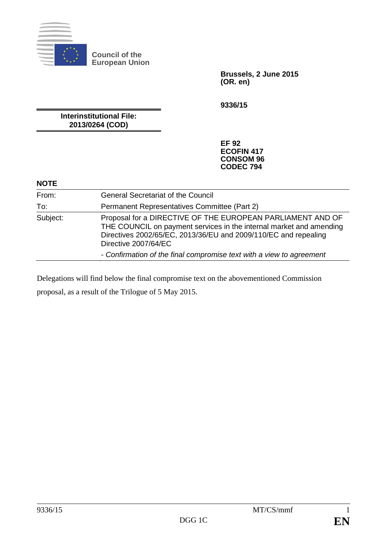

**Council of the European Union**

> **Brussels, 2 June 2015 (OR. en)**

**9336/15**

**Interinstitutional File: 2013/0264 (COD)**

> **EF 92 ECOFIN 417 CONSOM 96 CODEC 794**

#### **NOTE**

| From:    | <b>General Secretariat of the Council</b>                                                                                                                                                                                    |
|----------|------------------------------------------------------------------------------------------------------------------------------------------------------------------------------------------------------------------------------|
| To:      | Permanent Representatives Committee (Part 2)                                                                                                                                                                                 |
| Subject: | Proposal for a DIRECTIVE OF THE EUROPEAN PARLIAMENT AND OF<br>THE COUNCIL on payment services in the internal market and amending<br>Directives 2002/65/EC, 2013/36/EU and 2009/110/EC and repealing<br>Directive 2007/64/EC |
|          | - Confirmation of the final compromise text with a view to agreement                                                                                                                                                         |

Delegations will find below the final compromise text on the abovementioned Commission proposal, as a result of the Trilogue of 5 May 2015.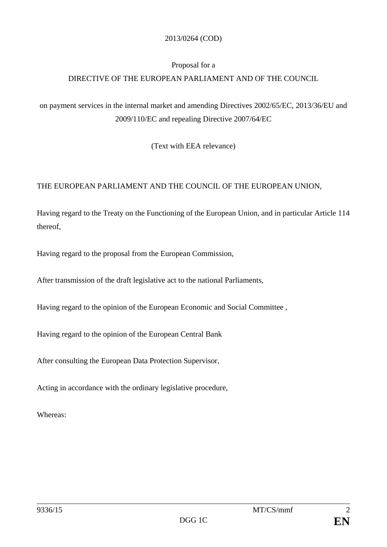#### 2013/0264 (COD)

### Proposal for a

# DIRECTIVE OF THE EUROPEAN PARLIAMENT AND OF THE COUNCIL

on payment services in the internal market and amending Directives 2002/65/EC, 2013/36/EU and 2009/110/EC and repealing Directive 2007/64/EC

(Text with EEA relevance)

## THE EUROPEAN PARLIAMENT AND THE COUNCIL OF THE EUROPEAN UNION,

Having regard to the Treaty on the Functioning of the European Union, and in particular Article 114 thereof,

Having regard to the proposal from the European Commission,

After transmission of the draft legislative act to the national Parliaments,

Having regard to the opinion of the European Economic and Social Committee ,

Having regard to the opinion of the European Central Bank

After consulting the European Data Protection Supervisor,

Acting in accordance with the ordinary legislative procedure,

Whereas: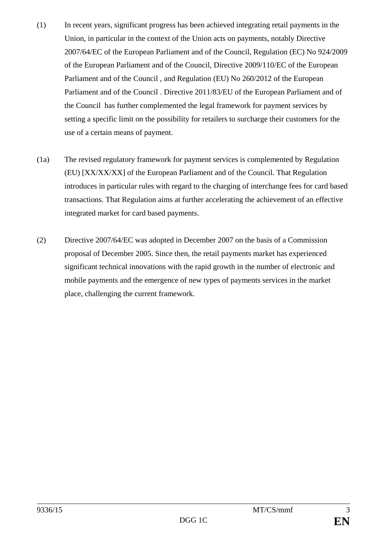- (1) In recent years, significant progress has been achieved integrating retail payments in the Union, in particular in the context of the Union acts on payments, notably Directive 2007/64/EC of the European Parliament and of the Council, Regulation (EC) No 924/2009 of the European Parliament and of the Council, Directive 2009/110/EC of the European Parliament and of the Council , and Regulation (EU) No 260/2012 of the European Parliament and of the Council . Directive 2011/83/EU of the European Parliament and of the Council has further complemented the legal framework for payment services by setting a specific limit on the possibility for retailers to surcharge their customers for the use of a certain means of payment.
- (1a) The revised regulatory framework for payment services is complemented by Regulation (EU) [XX/XX/XX] of the European Parliament and of the Council. That Regulation introduces in particular rules with regard to the charging of interchange fees for card based transactions. That Regulation aims at further accelerating the achievement of an effective integrated market for card based payments.
- (2) Directive 2007/64/EC was adopted in December 2007 on the basis of a Commission proposal of December 2005. Since then, the retail payments market has experienced significant technical innovations with the rapid growth in the number of electronic and mobile payments and the emergence of new types of payments services in the market place, challenging the current framework.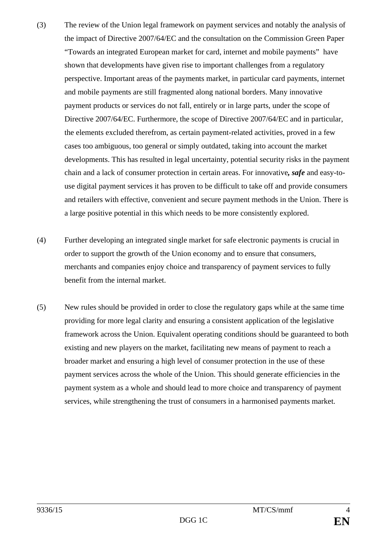- (3) The review of the Union legal framework on payment services and notably the analysis of the impact of Directive 2007/64/EC and the consultation on the Commission Green Paper "Towards an integrated European market for card, internet and mobile payments" have shown that developments have given rise to important challenges from a regulatory perspective. Important areas of the payments market, in particular card payments, internet and mobile payments are still fragmented along national borders. Many innovative payment products or services do not fall, entirely or in large parts, under the scope of Directive 2007/64/EC. Furthermore, the scope of Directive 2007/64/EC and in particular, the elements excluded therefrom, as certain payment-related activities, proved in a few cases too ambiguous, too general or simply outdated, taking into account the market developments. This has resulted in legal uncertainty, potential security risks in the payment chain and a lack of consumer protection in certain areas. For innovative*, safe* and easy-touse digital payment services it has proven to be difficult to take off and provide consumers and retailers with effective, convenient and secure payment methods in the Union. There is a large positive potential in this which needs to be more consistently explored.
- (4) Further developing an integrated single market for safe electronic payments is crucial in order to support the growth of the Union economy and to ensure that consumers, merchants and companies enjoy choice and transparency of payment services to fully benefit from the internal market.
- (5) New rules should be provided in order to close the regulatory gaps while at the same time providing for more legal clarity and ensuring a consistent application of the legislative framework across the Union. Equivalent operating conditions should be guaranteed to both existing and new players on the market, facilitating new means of payment to reach a broader market and ensuring a high level of consumer protection in the use of these payment services across the whole of the Union. This should generate efficiencies in the payment system as a whole and should lead to more choice and transparency of payment services, while strengthening the trust of consumers in a harmonised payments market.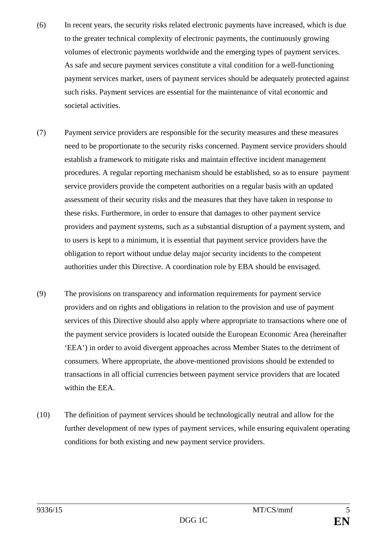- (6) In recent years, the security risks related electronic payments have increased, which is due to the greater technical complexity of electronic payments, the continuously growing volumes of electronic payments worldwide and the emerging types of payment services. As safe and secure payment services constitute a vital condition for a well-functioning payment services market, users of payment services should be adequately protected against such risks. Payment services are essential for the maintenance of vital economic and societal activities.
- (7) Payment service providers are responsible for the security measures and these measures need to be proportionate to the security risks concerned. Payment service providers should establish a framework to mitigate risks and maintain effective incident management procedures. A regular reporting mechanism should be established, so as to ensure payment service providers provide the competent authorities on a regular basis with an updated assessment of their security risks and the measures that they have taken in response to these risks. Furthermore, in order to ensure that damages to other payment service providers and payment systems, such as a substantial disruption of a payment system, and to users is kept to a minimum, it is essential that payment service providers have the obligation to report without undue delay major security incidents to the competent authorities under this Directive. A coordination role by EBA should be envisaged.
- (9) The provisions on transparency and information requirements for payment service providers and on rights and obligations in relation to the provision and use of payment services of this Directive should also apply where appropriate to transactions where one of the payment service providers is located outside the European Economic Area (hereinafter 'EEA') in order to avoid divergent approaches across Member States to the detriment of consumers. Where appropriate, the above-mentioned provisions should be extended to transactions in all official currencies between payment service providers that are located within the EEA.
- (10) The definition of payment services should be technologically neutral and allow for the further development of new types of payment services, while ensuring equivalent operating conditions for both existing and new payment service providers.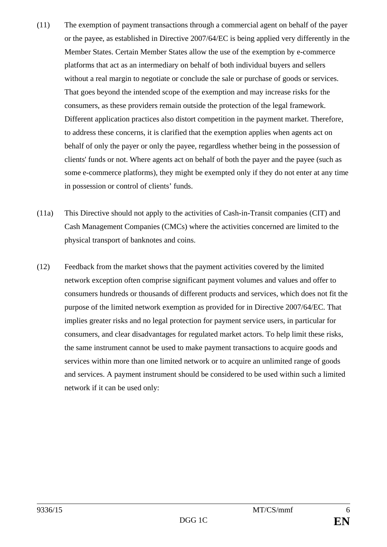- (11) The exemption of payment transactions through a commercial agent on behalf of the payer or the payee, as established in Directive 2007/64/EC is being applied very differently in the Member States. Certain Member States allow the use of the exemption by e-commerce platforms that act as an intermediary on behalf of both individual buyers and sellers without a real margin to negotiate or conclude the sale or purchase of goods or services. That goes beyond the intended scope of the exemption and may increase risks for the consumers, as these providers remain outside the protection of the legal framework. Different application practices also distort competition in the payment market. Therefore, to address these concerns, it is clarified that the exemption applies when agents act on behalf of only the payer or only the payee, regardless whether being in the possession of clients' funds or not. Where agents act on behalf of both the payer and the payee (such as some e-commerce platforms), they might be exempted only if they do not enter at any time in possession or control of clients' funds.
- (11a) This Directive should not apply to the activities of Cash-in-Transit companies (CIT) and Cash Management Companies (CMCs) where the activities concerned are limited to the physical transport of banknotes and coins.
- (12) Feedback from the market shows that the payment activities covered by the limited network exception often comprise significant payment volumes and values and offer to consumers hundreds or thousands of different products and services, which does not fit the purpose of the limited network exemption as provided for in Directive 2007/64/EC. That implies greater risks and no legal protection for payment service users, in particular for consumers, and clear disadvantages for regulated market actors. To help limit these risks, the same instrument cannot be used to make payment transactions to acquire goods and services within more than one limited network or to acquire an unlimited range of goods and services. A payment instrument should be considered to be used within such a limited network if it can be used only: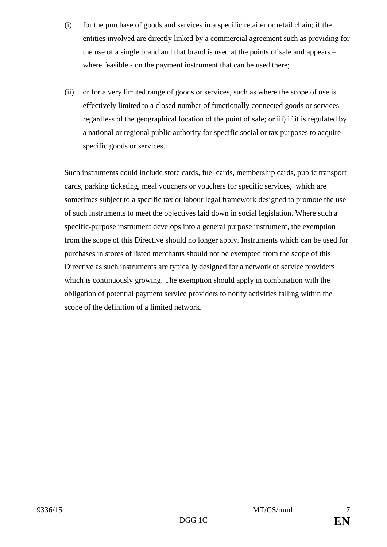- (i) for the purchase of goods and services in a specific retailer or retail chain; if the entities involved are directly linked by a commercial agreement such as providing for the use of a single brand and that brand is used at the points of sale and appears – where feasible - on the payment instrument that can be used there;
- (ii) or for a very limited range of goods or services, such as where the scope of use is effectively limited to a closed number of functionally connected goods or services regardless of the geographical location of the point of sale; or iii) if it is regulated by a national or regional public authority for specific social or tax purposes to acquire specific goods or services.

Such instruments could include store cards, fuel cards, membership cards, public transport cards, parking ticketing, meal vouchers or vouchers for specific services, which are sometimes subject to a specific tax or labour legal framework designed to promote the use of such instruments to meet the objectives laid down in social legislation. Where such a specific-purpose instrument develops into a general purpose instrument, the exemption from the scope of this Directive should no longer apply. Instruments which can be used for purchases in stores of listed merchants should not be exempted from the scope of this Directive as such instruments are typically designed for a network of service providers which is continuously growing. The exemption should apply in combination with the obligation of potential payment service providers to notify activities falling within the scope of the definition of a limited network.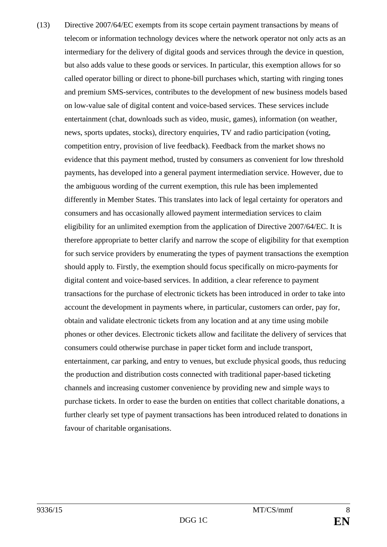(13) Directive 2007/64/EC exempts from its scope certain payment transactions by means of telecom or information technology devices where the network operator not only acts as an intermediary for the delivery of digital goods and services through the device in question, but also adds value to these goods or services. In particular, this exemption allows for so called operator billing or direct to phone-bill purchases which, starting with ringing tones and premium SMS-services, contributes to the development of new business models based on low-value sale of digital content and voice-based services. These services include entertainment (chat, downloads such as video, music, games), information (on weather, news, sports updates, stocks), directory enquiries, TV and radio participation (voting, competition entry, provision of live feedback). Feedback from the market shows no evidence that this payment method, trusted by consumers as convenient for low threshold payments, has developed into a general payment intermediation service. However, due to the ambiguous wording of the current exemption, this rule has been implemented differently in Member States. This translates into lack of legal certainty for operators and consumers and has occasionally allowed payment intermediation services to claim eligibility for an unlimited exemption from the application of Directive 2007/64/EC. It is therefore appropriate to better clarify and narrow the scope of eligibility for that exemption for such service providers by enumerating the types of payment transactions the exemption should apply to. Firstly, the exemption should focus specifically on micro-payments for digital content and voice-based services. In addition, a clear reference to payment transactions for the purchase of electronic tickets has been introduced in order to take into account the development in payments where, in particular, customers can order, pay for, obtain and validate electronic tickets from any location and at any time using mobile phones or other devices. Electronic tickets allow and facilitate the delivery of services that consumers could otherwise purchase in paper ticket form and include transport, entertainment, car parking, and entry to venues, but exclude physical goods, thus reducing the production and distribution costs connected with traditional paper-based ticketing channels and increasing customer convenience by providing new and simple ways to purchase tickets. In order to ease the burden on entities that collect charitable donations, a further clearly set type of payment transactions has been introduced related to donations in favour of charitable organisations.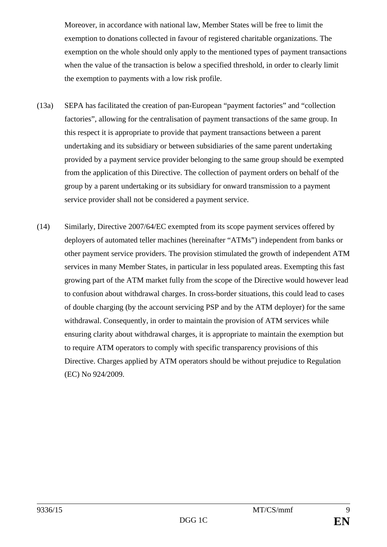Moreover, in accordance with national law, Member States will be free to limit the exemption to donations collected in favour of registered charitable organizations. The exemption on the whole should only apply to the mentioned types of payment transactions when the value of the transaction is below a specified threshold, in order to clearly limit the exemption to payments with a low risk profile.

- (13a) SEPA has facilitated the creation of pan-European "payment factories" and "collection factories", allowing for the centralisation of payment transactions of the same group. In this respect it is appropriate to provide that payment transactions between a parent undertaking and its subsidiary or between subsidiaries of the same parent undertaking provided by a payment service provider belonging to the same group should be exempted from the application of this Directive. The collection of payment orders on behalf of the group by a parent undertaking or its subsidiary for onward transmission to a payment service provider shall not be considered a payment service.
- (14) Similarly, Directive 2007/64/EC exempted from its scope payment services offered by deployers of automated teller machines (hereinafter "ATMs") independent from banks or other payment service providers. The provision stimulated the growth of independent ATM services in many Member States, in particular in less populated areas. Exempting this fast growing part of the ATM market fully from the scope of the Directive would however lead to confusion about withdrawal charges. In cross-border situations, this could lead to cases of double charging (by the account servicing PSP and by the ATM deployer) for the same withdrawal. Consequently, in order to maintain the provision of ATM services while ensuring clarity about withdrawal charges, it is appropriate to maintain the exemption but to require ATM operators to comply with specific transparency provisions of this Directive. Charges applied by ATM operators should be without prejudice to Regulation (EC) No 924/2009.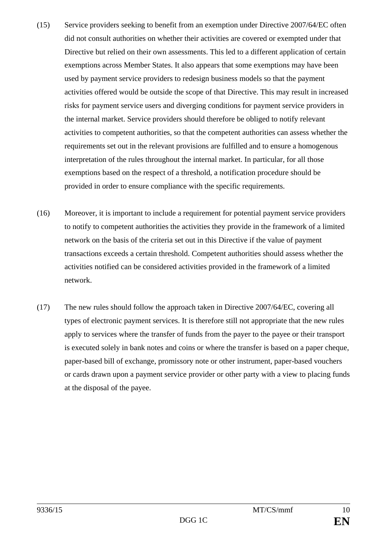- (15) Service providers seeking to benefit from an exemption under Directive 2007/64/EC often did not consult authorities on whether their activities are covered or exempted under that Directive but relied on their own assessments. This led to a different application of certain exemptions across Member States. It also appears that some exemptions may have been used by payment service providers to redesign business models so that the payment activities offered would be outside the scope of that Directive. This may result in increased risks for payment service users and diverging conditions for payment service providers in the internal market. Service providers should therefore be obliged to notify relevant activities to competent authorities, so that the competent authorities can assess whether the requirements set out in the relevant provisions are fulfilled and to ensure a homogenous interpretation of the rules throughout the internal market. In particular, for all those exemptions based on the respect of a threshold, a notification procedure should be provided in order to ensure compliance with the specific requirements.
- (16) Moreover, it is important to include a requirement for potential payment service providers to notify to competent authorities the activities they provide in the framework of a limited network on the basis of the criteria set out in this Directive if the value of payment transactions exceeds a certain threshold. Competent authorities should assess whether the activities notified can be considered activities provided in the framework of a limited network.
- (17) The new rules should follow the approach taken in Directive 2007/64/EC, covering all types of electronic payment services. It is therefore still not appropriate that the new rules apply to services where the transfer of funds from the payer to the payee or their transport is executed solely in bank notes and coins or where the transfer is based on a paper cheque, paper-based bill of exchange, promissory note or other instrument, paper-based vouchers or cards drawn upon a payment service provider or other party with a view to placing funds at the disposal of the payee.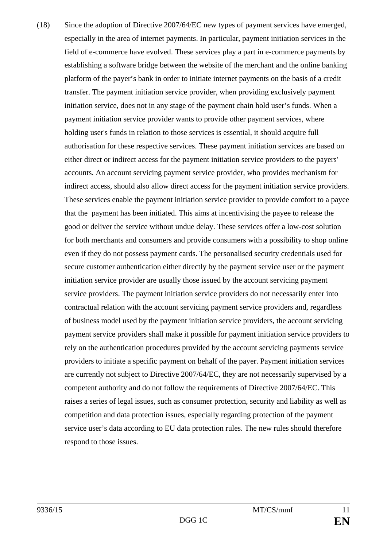(18) Since the adoption of Directive 2007/64/EC new types of payment services have emerged, especially in the area of internet payments. In particular, payment initiation services in the field of e-commerce have evolved. These services play a part in e-commerce payments by establishing a software bridge between the website of the merchant and the online banking platform of the payer's bank in order to initiate internet payments on the basis of a credit transfer. The payment initiation service provider, when providing exclusively payment initiation service, does not in any stage of the payment chain hold user's funds. When a payment initiation service provider wants to provide other payment services, where holding user's funds in relation to those services is essential, it should acquire full authorisation for these respective services. These payment initiation services are based on either direct or indirect access for the payment initiation service providers to the payers' accounts. An account servicing payment service provider, who provides mechanism for indirect access, should also allow direct access for the payment initiation service providers. These services enable the payment initiation service provider to provide comfort to a payee that the payment has been initiated. This aims at incentivising the payee to release the good or deliver the service without undue delay. These services offer a low-cost solution for both merchants and consumers and provide consumers with a possibility to shop online even if they do not possess payment cards. The personalised security credentials used for secure customer authentication either directly by the payment service user or the payment initiation service provider are usually those issued by the account servicing payment service providers. The payment initiation service providers do not necessarily enter into contractual relation with the account servicing payment service providers and, regardless of business model used by the payment initiation service providers, the account servicing payment service providers shall make it possible for payment initiation service providers to rely on the authentication procedures provided by the account servicing payments service providers to initiate a specific payment on behalf of the payer. Payment initiation services are currently not subject to Directive 2007/64/EC, they are not necessarily supervised by a competent authority and do not follow the requirements of Directive 2007/64/EC. This raises a series of legal issues, such as consumer protection, security and liability as well as competition and data protection issues, especially regarding protection of the payment service user's data according to EU data protection rules. The new rules should therefore respond to those issues.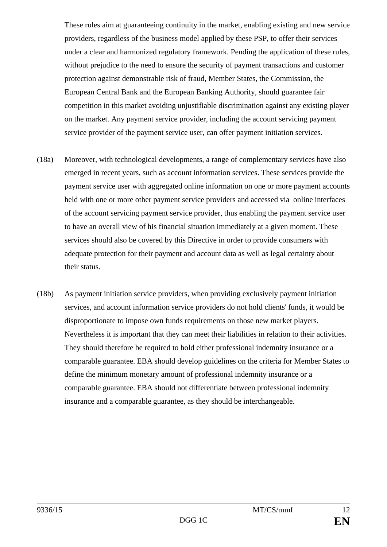These rules aim at guaranteeing continuity in the market, enabling existing and new service providers, regardless of the business model applied by these PSP, to offer their services under a clear and harmonized regulatory framework. Pending the application of these rules, without prejudice to the need to ensure the security of payment transactions and customer protection against demonstrable risk of fraud, Member States, the Commission, the European Central Bank and the European Banking Authority, should guarantee fair competition in this market avoiding unjustifiable discrimination against any existing player on the market. Any payment service provider, including the account servicing payment service provider of the payment service user, can offer payment initiation services.

- (18a) Moreover, with technological developments, a range of complementary services have also emerged in recent years, such as account information services. These services provide the payment service user with aggregated online information on one or more payment accounts held with one or more other payment service providers and accessed via online interfaces of the account servicing payment service provider, thus enabling the payment service user to have an overall view of his financial situation immediately at a given moment. These services should also be covered by this Directive in order to provide consumers with adequate protection for their payment and account data as well as legal certainty about their status.
- (18b) As payment initiation service providers, when providing exclusively payment initiation services, and account information service providers do not hold clients' funds, it would be disproportionate to impose own funds requirements on those new market players. Nevertheless it is important that they can meet their liabilities in relation to their activities. They should therefore be required to hold either professional indemnity insurance or a comparable guarantee. EBA should develop guidelines on the criteria for Member States to define the minimum monetary amount of professional indemnity insurance or a comparable guarantee. EBA should not differentiate between professional indemnity insurance and a comparable guarantee, as they should be interchangeable.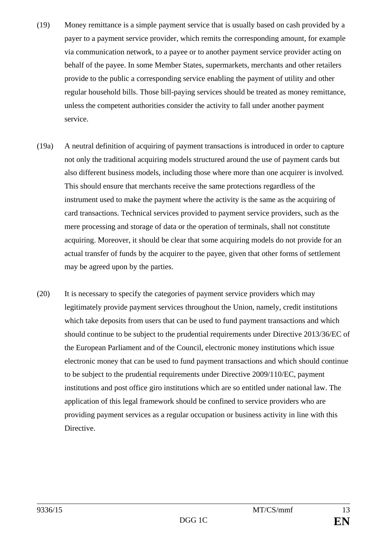- (19) Money remittance is a simple payment service that is usually based on cash provided by a payer to a payment service provider, which remits the corresponding amount, for example via communication network, to a payee or to another payment service provider acting on behalf of the payee. In some Member States, supermarkets, merchants and other retailers provide to the public a corresponding service enabling the payment of utility and other regular household bills. Those bill-paying services should be treated as money remittance, unless the competent authorities consider the activity to fall under another payment service.
- (19a) A neutral definition of acquiring of payment transactions is introduced in order to capture not only the traditional acquiring models structured around the use of payment cards but also different business models, including those where more than one acquirer is involved. This should ensure that merchants receive the same protections regardless of the instrument used to make the payment where the activity is the same as the acquiring of card transactions. Technical services provided to payment service providers, such as the mere processing and storage of data or the operation of terminals, shall not constitute acquiring. Moreover, it should be clear that some acquiring models do not provide for an actual transfer of funds by the acquirer to the payee, given that other forms of settlement may be agreed upon by the parties.
- (20) It is necessary to specify the categories of payment service providers which may legitimately provide payment services throughout the Union, namely, credit institutions which take deposits from users that can be used to fund payment transactions and which should continue to be subject to the prudential requirements under Directive 2013/36/EC of the European Parliament and of the Council, electronic money institutions which issue electronic money that can be used to fund payment transactions and which should continue to be subject to the prudential requirements under Directive 2009/110/EC, payment institutions and post office giro institutions which are so entitled under national law. The application of this legal framework should be confined to service providers who are providing payment services as a regular occupation or business activity in line with this Directive.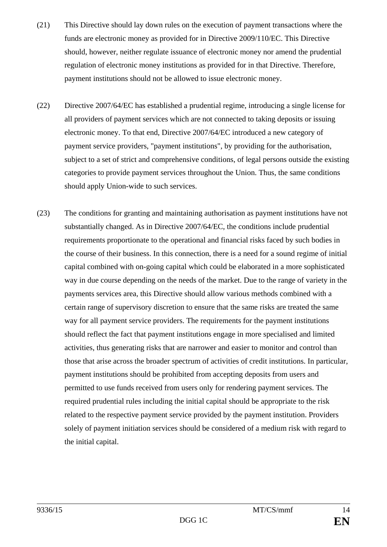- (21) This Directive should lay down rules on the execution of payment transactions where the funds are electronic money as provided for in Directive 2009/110/EC. This Directive should, however, neither regulate issuance of electronic money nor amend the prudential regulation of electronic money institutions as provided for in that Directive. Therefore, payment institutions should not be allowed to issue electronic money.
- (22) Directive 2007/64/EC has established a prudential regime, introducing a single license for all providers of payment services which are not connected to taking deposits or issuing electronic money. To that end, Directive 2007/64/EC introduced a new category of payment service providers, "payment institutions", by providing for the authorisation, subject to a set of strict and comprehensive conditions, of legal persons outside the existing categories to provide payment services throughout the Union. Thus, the same conditions should apply Union-wide to such services.
- (23) The conditions for granting and maintaining authorisation as payment institutions have not substantially changed. As in Directive 2007/64/EC, the conditions include prudential requirements proportionate to the operational and financial risks faced by such bodies in the course of their business. In this connection, there is a need for a sound regime of initial capital combined with on-going capital which could be elaborated in a more sophisticated way in due course depending on the needs of the market. Due to the range of variety in the payments services area, this Directive should allow various methods combined with a certain range of supervisory discretion to ensure that the same risks are treated the same way for all payment service providers. The requirements for the payment institutions should reflect the fact that payment institutions engage in more specialised and limited activities, thus generating risks that are narrower and easier to monitor and control than those that arise across the broader spectrum of activities of credit institutions. In particular, payment institutions should be prohibited from accepting deposits from users and permitted to use funds received from users only for rendering payment services. The required prudential rules including the initial capital should be appropriate to the risk related to the respective payment service provided by the payment institution. Providers solely of payment initiation services should be considered of a medium risk with regard to the initial capital.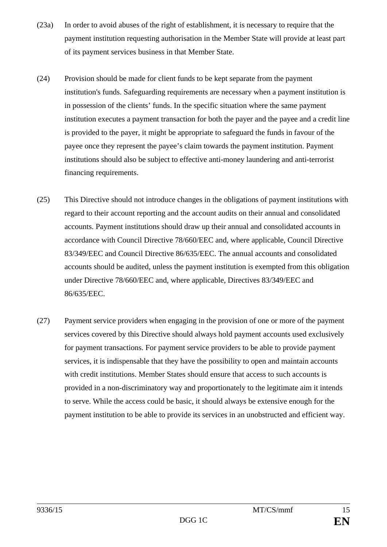- (23a) In order to avoid abuses of the right of establishment, it is necessary to require that the payment institution requesting authorisation in the Member State will provide at least part of its payment services business in that Member State.
- (24) Provision should be made for client funds to be kept separate from the payment institution's funds. Safeguarding requirements are necessary when a payment institution is in possession of the clients' funds. In the specific situation where the same payment institution executes a payment transaction for both the payer and the payee and a credit line is provided to the payer, it might be appropriate to safeguard the funds in favour of the payee once they represent the payee's claim towards the payment institution. Payment institutions should also be subject to effective anti-money laundering and anti-terrorist financing requirements.
- (25) This Directive should not introduce changes in the obligations of payment institutions with regard to their account reporting and the account audits on their annual and consolidated accounts. Payment institutions should draw up their annual and consolidated accounts in accordance with Council Directive 78/660/EEC and, where applicable, Council Directive 83/349/EEC and Council Directive 86/635/EEC. The annual accounts and consolidated accounts should be audited, unless the payment institution is exempted from this obligation under Directive 78/660/EEC and, where applicable, Directives 83/349/EEC and 86/635/EEC.
- (27) Payment service providers when engaging in the provision of one or more of the payment services covered by this Directive should always hold payment accounts used exclusively for payment transactions. For payment service providers to be able to provide payment services, it is indispensable that they have the possibility to open and maintain accounts with credit institutions. Member States should ensure that access to such accounts is provided in a non-discriminatory way and proportionately to the legitimate aim it intends to serve. While the access could be basic, it should always be extensive enough for the payment institution to be able to provide its services in an unobstructed and efficient way.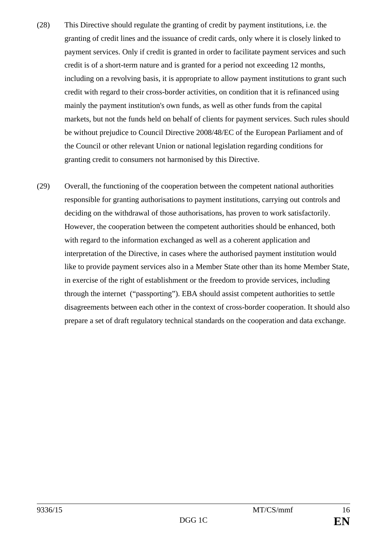- (28) This Directive should regulate the granting of credit by payment institutions, i.e. the granting of credit lines and the issuance of credit cards, only where it is closely linked to payment services. Only if credit is granted in order to facilitate payment services and such credit is of a short-term nature and is granted for a period not exceeding 12 months, including on a revolving basis, it is appropriate to allow payment institutions to grant such credit with regard to their cross-border activities, on condition that it is refinanced using mainly the payment institution's own funds, as well as other funds from the capital markets, but not the funds held on behalf of clients for payment services. Such rules should be without prejudice to Council Directive 2008/48/EC of the European Parliament and of the Council or other relevant Union or national legislation regarding conditions for granting credit to consumers not harmonised by this Directive.
- (29) Overall, the functioning of the cooperation between the competent national authorities responsible for granting authorisations to payment institutions, carrying out controls and deciding on the withdrawal of those authorisations, has proven to work satisfactorily. However, the cooperation between the competent authorities should be enhanced, both with regard to the information exchanged as well as a coherent application and interpretation of the Directive, in cases where the authorised payment institution would like to provide payment services also in a Member State other than its home Member State, in exercise of the right of establishment or the freedom to provide services, including through the internet ("passporting"). EBA should assist competent authorities to settle disagreements between each other in the context of cross-border cooperation. It should also prepare a set of draft regulatory technical standards on the cooperation and data exchange.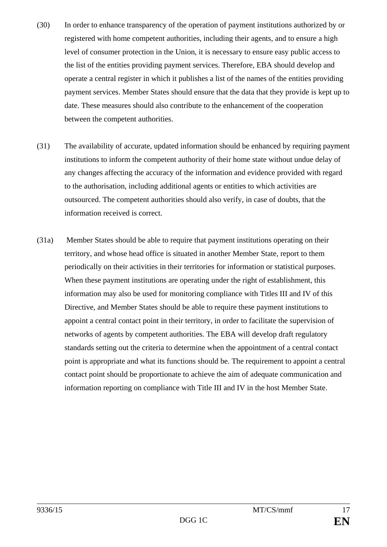- (30) In order to enhance transparency of the operation of payment institutions authorized by or registered with home competent authorities, including their agents, and to ensure a high level of consumer protection in the Union, it is necessary to ensure easy public access to the list of the entities providing payment services. Therefore, EBA should develop and operate a central register in which it publishes a list of the names of the entities providing payment services. Member States should ensure that the data that they provide is kept up to date. These measures should also contribute to the enhancement of the cooperation between the competent authorities.
- (31) The availability of accurate, updated information should be enhanced by requiring payment institutions to inform the competent authority of their home state without undue delay of any changes affecting the accuracy of the information and evidence provided with regard to the authorisation, including additional agents or entities to which activities are outsourced. The competent authorities should also verify, in case of doubts, that the information received is correct.
- (31a) Member States should be able to require that payment institutions operating on their territory, and whose head office is situated in another Member State, report to them periodically on their activities in their territories for information or statistical purposes. When these payment institutions are operating under the right of establishment, this information may also be used for monitoring compliance with Titles III and IV of this Directive, and Member States should be able to require these payment institutions to appoint a central contact point in their territory, in order to facilitate the supervision of networks of agents by competent authorities. The EBA will develop draft regulatory standards setting out the criteria to determine when the appointment of a central contact point is appropriate and what its functions should be. The requirement to appoint a central contact point should be proportionate to achieve the aim of adequate communication and information reporting on compliance with Title III and IV in the host Member State.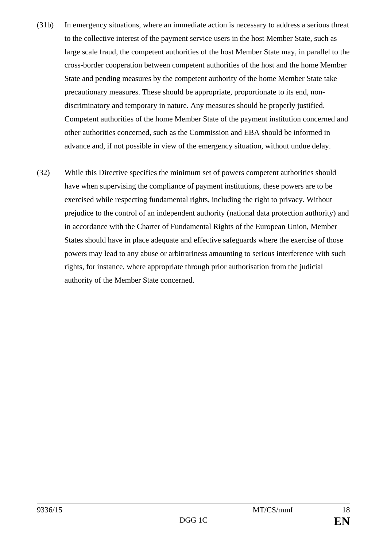- (31b) In emergency situations, where an immediate action is necessary to address a serious threat to the collective interest of the payment service users in the host Member State, such as large scale fraud, the competent authorities of the host Member State may, in parallel to the cross-border cooperation between competent authorities of the host and the home Member State and pending measures by the competent authority of the home Member State take precautionary measures. These should be appropriate, proportionate to its end, nondiscriminatory and temporary in nature. Any measures should be properly justified. Competent authorities of the home Member State of the payment institution concerned and other authorities concerned, such as the Commission and EBA should be informed in advance and, if not possible in view of the emergency situation, without undue delay.
- (32) While this Directive specifies the minimum set of powers competent authorities should have when supervising the compliance of payment institutions, these powers are to be exercised while respecting fundamental rights, including the right to privacy. Without prejudice to the control of an independent authority (national data protection authority) and in accordance with the Charter of Fundamental Rights of the European Union, Member States should have in place adequate and effective safeguards where the exercise of those powers may lead to any abuse or arbitrariness amounting to serious interference with such rights, for instance, where appropriate through prior authorisation from the judicial authority of the Member State concerned.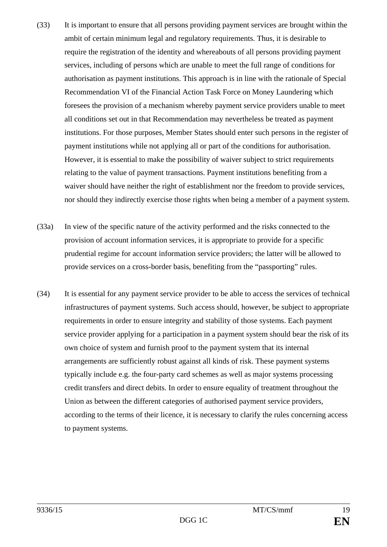- (33) It is important to ensure that all persons providing payment services are brought within the ambit of certain minimum legal and regulatory requirements. Thus, it is desirable to require the registration of the identity and whereabouts of all persons providing payment services, including of persons which are unable to meet the full range of conditions for authorisation as payment institutions. This approach is in line with the rationale of Special Recommendation VI of the Financial Action Task Force on Money Laundering which foresees the provision of a mechanism whereby payment service providers unable to meet all conditions set out in that Recommendation may nevertheless be treated as payment institutions. For those purposes, Member States should enter such persons in the register of payment institutions while not applying all or part of the conditions for authorisation. However, it is essential to make the possibility of waiver subject to strict requirements relating to the value of payment transactions. Payment institutions benefiting from a waiver should have neither the right of establishment nor the freedom to provide services, nor should they indirectly exercise those rights when being a member of a payment system.
- (33a) In view of the specific nature of the activity performed and the risks connected to the provision of account information services, it is appropriate to provide for a specific prudential regime for account information service providers; the latter will be allowed to provide services on a cross-border basis, benefiting from the "passporting" rules.
- (34) It is essential for any payment service provider to be able to access the services of technical infrastructures of payment systems. Such access should, however, be subject to appropriate requirements in order to ensure integrity and stability of those systems. Each payment service provider applying for a participation in a payment system should bear the risk of its own choice of system and furnish proof to the payment system that its internal arrangements are sufficiently robust against all kinds of risk. These payment systems typically include e.g. the four-party card schemes as well as major systems processing credit transfers and direct debits. In order to ensure equality of treatment throughout the Union as between the different categories of authorised payment service providers, according to the terms of their licence, it is necessary to clarify the rules concerning access to payment systems.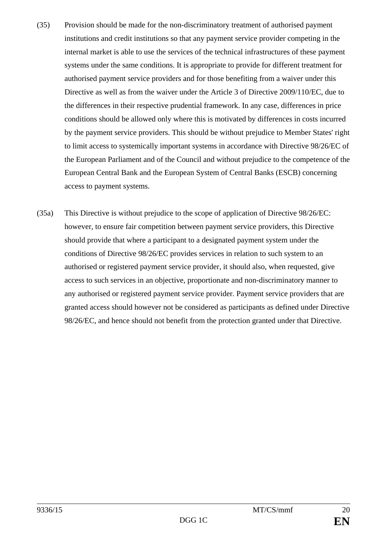- (35) Provision should be made for the non-discriminatory treatment of authorised payment institutions and credit institutions so that any payment service provider competing in the internal market is able to use the services of the technical infrastructures of these payment systems under the same conditions. It is appropriate to provide for different treatment for authorised payment service providers and for those benefiting from a waiver under this Directive as well as from the waiver under the Article 3 of Directive 2009/110/EC, due to the differences in their respective prudential framework. In any case, differences in price conditions should be allowed only where this is motivated by differences in costs incurred by the payment service providers. This should be without prejudice to Member States' right to limit access to systemically important systems in accordance with Directive 98/26/EC of the European Parliament and of the Council and without prejudice to the competence of the European Central Bank and the European System of Central Banks (ESCB) concerning access to payment systems.
- (35a) This Directive is without prejudice to the scope of application of Directive 98/26/EC: however, to ensure fair competition between payment service providers, this Directive should provide that where a participant to a designated payment system under the conditions of Directive 98/26/EC provides services in relation to such system to an authorised or registered payment service provider, it should also, when requested, give access to such services in an objective, proportionate and non-discriminatory manner to any authorised or registered payment service provider. Payment service providers that are granted access should however not be considered as participants as defined under Directive 98/26/EC, and hence should not benefit from the protection granted under that Directive.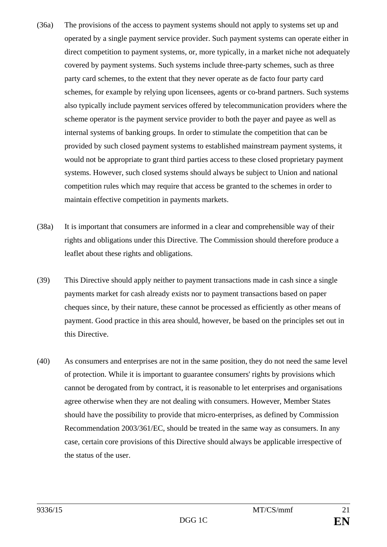- (36a) The provisions of the access to payment systems should not apply to systems set up and operated by a single payment service provider. Such payment systems can operate either in direct competition to payment systems, or, more typically, in a market niche not adequately covered by payment systems. Such systems include three-party schemes, such as three party card schemes, to the extent that they never operate as de facto four party card schemes, for example by relying upon licensees, agents or co-brand partners. Such systems also typically include payment services offered by telecommunication providers where the scheme operator is the payment service provider to both the payer and payee as well as internal systems of banking groups. In order to stimulate the competition that can be provided by such closed payment systems to established mainstream payment systems, it would not be appropriate to grant third parties access to these closed proprietary payment systems. However, such closed systems should always be subject to Union and national competition rules which may require that access be granted to the schemes in order to maintain effective competition in payments markets.
- (38a) It is important that consumers are informed in a clear and comprehensible way of their rights and obligations under this Directive. The Commission should therefore produce a leaflet about these rights and obligations.
- (39) This Directive should apply neither to payment transactions made in cash since a single payments market for cash already exists nor to payment transactions based on paper cheques since, by their nature, these cannot be processed as efficiently as other means of payment. Good practice in this area should, however, be based on the principles set out in this Directive.
- (40) As consumers and enterprises are not in the same position, they do not need the same level of protection. While it is important to guarantee consumers' rights by provisions which cannot be derogated from by contract, it is reasonable to let enterprises and organisations agree otherwise when they are not dealing with consumers. However, Member States should have the possibility to provide that micro-enterprises, as defined by Commission Recommendation 2003/361/EC, should be treated in the same way as consumers. In any case, certain core provisions of this Directive should always be applicable irrespective of the status of the user.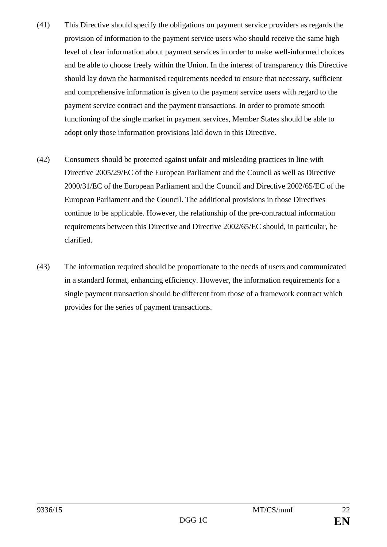- (41) This Directive should specify the obligations on payment service providers as regards the provision of information to the payment service users who should receive the same high level of clear information about payment services in order to make well-informed choices and be able to choose freely within the Union. In the interest of transparency this Directive should lay down the harmonised requirements needed to ensure that necessary, sufficient and comprehensive information is given to the payment service users with regard to the payment service contract and the payment transactions. In order to promote smooth functioning of the single market in payment services, Member States should be able to adopt only those information provisions laid down in this Directive.
- (42) Consumers should be protected against unfair and misleading practices in line with Directive 2005/29/EC of the European Parliament and the Council as well as Directive 2000/31/EC of the European Parliament and the Council and Directive 2002/65/EC of the European Parliament and the Council. The additional provisions in those Directives continue to be applicable. However, the relationship of the pre-contractual information requirements between this Directive and Directive 2002/65/EC should, in particular, be clarified.
- (43) The information required should be proportionate to the needs of users and communicated in a standard format, enhancing efficiency. However, the information requirements for a single payment transaction should be different from those of a framework contract which provides for the series of payment transactions.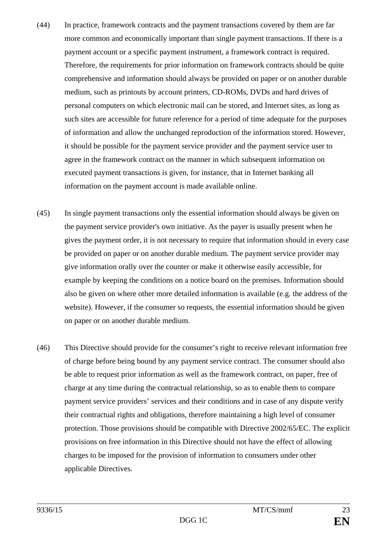- (44) In practice, framework contracts and the payment transactions covered by them are far more common and economically important than single payment transactions. If there is a payment account or a specific payment instrument, a framework contract is required. Therefore, the requirements for prior information on framework contracts should be quite comprehensive and information should always be provided on paper or on another durable medium, such as printouts by account printers, CD-ROMs, DVDs and hard drives of personal computers on which electronic mail can be stored, and Internet sites, as long as such sites are accessible for future reference for a period of time adequate for the purposes of information and allow the unchanged reproduction of the information stored. However, it should be possible for the payment service provider and the payment service user to agree in the framework contract on the manner in which subsequent information on executed payment transactions is given, for instance, that in Internet banking all information on the payment account is made available online.
- (45) In single payment transactions only the essential information should always be given on the payment service provider's own initiative. As the payer is usually present when he gives the payment order, it is not necessary to require that information should in every case be provided on paper or on another durable medium. The payment service provider may give information orally over the counter or make it otherwise easily accessible, for example by keeping the conditions on a notice board on the premises. Information should also be given on where other more detailed information is available (e.g. the address of the website). However, if the consumer so requests, the essential information should be given on paper or on another durable medium.
- (46) This Directive should provide for the consumer's right to receive relevant information free of charge before being bound by any payment service contract. The consumer should also be able to request prior information as well as the framework contract, on paper, free of charge at any time during the contractual relationship, so as to enable them to compare payment service providers' services and their conditions and in case of any dispute verify their contractual rights and obligations, therefore maintaining a high level of consumer protection. Those provisions should be compatible with Directive 2002/65/EC. The explicit provisions on free information in this Directive should not have the effect of allowing charges to be imposed for the provision of information to consumers under other applicable Directives.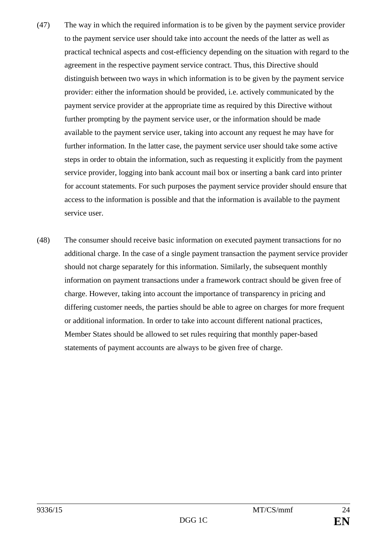- (47) The way in which the required information is to be given by the payment service provider to the payment service user should take into account the needs of the latter as well as practical technical aspects and cost-efficiency depending on the situation with regard to the agreement in the respective payment service contract. Thus, this Directive should distinguish between two ways in which information is to be given by the payment service provider: either the information should be provided, i.e. actively communicated by the payment service provider at the appropriate time as required by this Directive without further prompting by the payment service user, or the information should be made available to the payment service user, taking into account any request he may have for further information. In the latter case, the payment service user should take some active steps in order to obtain the information, such as requesting it explicitly from the payment service provider, logging into bank account mail box or inserting a bank card into printer for account statements. For such purposes the payment service provider should ensure that access to the information is possible and that the information is available to the payment service user.
- (48) The consumer should receive basic information on executed payment transactions for no additional charge. In the case of a single payment transaction the payment service provider should not charge separately for this information. Similarly, the subsequent monthly information on payment transactions under a framework contract should be given free of charge. However, taking into account the importance of transparency in pricing and differing customer needs, the parties should be able to agree on charges for more frequent or additional information. In order to take into account different national practices, Member States should be allowed to set rules requiring that monthly paper-based statements of payment accounts are always to be given free of charge.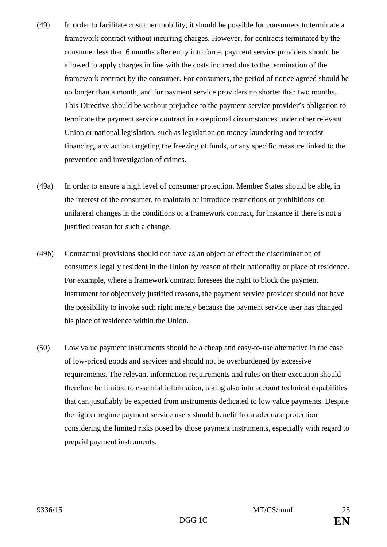- (49) In order to facilitate customer mobility, it should be possible for consumers to terminate a framework contract without incurring charges. However, for contracts terminated by the consumer less than 6 months after entry into force, payment service providers should be allowed to apply charges in line with the costs incurred due to the termination of the framework contract by the consumer. For consumers, the period of notice agreed should be no longer than a month, and for payment service providers no shorter than two months. This Directive should be without prejudice to the payment service provider's obligation to terminate the payment service contract in exceptional circumstances under other relevant Union or national legislation, such as legislation on money laundering and terrorist financing, any action targeting the freezing of funds, or any specific measure linked to the prevention and investigation of crimes.
- (49a) In order to ensure a high level of consumer protection, Member States should be able, in the interest of the consumer, to maintain or introduce restrictions or prohibitions on unilateral changes in the conditions of a framework contract, for instance if there is not a justified reason for such a change.
- (49b) Contractual provisions should not have as an object or effect the discrimination of consumers legally resident in the Union by reason of their nationality or place of residence. For example, where a framework contract foresees the right to block the payment instrument for objectively justified reasons, the payment service provider should not have the possibility to invoke such right merely because the payment service user has changed his place of residence within the Union.
- (50) Low value payment instruments should be a cheap and easy-to-use alternative in the case of low-priced goods and services and should not be overburdened by excessive requirements. The relevant information requirements and rules on their execution should therefore be limited to essential information, taking also into account technical capabilities that can justifiably be expected from instruments dedicated to low value payments. Despite the lighter regime payment service users should benefit from adequate protection considering the limited risks posed by those payment instruments, especially with regard to prepaid payment instruments.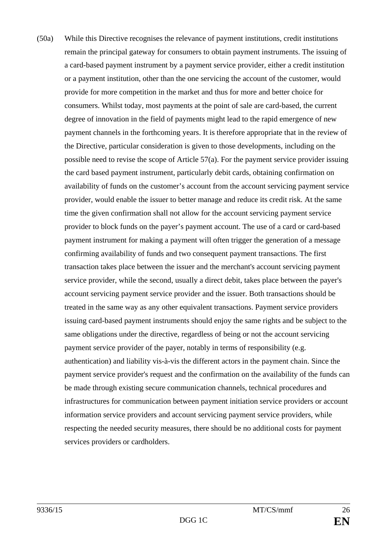(50a) While this Directive recognises the relevance of payment institutions, credit institutions remain the principal gateway for consumers to obtain payment instruments. The issuing of a card-based payment instrument by a payment service provider, either a credit institution or a payment institution, other than the one servicing the account of the customer, would provide for more competition in the market and thus for more and better choice for consumers. Whilst today, most payments at the point of sale are card-based, the current degree of innovation in the field of payments might lead to the rapid emergence of new payment channels in the forthcoming years. It is therefore appropriate that in the review of the Directive, particular consideration is given to those developments, including on the possible need to revise the scope of Article 57(a). For the payment service provider issuing the card based payment instrument, particularly debit cards, obtaining confirmation on availability of funds on the customer's account from the account servicing payment service provider, would enable the issuer to better manage and reduce its credit risk. At the same time the given confirmation shall not allow for the account servicing payment service provider to block funds on the payer's payment account. The use of a card or card-based payment instrument for making a payment will often trigger the generation of a message confirming availability of funds and two consequent payment transactions. The first transaction takes place between the issuer and the merchant's account servicing payment service provider, while the second, usually a direct debit, takes place between the payer's account servicing payment service provider and the issuer. Both transactions should be treated in the same way as any other equivalent transactions. Payment service providers issuing card-based payment instruments should enjoy the same rights and be subject to the same obligations under the directive, regardless of being or not the account servicing payment service provider of the payer, notably in terms of responsibility (e.g. authentication) and liability vis-à-vis the different actors in the payment chain. Since the payment service provider's request and the confirmation on the availability of the funds can be made through existing secure communication channels, technical procedures and infrastructures for communication between payment initiation service providers or account information service providers and account servicing payment service providers, while respecting the needed security measures, there should be no additional costs for payment services providers or cardholders.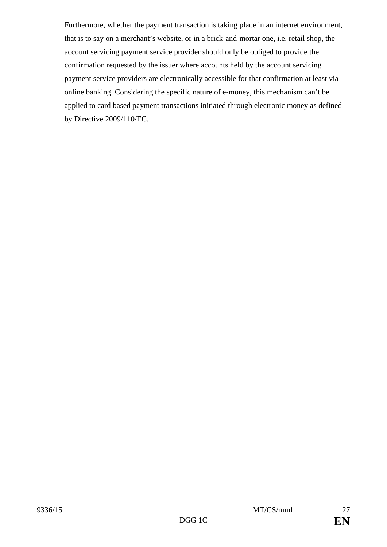Furthermore, whether the payment transaction is taking place in an internet environment, that is to say on a merchant's website, or in a brick-and-mortar one, i.e. retail shop, the account servicing payment service provider should only be obliged to provide the confirmation requested by the issuer where accounts held by the account servicing payment service providers are electronically accessible for that confirmation at least via online banking. Considering the specific nature of e-money, this mechanism can't be applied to card based payment transactions initiated through electronic money as defined by Directive 2009/110/EC.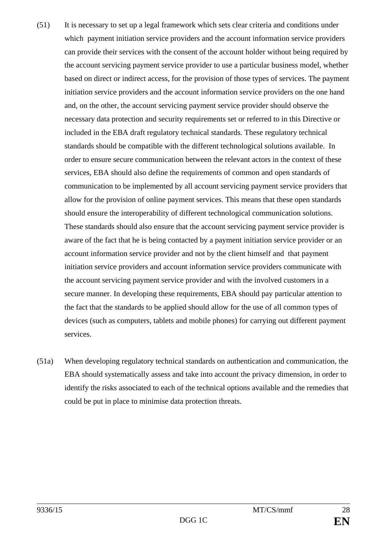- (51) It is necessary to set up a legal framework which sets clear criteria and conditions under which payment initiation service providers and the account information service providers can provide their services with the consent of the account holder without being required by the account servicing payment service provider to use a particular business model, whether based on direct or indirect access, for the provision of those types of services. The payment initiation service providers and the account information service providers on the one hand and, on the other, the account servicing payment service provider should observe the necessary data protection and security requirements set or referred to in this Directive or included in the EBA draft regulatory technical standards. These regulatory technical standards should be compatible with the different technological solutions available. In order to ensure secure communication between the relevant actors in the context of these services, EBA should also define the requirements of common and open standards of communication to be implemented by all account servicing payment service providers that allow for the provision of online payment services. This means that these open standards should ensure the interoperability of different technological communication solutions. These standards should also ensure that the account servicing payment service provider is aware of the fact that he is being contacted by a payment initiation service provider or an account information service provider and not by the client himself and that payment initiation service providers and account information service providers communicate with the account servicing payment service provider and with the involved customers in a secure manner. In developing these requirements, EBA should pay particular attention to the fact that the standards to be applied should allow for the use of all common types of devices (such as computers, tablets and mobile phones) for carrying out different payment services.
- (51a) When developing regulatory technical standards on authentication and communication, the EBA should systematically assess and take into account the privacy dimension, in order to identify the risks associated to each of the technical options available and the remedies that could be put in place to minimise data protection threats.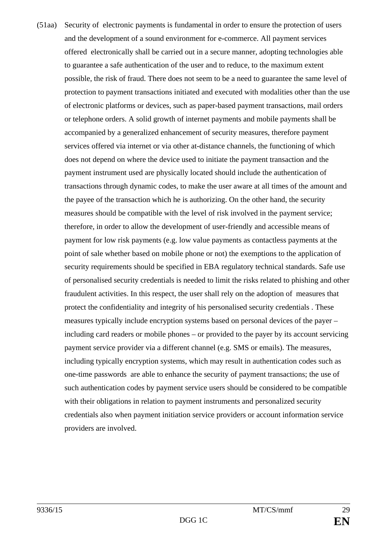(51aa) Security of electronic payments is fundamental in order to ensure the protection of users and the development of a sound environment for e-commerce. All payment services offered electronically shall be carried out in a secure manner, adopting technologies able to guarantee a safe authentication of the user and to reduce, to the maximum extent possible, the risk of fraud. There does not seem to be a need to guarantee the same level of protection to payment transactions initiated and executed with modalities other than the use of electronic platforms or devices, such as paper-based payment transactions, mail orders or telephone orders. A solid growth of internet payments and mobile payments shall be accompanied by a generalized enhancement of security measures, therefore payment services offered via internet or via other at-distance channels, the functioning of which does not depend on where the device used to initiate the payment transaction and the payment instrument used are physically located should include the authentication of transactions through dynamic codes, to make the user aware at all times of the amount and the payee of the transaction which he is authorizing. On the other hand, the security measures should be compatible with the level of risk involved in the payment service; therefore, in order to allow the development of user-friendly and accessible means of payment for low risk payments (e.g. low value payments as contactless payments at the point of sale whether based on mobile phone or not) the exemptions to the application of security requirements should be specified in EBA regulatory technical standards. Safe use of personalised security credentials is needed to limit the risks related to phishing and other fraudulent activities. In this respect, the user shall rely on the adoption of measures that protect the confidentiality and integrity of his personalised security credentials . These measures typically include encryption systems based on personal devices of the payer – including card readers or mobile phones – or provided to the payer by its account servicing payment service provider via a different channel (e.g. SMS or emails). The measures, including typically encryption systems, which may result in authentication codes such as one-time passwords are able to enhance the security of payment transactions; the use of such authentication codes by payment service users should be considered to be compatible with their obligations in relation to payment instruments and personalized security credentials also when payment initiation service providers or account information service providers are involved.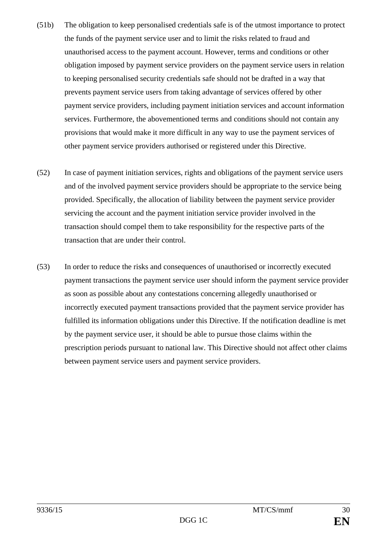- (51b) The obligation to keep personalised credentials safe is of the utmost importance to protect the funds of the payment service user and to limit the risks related to fraud and unauthorised access to the payment account. However, terms and conditions or other obligation imposed by payment service providers on the payment service users in relation to keeping personalised security credentials safe should not be drafted in a way that prevents payment service users from taking advantage of services offered by other payment service providers, including payment initiation services and account information services. Furthermore, the abovementioned terms and conditions should not contain any provisions that would make it more difficult in any way to use the payment services of other payment service providers authorised or registered under this Directive.
- (52) In case of payment initiation services, rights and obligations of the payment service users and of the involved payment service providers should be appropriate to the service being provided. Specifically, the allocation of liability between the payment service provider servicing the account and the payment initiation service provider involved in the transaction should compel them to take responsibility for the respective parts of the transaction that are under their control.
- (53) In order to reduce the risks and consequences of unauthorised or incorrectly executed payment transactions the payment service user should inform the payment service provider as soon as possible about any contestations concerning allegedly unauthorised or incorrectly executed payment transactions provided that the payment service provider has fulfilled its information obligations under this Directive. If the notification deadline is met by the payment service user, it should be able to pursue those claims within the prescription periods pursuant to national law. This Directive should not affect other claims between payment service users and payment service providers.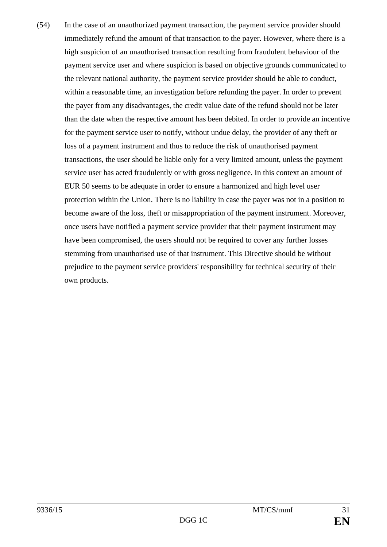(54) In the case of an unauthorized payment transaction, the payment service provider should immediately refund the amount of that transaction to the payer. However, where there is a high suspicion of an unauthorised transaction resulting from fraudulent behaviour of the payment service user and where suspicion is based on objective grounds communicated to the relevant national authority, the payment service provider should be able to conduct, within a reasonable time, an investigation before refunding the payer. In order to prevent the payer from any disadvantages, the credit value date of the refund should not be later than the date when the respective amount has been debited. In order to provide an incentive for the payment service user to notify, without undue delay, the provider of any theft or loss of a payment instrument and thus to reduce the risk of unauthorised payment transactions, the user should be liable only for a very limited amount, unless the payment service user has acted fraudulently or with gross negligence. In this context an amount of EUR 50 seems to be adequate in order to ensure a harmonized and high level user protection within the Union. There is no liability in case the payer was not in a position to become aware of the loss, theft or misappropriation of the payment instrument. Moreover, once users have notified a payment service provider that their payment instrument may have been compromised, the users should not be required to cover any further losses stemming from unauthorised use of that instrument. This Directive should be without prejudice to the payment service providers' responsibility for technical security of their own products.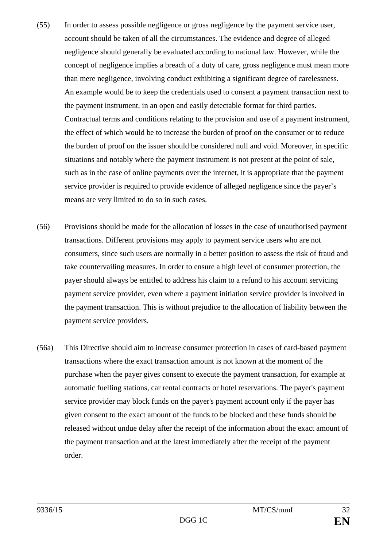- (55) In order to assess possible negligence or gross negligence by the payment service user, account should be taken of all the circumstances. The evidence and degree of alleged negligence should generally be evaluated according to national law. However, while the concept of negligence implies a breach of a duty of care, gross negligence must mean more than mere negligence, involving conduct exhibiting a significant degree of carelessness. An example would be to keep the credentials used to consent a payment transaction next to the payment instrument, in an open and easily detectable format for third parties. Contractual terms and conditions relating to the provision and use of a payment instrument, the effect of which would be to increase the burden of proof on the consumer or to reduce the burden of proof on the issuer should be considered null and void. Moreover, in specific situations and notably where the payment instrument is not present at the point of sale, such as in the case of online payments over the internet, it is appropriate that the payment service provider is required to provide evidence of alleged negligence since the payer's means are very limited to do so in such cases.
- (56) Provisions should be made for the allocation of losses in the case of unauthorised payment transactions. Different provisions may apply to payment service users who are not consumers, since such users are normally in a better position to assess the risk of fraud and take countervailing measures. In order to ensure a high level of consumer protection, the payer should always be entitled to address his claim to a refund to his account servicing payment service provider, even where a payment initiation service provider is involved in the payment transaction. This is without prejudice to the allocation of liability between the payment service providers.
- (56a) This Directive should aim to increase consumer protection in cases of card-based payment transactions where the exact transaction amount is not known at the moment of the purchase when the payer gives consent to execute the payment transaction, for example at automatic fuelling stations, car rental contracts or hotel reservations. The payer's payment service provider may block funds on the payer's payment account only if the payer has given consent to the exact amount of the funds to be blocked and these funds should be released without undue delay after the receipt of the information about the exact amount of the payment transaction and at the latest immediately after the receipt of the payment order.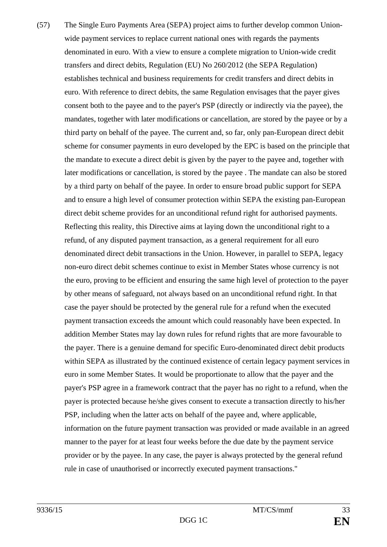(57) The Single Euro Payments Area (SEPA) project aims to further develop common Unionwide payment services to replace current national ones with regards the payments denominated in euro. With a view to ensure a complete migration to Union-wide credit transfers and direct debits, Regulation (EU) No 260/2012 (the SEPA Regulation) establishes technical and business requirements for credit transfers and direct debits in euro. With reference to direct debits, the same Regulation envisages that the payer gives consent both to the payee and to the payer's PSP (directly or indirectly via the payee), the mandates, together with later modifications or cancellation, are stored by the payee or by a third party on behalf of the payee. The current and, so far, only pan-European direct debit scheme for consumer payments in euro developed by the EPC is based on the principle that the mandate to execute a direct debit is given by the payer to the payee and, together with later modifications or cancellation, is stored by the payee . The mandate can also be stored by a third party on behalf of the payee. In order to ensure broad public support for SEPA and to ensure a high level of consumer protection within SEPA the existing pan-European direct debit scheme provides for an unconditional refund right for authorised payments. Reflecting this reality, this Directive aims at laying down the unconditional right to a refund, of any disputed payment transaction, as a general requirement for all euro denominated direct debit transactions in the Union. However, in parallel to SEPA, legacy non-euro direct debit schemes continue to exist in Member States whose currency is not the euro, proving to be efficient and ensuring the same high level of protection to the payer by other means of safeguard, not always based on an unconditional refund right. In that case the payer should be protected by the general rule for a refund when the executed payment transaction exceeds the amount which could reasonably have been expected. In addition Member States may lay down rules for refund rights that are more favourable to the payer. There is a genuine demand for specific Euro-denominated direct debit products within SEPA as illustrated by the continued existence of certain legacy payment services in euro in some Member States. It would be proportionate to allow that the payer and the payer's PSP agree in a framework contract that the payer has no right to a refund, when the payer is protected because he/she gives consent to execute a transaction directly to his/her PSP, including when the latter acts on behalf of the payee and, where applicable, information on the future payment transaction was provided or made available in an agreed manner to the payer for at least four weeks before the due date by the payment service provider or by the payee. In any case, the payer is always protected by the general refund rule in case of unauthorised or incorrectly executed payment transactions."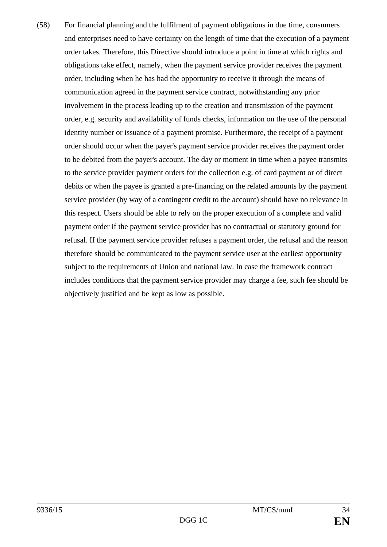(58) For financial planning and the fulfilment of payment obligations in due time, consumers and enterprises need to have certainty on the length of time that the execution of a payment order takes. Therefore, this Directive should introduce a point in time at which rights and obligations take effect, namely, when the payment service provider receives the payment order, including when he has had the opportunity to receive it through the means of communication agreed in the payment service contract, notwithstanding any prior involvement in the process leading up to the creation and transmission of the payment order, e.g. security and availability of funds checks, information on the use of the personal identity number or issuance of a payment promise. Furthermore, the receipt of a payment order should occur when the payer's payment service provider receives the payment order to be debited from the payer's account. The day or moment in time when a payee transmits to the service provider payment orders for the collection e.g. of card payment or of direct debits or when the payee is granted a pre-financing on the related amounts by the payment service provider (by way of a contingent credit to the account) should have no relevance in this respect. Users should be able to rely on the proper execution of a complete and valid payment order if the payment service provider has no contractual or statutory ground for refusal. If the payment service provider refuses a payment order, the refusal and the reason therefore should be communicated to the payment service user at the earliest opportunity subject to the requirements of Union and national law. In case the framework contract includes conditions that the payment service provider may charge a fee, such fee should be objectively justified and be kept as low as possible.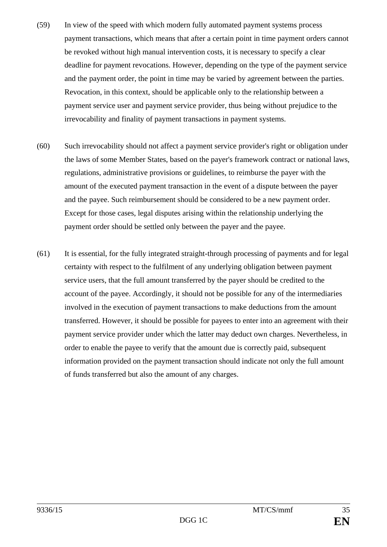- (59) In view of the speed with which modern fully automated payment systems process payment transactions, which means that after a certain point in time payment orders cannot be revoked without high manual intervention costs, it is necessary to specify a clear deadline for payment revocations. However, depending on the type of the payment service and the payment order, the point in time may be varied by agreement between the parties. Revocation, in this context, should be applicable only to the relationship between a payment service user and payment service provider, thus being without prejudice to the irrevocability and finality of payment transactions in payment systems.
- (60) Such irrevocability should not affect a payment service provider's right or obligation under the laws of some Member States, based on the payer's framework contract or national laws, regulations, administrative provisions or guidelines, to reimburse the payer with the amount of the executed payment transaction in the event of a dispute between the payer and the payee. Such reimbursement should be considered to be a new payment order. Except for those cases, legal disputes arising within the relationship underlying the payment order should be settled only between the payer and the payee.
- (61) It is essential, for the fully integrated straight-through processing of payments and for legal certainty with respect to the fulfilment of any underlying obligation between payment service users, that the full amount transferred by the payer should be credited to the account of the payee. Accordingly, it should not be possible for any of the intermediaries involved in the execution of payment transactions to make deductions from the amount transferred. However, it should be possible for payees to enter into an agreement with their payment service provider under which the latter may deduct own charges. Nevertheless, in order to enable the payee to verify that the amount due is correctly paid, subsequent information provided on the payment transaction should indicate not only the full amount of funds transferred but also the amount of any charges.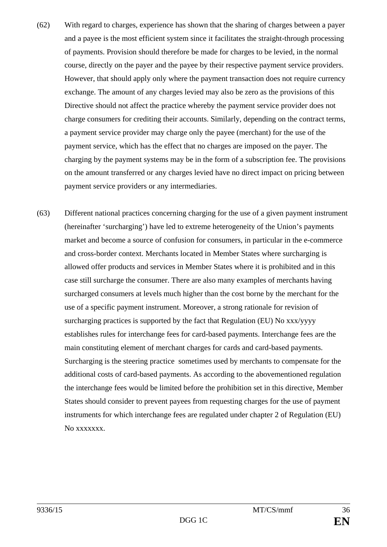- (62) With regard to charges, experience has shown that the sharing of charges between a payer and a payee is the most efficient system since it facilitates the straight-through processing of payments. Provision should therefore be made for charges to be levied, in the normal course, directly on the payer and the payee by their respective payment service providers. However, that should apply only where the payment transaction does not require currency exchange. The amount of any charges levied may also be zero as the provisions of this Directive should not affect the practice whereby the payment service provider does not charge consumers for crediting their accounts. Similarly, depending on the contract terms, a payment service provider may charge only the payee (merchant) for the use of the payment service, which has the effect that no charges are imposed on the payer. The charging by the payment systems may be in the form of a subscription fee. The provisions on the amount transferred or any charges levied have no direct impact on pricing between payment service providers or any intermediaries.
- (63) Different national practices concerning charging for the use of a given payment instrument (hereinafter 'surcharging') have led to extreme heterogeneity of the Union's payments market and become a source of confusion for consumers, in particular in the e-commerce and cross-border context. Merchants located in Member States where surcharging is allowed offer products and services in Member States where it is prohibited and in this case still surcharge the consumer. There are also many examples of merchants having surcharged consumers at levels much higher than the cost borne by the merchant for the use of a specific payment instrument. Moreover, a strong rationale for revision of surcharging practices is supported by the fact that Regulation (EU) No xxx/yyyy establishes rules for interchange fees for card-based payments. Interchange fees are the main constituting element of merchant charges for cards and card-based payments. Surcharging is the steering practice sometimes used by merchants to compensate for the additional costs of card-based payments. As according to the abovementioned regulation the interchange fees would be limited before the prohibition set in this directive, Member States should consider to prevent payees from requesting charges for the use of payment instruments for which interchange fees are regulated under chapter 2 of Regulation (EU) No xxxxxxx.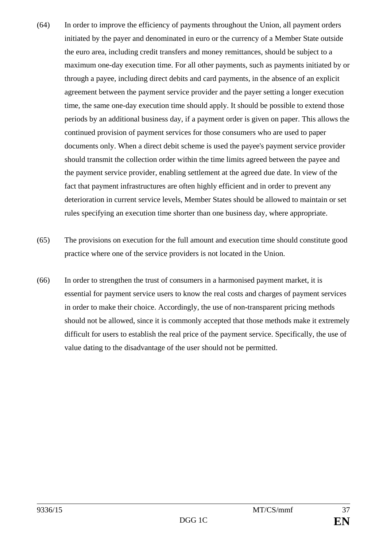- (64) In order to improve the efficiency of payments throughout the Union, all payment orders initiated by the payer and denominated in euro or the currency of a Member State outside the euro area, including credit transfers and money remittances, should be subject to a maximum one-day execution time. For all other payments, such as payments initiated by or through a payee, including direct debits and card payments, in the absence of an explicit agreement between the payment service provider and the payer setting a longer execution time, the same one-day execution time should apply. It should be possible to extend those periods by an additional business day, if a payment order is given on paper. This allows the continued provision of payment services for those consumers who are used to paper documents only. When a direct debit scheme is used the payee's payment service provider should transmit the collection order within the time limits agreed between the payee and the payment service provider, enabling settlement at the agreed due date. In view of the fact that payment infrastructures are often highly efficient and in order to prevent any deterioration in current service levels, Member States should be allowed to maintain or set rules specifying an execution time shorter than one business day, where appropriate.
- (65) The provisions on execution for the full amount and execution time should constitute good practice where one of the service providers is not located in the Union.
- (66) In order to strengthen the trust of consumers in a harmonised payment market, it is essential for payment service users to know the real costs and charges of payment services in order to make their choice. Accordingly, the use of non-transparent pricing methods should not be allowed, since it is commonly accepted that those methods make it extremely difficult for users to establish the real price of the payment service. Specifically, the use of value dating to the disadvantage of the user should not be permitted.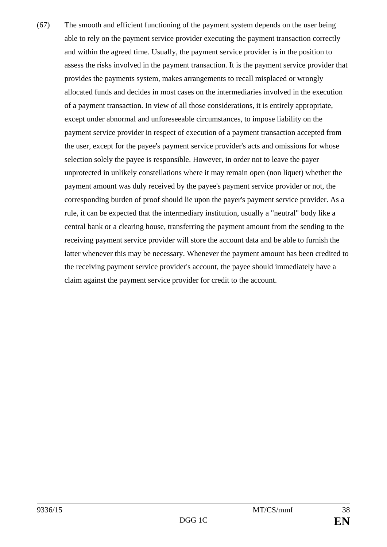(67) The smooth and efficient functioning of the payment system depends on the user being able to rely on the payment service provider executing the payment transaction correctly and within the agreed time. Usually, the payment service provider is in the position to assess the risks involved in the payment transaction. It is the payment service provider that provides the payments system, makes arrangements to recall misplaced or wrongly allocated funds and decides in most cases on the intermediaries involved in the execution of a payment transaction. In view of all those considerations, it is entirely appropriate, except under abnormal and unforeseeable circumstances, to impose liability on the payment service provider in respect of execution of a payment transaction accepted from the user, except for the payee's payment service provider's acts and omissions for whose selection solely the payee is responsible. However, in order not to leave the payer unprotected in unlikely constellations where it may remain open (non liquet) whether the payment amount was duly received by the payee's payment service provider or not, the corresponding burden of proof should lie upon the payer's payment service provider. As a rule, it can be expected that the intermediary institution, usually a "neutral" body like a central bank or a clearing house, transferring the payment amount from the sending to the receiving payment service provider will store the account data and be able to furnish the latter whenever this may be necessary. Whenever the payment amount has been credited to the receiving payment service provider's account, the payee should immediately have a claim against the payment service provider for credit to the account.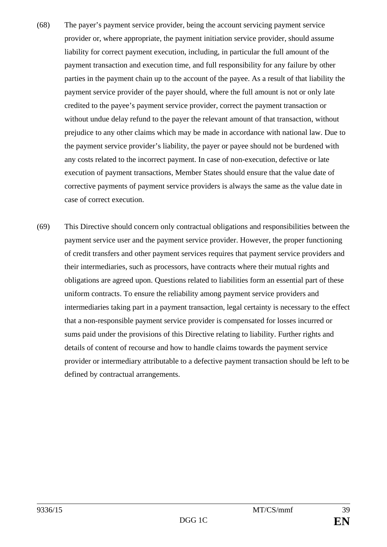- (68) The payer's payment service provider, being the account servicing payment service provider or, where appropriate, the payment initiation service provider, should assume liability for correct payment execution, including, in particular the full amount of the payment transaction and execution time, and full responsibility for any failure by other parties in the payment chain up to the account of the payee. As a result of that liability the payment service provider of the payer should, where the full amount is not or only late credited to the payee's payment service provider, correct the payment transaction or without undue delay refund to the payer the relevant amount of that transaction, without prejudice to any other claims which may be made in accordance with national law. Due to the payment service provider's liability, the payer or payee should not be burdened with any costs related to the incorrect payment. In case of non-execution, defective or late execution of payment transactions, Member States should ensure that the value date of corrective payments of payment service providers is always the same as the value date in case of correct execution.
- (69) This Directive should concern only contractual obligations and responsibilities between the payment service user and the payment service provider. However, the proper functioning of credit transfers and other payment services requires that payment service providers and their intermediaries, such as processors, have contracts where their mutual rights and obligations are agreed upon. Questions related to liabilities form an essential part of these uniform contracts. To ensure the reliability among payment service providers and intermediaries taking part in a payment transaction, legal certainty is necessary to the effect that a non-responsible payment service provider is compensated for losses incurred or sums paid under the provisions of this Directive relating to liability. Further rights and details of content of recourse and how to handle claims towards the payment service provider or intermediary attributable to a defective payment transaction should be left to be defined by contractual arrangements.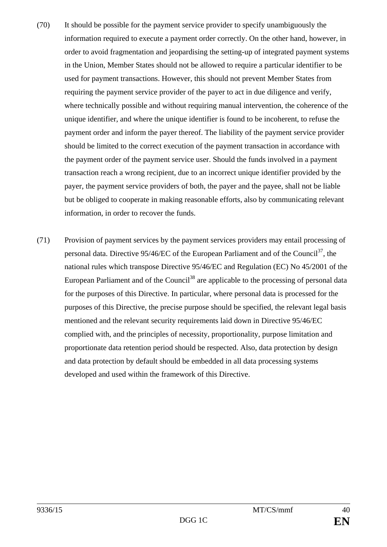- (70) It should be possible for the payment service provider to specify unambiguously the information required to execute a payment order correctly. On the other hand, however, in order to avoid fragmentation and jeopardising the setting-up of integrated payment systems in the Union, Member States should not be allowed to require a particular identifier to be used for payment transactions. However, this should not prevent Member States from requiring the payment service provider of the payer to act in due diligence and verify, where technically possible and without requiring manual intervention, the coherence of the unique identifier, and where the unique identifier is found to be incoherent, to refuse the payment order and inform the payer thereof. The liability of the payment service provider should be limited to the correct execution of the payment transaction in accordance with the payment order of the payment service user. Should the funds involved in a payment transaction reach a wrong recipient, due to an incorrect unique identifier provided by the payer, the payment service providers of both, the payer and the payee, shall not be liable but be obliged to cooperate in making reasonable efforts, also by communicating relevant information, in order to recover the funds.
- (71) Provision of payment services by the payment services providers may entail processing of personal data. Directive 95/46/EC of the European Parliament and of the Council<sup>37</sup>, the national rules which transpose Directive 95/46/EC and Regulation (EC) No 45/2001 of the European Parliament and of the Council<sup>38</sup> are applicable to the processing of personal data for the purposes of this Directive. In particular, where personal data is processed for the purposes of this Directive, the precise purpose should be specified, the relevant legal basis mentioned and the relevant security requirements laid down in Directive 95/46/EC complied with, and the principles of necessity, proportionality, purpose limitation and proportionate data retention period should be respected. Also, data protection by design and data protection by default should be embedded in all data processing systems developed and used within the framework of this Directive.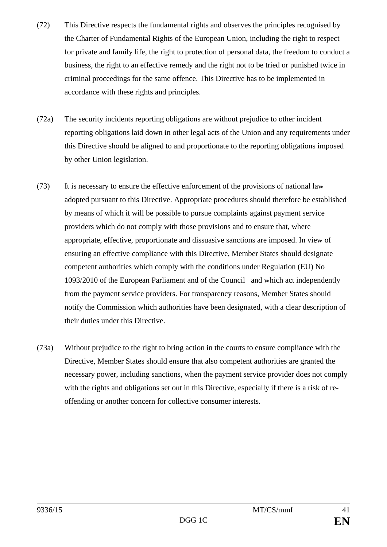- (72) This Directive respects the fundamental rights and observes the principles recognised by the Charter of Fundamental Rights of the European Union, including the right to respect for private and family life, the right to protection of personal data, the freedom to conduct a business, the right to an effective remedy and the right not to be tried or punished twice in criminal proceedings for the same offence. This Directive has to be implemented in accordance with these rights and principles.
- (72a) The security incidents reporting obligations are without prejudice to other incident reporting obligations laid down in other legal acts of the Union and any requirements under this Directive should be aligned to and proportionate to the reporting obligations imposed by other Union legislation.
- (73) It is necessary to ensure the effective enforcement of the provisions of national law adopted pursuant to this Directive. Appropriate procedures should therefore be established by means of which it will be possible to pursue complaints against payment service providers which do not comply with those provisions and to ensure that, where appropriate, effective, proportionate and dissuasive sanctions are imposed. In view of ensuring an effective compliance with this Directive, Member States should designate competent authorities which comply with the conditions under Regulation (EU) No 1093/2010 of the European Parliament and of the Council and which act independently from the payment service providers. For transparency reasons, Member States should notify the Commission which authorities have been designated, with a clear description of their duties under this Directive.
- (73a) Without prejudice to the right to bring action in the courts to ensure compliance with the Directive, Member States should ensure that also competent authorities are granted the necessary power, including sanctions, when the payment service provider does not comply with the rights and obligations set out in this Directive, especially if there is a risk of reoffending or another concern for collective consumer interests.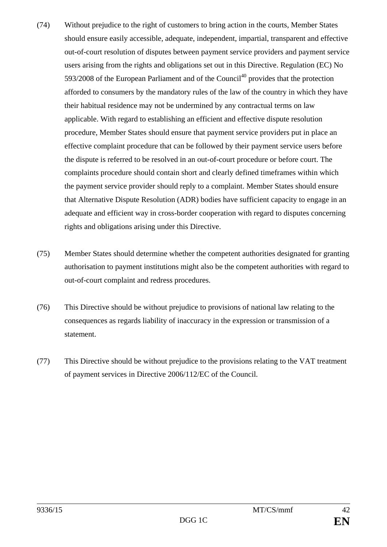- (74) Without prejudice to the right of customers to bring action in the courts, Member States should ensure easily accessible, adequate, independent, impartial, transparent and effective out-of-court resolution of disputes between payment service providers and payment service users arising from the rights and obligations set out in this Directive. Regulation (EC) No  $593/2008$  of the European Parliament and of the Council<sup>40</sup> provides that the protection afforded to consumers by the mandatory rules of the law of the country in which they have their habitual residence may not be undermined by any contractual terms on law applicable. With regard to establishing an efficient and effective dispute resolution procedure, Member States should ensure that payment service providers put in place an effective complaint procedure that can be followed by their payment service users before the dispute is referred to be resolved in an out-of-court procedure or before court. The complaints procedure should contain short and clearly defined timeframes within which the payment service provider should reply to a complaint. Member States should ensure that Alternative Dispute Resolution (ADR) bodies have sufficient capacity to engage in an adequate and efficient way in cross-border cooperation with regard to disputes concerning rights and obligations arising under this Directive.
- (75) Member States should determine whether the competent authorities designated for granting authorisation to payment institutions might also be the competent authorities with regard to out-of-court complaint and redress procedures.
- (76) This Directive should be without prejudice to provisions of national law relating to the consequences as regards liability of inaccuracy in the expression or transmission of a statement.
- (77) This Directive should be without prejudice to the provisions relating to the VAT treatment of payment services in Directive 2006/112/EC of the Council.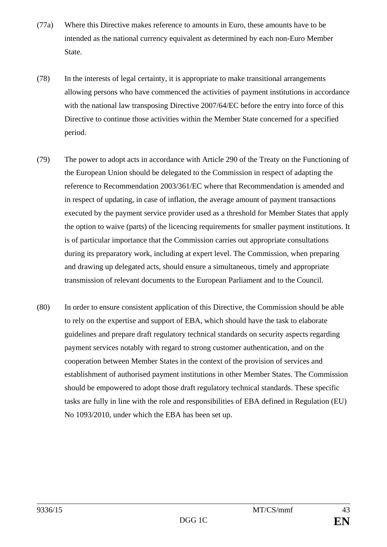- (77a) Where this Directive makes reference to amounts in Euro, these amounts have to be intended as the national currency equivalent as determined by each non-Euro Member State.
- (78) In the interests of legal certainty, it is appropriate to make transitional arrangements allowing persons who have commenced the activities of payment institutions in accordance with the national law transposing Directive 2007/64/EC before the entry into force of this Directive to continue those activities within the Member State concerned for a specified period.
- (79) The power to adopt acts in accordance with Article 290 of the Treaty on the Functioning of the European Union should be delegated to the Commission in respect of adapting the reference to Recommendation 2003/361/EC where that Recommendation is amended and in respect of updating, in case of inflation, the average amount of payment transactions executed by the payment service provider used as a threshold for Member States that apply the option to waive (parts) of the licencing requirements for smaller payment institutions. It is of particular importance that the Commission carries out appropriate consultations during its preparatory work, including at expert level. The Commission, when preparing and drawing up delegated acts, should ensure a simultaneous, timely and appropriate transmission of relevant documents to the European Parliament and to the Council.
- (80) In order to ensure consistent application of this Directive, the Commission should be able to rely on the expertise and support of EBA, which should have the task to elaborate guidelines and prepare draft regulatory technical standards on security aspects regarding payment services notably with regard to strong customer authentication, and on the cooperation between Member States in the context of the provision of services and establishment of authorised payment institutions in other Member States. The Commission should be empowered to adopt those draft regulatory technical standards. These specific tasks are fully in line with the role and responsibilities of EBA defined in Regulation (EU) No 1093/2010, under which the EBA has been set up.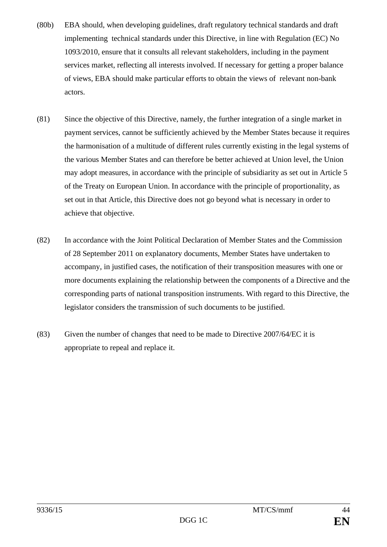- (80b) EBA should, when developing guidelines, draft regulatory technical standards and draft implementing technical standards under this Directive, in line with Regulation (EC) No 1093/2010, ensure that it consults all relevant stakeholders, including in the payment services market, reflecting all interests involved. If necessary for getting a proper balance of views, EBA should make particular efforts to obtain the views of relevant non-bank actors.
- (81) Since the objective of this Directive, namely, the further integration of a single market in payment services, cannot be sufficiently achieved by the Member States because it requires the harmonisation of a multitude of different rules currently existing in the legal systems of the various Member States and can therefore be better achieved at Union level, the Union may adopt measures, in accordance with the principle of subsidiarity as set out in Article 5 of the Treaty on European Union. In accordance with the principle of proportionality, as set out in that Article, this Directive does not go beyond what is necessary in order to achieve that objective.
- (82) In accordance with the Joint Political Declaration of Member States and the Commission of 28 September 2011 on explanatory documents, Member States have undertaken to accompany, in justified cases, the notification of their transposition measures with one or more documents explaining the relationship between the components of a Directive and the corresponding parts of national transposition instruments. With regard to this Directive, the legislator considers the transmission of such documents to be justified.
- (83) Given the number of changes that need to be made to Directive 2007/64/EC it is appropriate to repeal and replace it.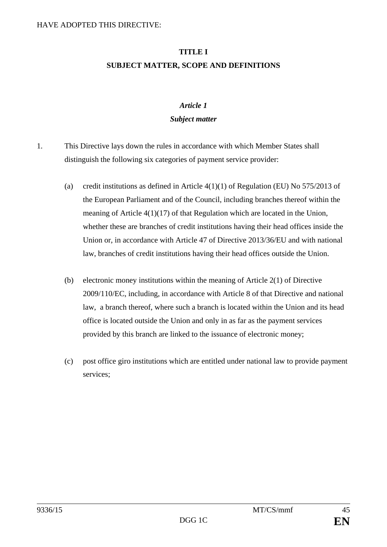# **TITLE I SUBJECT MATTER, SCOPE AND DEFINITIONS**

## *Article 1*

#### *Subject matter*

- 1. This Directive lays down the rules in accordance with which Member States shall distinguish the following six categories of payment service provider:
	- (a) credit institutions as defined in Article  $4(1)(1)$  of Regulation (EU) No 575/2013 of the European Parliament and of the Council, including branches thereof within the meaning of Article  $4(1)(17)$  of that Regulation which are located in the Union, whether these are branches of credit institutions having their head offices inside the Union or, in accordance with Article 47 of Directive 2013/36/EU and with national law, branches of credit institutions having their head offices outside the Union.
	- (b) electronic money institutions within the meaning of Article 2(1) of Directive 2009/110/EC, including, in accordance with Article 8 of that Directive and national law, a branch thereof, where such a branch is located within the Union and its head office is located outside the Union and only in as far as the payment services provided by this branch are linked to the issuance of electronic money;
	- (c) post office giro institutions which are entitled under national law to provide payment services;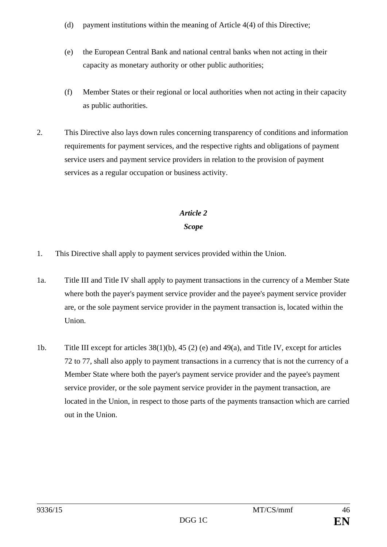- (d) payment institutions within the meaning of Article 4(4) of this Directive;
- (e) the European Central Bank and national central banks when not acting in their capacity as monetary authority or other public authorities;
- (f) Member States or their regional or local authorities when not acting in their capacity as public authorities.
- 2. This Directive also lays down rules concerning transparency of conditions and information requirements for payment services, and the respective rights and obligations of payment service users and payment service providers in relation to the provision of payment services as a regular occupation or business activity.

## *Article 2*

## *Scope*

- 1. This Directive shall apply to payment services provided within the Union.
- 1a. Title III and Title IV shall apply to payment transactions in the currency of a Member State where both the payer's payment service provider and the payee's payment service provider are, or the sole payment service provider in the payment transaction is, located within the Union.
- 1b. Title III except for articles 38(1)(b), 45 (2) (e) and 49(a), and Title IV, except for articles 72 to 77, shall also apply to payment transactions in a currency that is not the currency of a Member State where both the payer's payment service provider and the payee's payment service provider, or the sole payment service provider in the payment transaction, are located in the Union, in respect to those parts of the payments transaction which are carried out in the Union.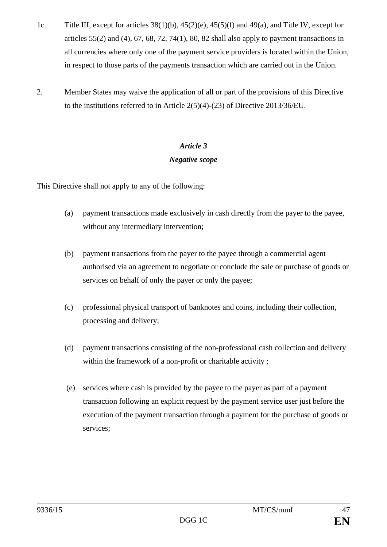- 1c. Title III, except for articles 38(1)(b), 45(2)(e), 45(5)(f) and 49(a), and Title IV, except for articles  $55(2)$  and  $(4)$ ,  $67$ ,  $68$ ,  $72$ ,  $74(1)$ ,  $80$ ,  $82$  shall also apply to payment transactions in all currencies where only one of the payment service providers is located within the Union, in respect to those parts of the payments transaction which are carried out in the Union.
- 2. Member States may waive the application of all or part of the provisions of this Directive to the institutions referred to in Article 2(5)(4)-(23) of Directive 2013/36/EU.

# *Article 3*

## *Negative scope*

This Directive shall not apply to any of the following:

- (a) payment transactions made exclusively in cash directly from the payer to the payee, without any intermediary intervention;
- (b) payment transactions from the payer to the payee through a commercial agent authorised via an agreement to negotiate or conclude the sale or purchase of goods or services on behalf of only the payer or only the payee;
- (c) professional physical transport of banknotes and coins, including their collection, processing and delivery;
- (d) payment transactions consisting of the non-professional cash collection and delivery within the framework of a non-profit or charitable activity ;
- (e) services where cash is provided by the payee to the payer as part of a payment transaction following an explicit request by the payment service user just before the execution of the payment transaction through a payment for the purchase of goods or services;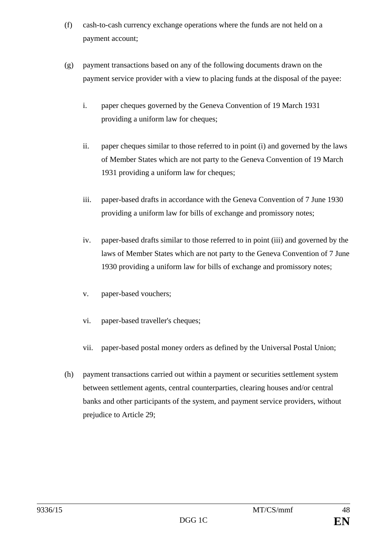- (f) cash-to-cash currency exchange operations where the funds are not held on a payment account;
- (g) payment transactions based on any of the following documents drawn on the payment service provider with a view to placing funds at the disposal of the payee:
	- i. paper cheques governed by the Geneva Convention of 19 March 1931 providing a uniform law for cheques;
	- ii. paper cheques similar to those referred to in point (i) and governed by the laws of Member States which are not party to the Geneva Convention of 19 March 1931 providing a uniform law for cheques;
	- iii. paper-based drafts in accordance with the Geneva Convention of 7 June 1930 providing a uniform law for bills of exchange and promissory notes;
	- iv. paper-based drafts similar to those referred to in point (iii) and governed by the laws of Member States which are not party to the Geneva Convention of 7 June 1930 providing a uniform law for bills of exchange and promissory notes;
	- v. paper-based vouchers;
	- vi. paper-based traveller's cheques;
	- vii. paper-based postal money orders as defined by the Universal Postal Union;
- (h) payment transactions carried out within a payment or securities settlement system between settlement agents, central counterparties, clearing houses and/or central banks and other participants of the system, and payment service providers, without prejudice to Article 29;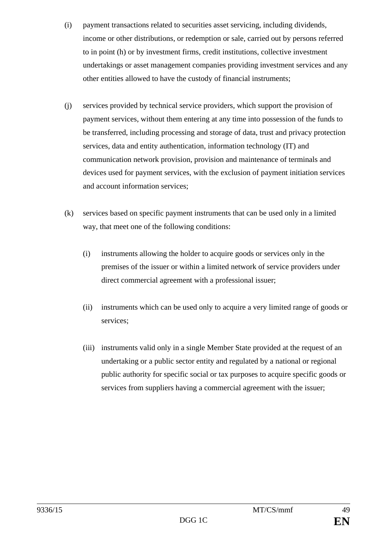- (i) payment transactions related to securities asset servicing, including dividends, income or other distributions, or redemption or sale, carried out by persons referred to in point (h) or by investment firms, credit institutions, collective investment undertakings or asset management companies providing investment services and any other entities allowed to have the custody of financial instruments;
- (j) services provided by technical service providers, which support the provision of payment services, without them entering at any time into possession of the funds to be transferred, including processing and storage of data, trust and privacy protection services, data and entity authentication, information technology (IT) and communication network provision, provision and maintenance of terminals and devices used for payment services, with the exclusion of payment initiation services and account information services;
- (k) services based on specific payment instruments that can be used only in a limited way, that meet one of the following conditions:
	- (i) instruments allowing the holder to acquire goods or services only in the premises of the issuer or within a limited network of service providers under direct commercial agreement with a professional issuer;
	- (ii) instruments which can be used only to acquire a very limited range of goods or services;
	- (iii) instruments valid only in a single Member State provided at the request of an undertaking or a public sector entity and regulated by a national or regional public authority for specific social or tax purposes to acquire specific goods or services from suppliers having a commercial agreement with the issuer;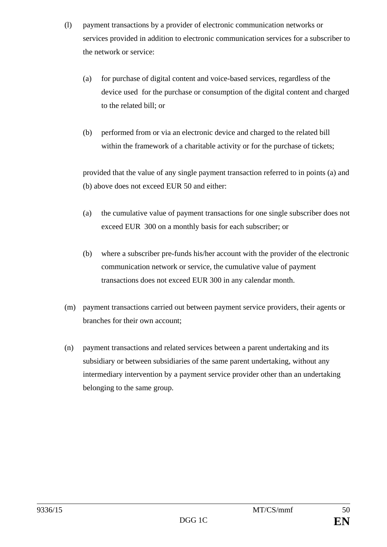- (l) payment transactions by a provider of electronic communication networks or services provided in addition to electronic communication services for a subscriber to the network or service:
	- (a) for purchase of digital content and voice-based services, regardless of the device used for the purchase or consumption of the digital content and charged to the related bill; or
	- (b) performed from or via an electronic device and charged to the related bill within the framework of a charitable activity or for the purchase of tickets;

provided that the value of any single payment transaction referred to in points (a) and (b) above does not exceed EUR 50 and either:

- (a) the cumulative value of payment transactions for one single subscriber does not exceed EUR 300 on a monthly basis for each subscriber; or
- (b) where a subscriber pre-funds his/her account with the provider of the electronic communication network or service, the cumulative value of payment transactions does not exceed EUR 300 in any calendar month.
- (m) payment transactions carried out between payment service providers, their agents or branches for their own account;
- (n) payment transactions and related services between a parent undertaking and its subsidiary or between subsidiaries of the same parent undertaking, without any intermediary intervention by a payment service provider other than an undertaking belonging to the same group.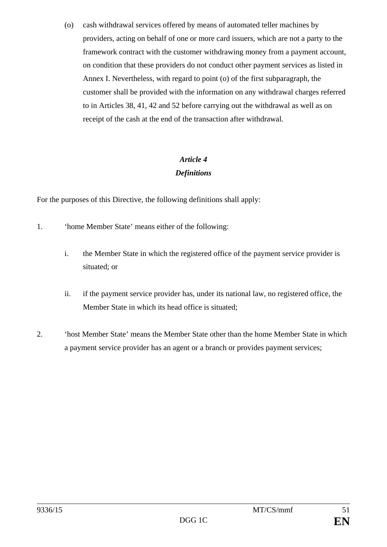(o) cash withdrawal services offered by means of automated teller machines by providers, acting on behalf of one or more card issuers, which are not a party to the framework contract with the customer withdrawing money from a payment account, on condition that these providers do not conduct other payment services as listed in Annex I. Nevertheless, with regard to point (o) of the first subparagraph, the customer shall be provided with the information on any withdrawal charges referred to in Articles 38, 41, 42 and 52 before carrying out the withdrawal as well as on receipt of the cash at the end of the transaction after withdrawal.

## *Article 4 Definitions*

For the purposes of this Directive, the following definitions shall apply:

- 1. 'home Member State' means either of the following:
	- i. the Member State in which the registered office of the payment service provider is situated; or
	- ii. if the payment service provider has, under its national law, no registered office, the Member State in which its head office is situated;
- 2. 'host Member State' means the Member State other than the home Member State in which a payment service provider has an agent or a branch or provides payment services;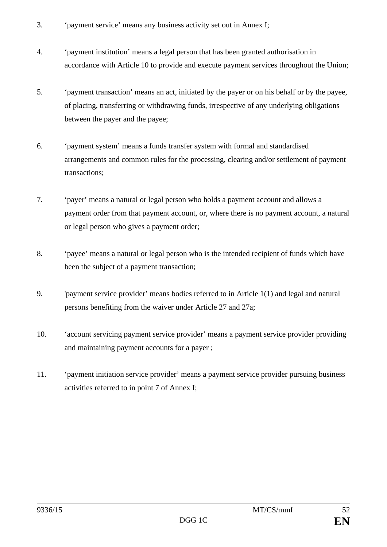- 3. 'payment service' means any business activity set out in Annex I;
- 4. 'payment institution' means a legal person that has been granted authorisation in accordance with Article 10 to provide and execute payment services throughout the Union;
- 5. 'payment transaction' means an act, initiated by the payer or on his behalf or by the payee, of placing, transferring or withdrawing funds, irrespective of any underlying obligations between the payer and the payee;
- 6. 'payment system' means a funds transfer system with formal and standardised arrangements and common rules for the processing, clearing and/or settlement of payment transactions;
- 7. 'payer' means a natural or legal person who holds a payment account and allows a payment order from that payment account, or, where there is no payment account, a natural or legal person who gives a payment order;
- 8. 'payee' means a natural or legal person who is the intended recipient of funds which have been the subject of a payment transaction;
- 9. 'payment service provider' means bodies referred to in Article 1(1) and legal and natural persons benefiting from the waiver under Article 27 and 27a;
- 10. 'account servicing payment service provider' means a payment service provider providing and maintaining payment accounts for a payer ;
- 11. 'payment initiation service provider' means a payment service provider pursuing business activities referred to in point 7 of Annex I;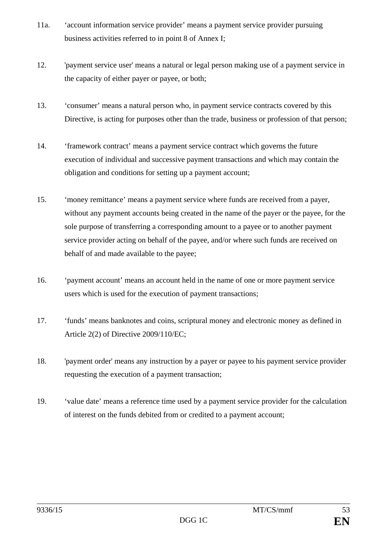- 11a. 'account information service provider' means a payment service provider pursuing business activities referred to in point 8 of Annex I;
- 12. 'payment service user' means a natural or legal person making use of a payment service in the capacity of either payer or payee, or both;
- 13. 'consumer' means a natural person who, in payment service contracts covered by this Directive, is acting for purposes other than the trade, business or profession of that person;
- 14. 'framework contract' means a payment service contract which governs the future execution of individual and successive payment transactions and which may contain the obligation and conditions for setting up a payment account;
- 15. 'money remittance' means a payment service where funds are received from a payer, without any payment accounts being created in the name of the payer or the payee, for the sole purpose of transferring a corresponding amount to a payee or to another payment service provider acting on behalf of the payee, and/or where such funds are received on behalf of and made available to the payee;
- 16. 'payment account' means an account held in the name of one or more payment service users which is used for the execution of payment transactions;
- 17. 'funds' means banknotes and coins, scriptural money and electronic money as defined in Article 2(2) of Directive 2009/110/EC;
- 18. 'payment order' means any instruction by a payer or payee to his payment service provider requesting the execution of a payment transaction;
- 19. 'value date' means a reference time used by a payment service provider for the calculation of interest on the funds debited from or credited to a payment account;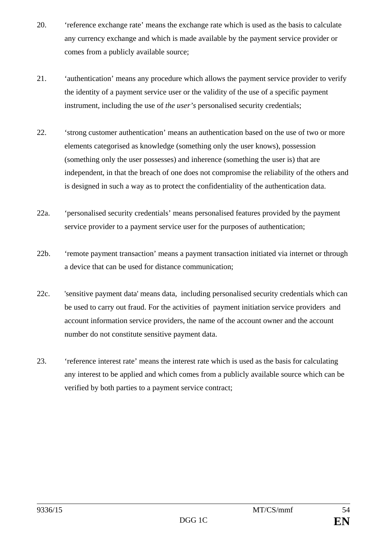- 20. 'reference exchange rate' means the exchange rate which is used as the basis to calculate any currency exchange and which is made available by the payment service provider or comes from a publicly available source;
- 21. 'authentication' means any procedure which allows the payment service provider to verify the identity of a payment service user or the validity of the use of a specific payment instrument, including the use of *the user's* personalised security credentials;
- 22. 'strong customer authentication' means an authentication based on the use of two or more elements categorised as knowledge (something only the user knows), possession (something only the user possesses) and inherence (something the user is) that are independent, in that the breach of one does not compromise the reliability of the others and is designed in such a way as to protect the confidentiality of the authentication data.
- 22a. 'personalised security credentials' means personalised features provided by the payment service provider to a payment service user for the purposes of authentication;
- 22b. 'remote payment transaction' means a payment transaction initiated via internet or through a device that can be used for distance communication;
- 22c. 'sensitive payment data' means data, including personalised security credentials which can be used to carry out fraud. For the activities of payment initiation service providers and account information service providers, the name of the account owner and the account number do not constitute sensitive payment data.
- 23. 'reference interest rate' means the interest rate which is used as the basis for calculating any interest to be applied and which comes from a publicly available source which can be verified by both parties to a payment service contract;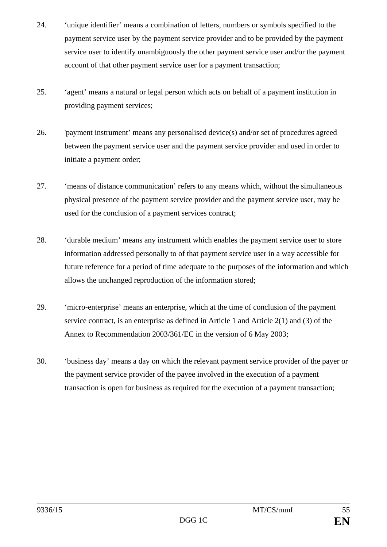- 24. 'unique identifier' means a combination of letters, numbers or symbols specified to the payment service user by the payment service provider and to be provided by the payment service user to identify unambiguously the other payment service user and/or the payment account of that other payment service user for a payment transaction;
- 25. 'agent' means a natural or legal person which acts on behalf of a payment institution in providing payment services;
- 26. 'payment instrument' means any personalised device(s) and/or set of procedures agreed between the payment service user and the payment service provider and used in order to initiate a payment order;
- 27. 'means of distance communication' refers to any means which, without the simultaneous physical presence of the payment service provider and the payment service user, may be used for the conclusion of a payment services contract;
- 28. 'durable medium' means any instrument which enables the payment service user to store information addressed personally to of that payment service user in a way accessible for future reference for a period of time adequate to the purposes of the information and which allows the unchanged reproduction of the information stored;
- 29. 'micro-enterprise' means an enterprise, which at the time of conclusion of the payment service contract, is an enterprise as defined in Article 1 and Article 2(1) and (3) of the Annex to Recommendation 2003/361/EC in the version of 6 May 2003;
- 30. 'business day' means a day on which the relevant payment service provider of the payer or the payment service provider of the payee involved in the execution of a payment transaction is open for business as required for the execution of a payment transaction;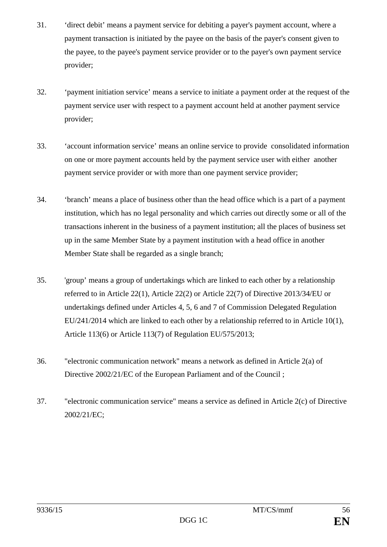- 31. 'direct debit' means a payment service for debiting a payer's payment account, where a payment transaction is initiated by the payee on the basis of the payer's consent given to the payee, to the payee's payment service provider or to the payer's own payment service provider;
- 32. 'payment initiation service' means a service to initiate a payment order at the request of the payment service user with respect to a payment account held at another payment service provider;
- 33. 'account information service' means an online service to provide consolidated information on one or more payment accounts held by the payment service user with either another payment service provider or with more than one payment service provider;
- 34. 'branch' means a place of business other than the head office which is a part of a payment institution, which has no legal personality and which carries out directly some or all of the transactions inherent in the business of a payment institution; all the places of business set up in the same Member State by a payment institution with a head office in another Member State shall be regarded as a single branch;
- 35. 'group' means a group of undertakings which are linked to each other by a relationship referred to in Article 22(1), Article 22(2) or Article 22(7) of Directive 2013/34/EU or undertakings defined under Articles 4, 5, 6 and 7 of Commission Delegated Regulation EU/241/2014 which are linked to each other by a relationship referred to in Article 10(1), Article 113(6) or Article 113(7) of Regulation EU/575/2013;
- 36. "electronic communication network" means a network as defined in Article 2(a) of Directive 2002/21/EC of the European Parliament and of the Council ;
- 37. "electronic communication service" means a service as defined in Article 2(c) of Directive 2002/21/EC;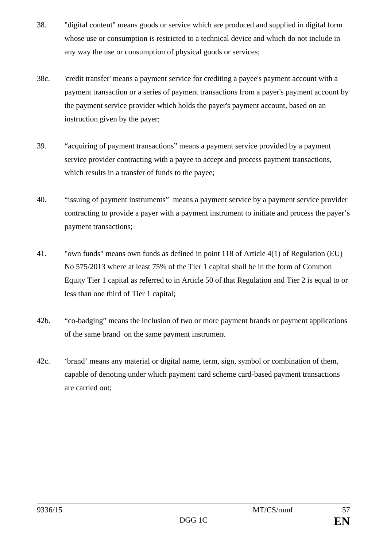- 38. "digital content" means goods or service which are produced and supplied in digital form whose use or consumption is restricted to a technical device and which do not include in any way the use or consumption of physical goods or services;
- 38c. 'credit transfer' means a payment service for crediting a payee's payment account with a payment transaction or a series of payment transactions from a payer's payment account by the payment service provider which holds the payer's payment account, based on an instruction given by the payer;
- 39. "acquiring of payment transactions" means a payment service provided by a payment service provider contracting with a payee to accept and process payment transactions, which results in a transfer of funds to the payee;
- 40. "issuing of payment instruments" means a payment service by a payment service provider contracting to provide a payer with a payment instrument to initiate and process the payer's payment transactions;
- 41. "own funds" means own funds as defined in point 118 of Article 4(1) of Regulation (EU) No 575/2013 where at least 75% of the Tier 1 capital shall be in the form of Common Equity Tier 1 capital as referred to in Article 50 of that Regulation and Tier 2 is equal to or less than one third of Tier 1 capital;
- 42b. "co-badging" means the inclusion of two or more payment brands or payment applications of the same brand on the same payment instrument
- 42c. 'brand' means any material or digital name, term, sign, symbol or combination of them, capable of denoting under which payment card scheme card-based payment transactions are carried out;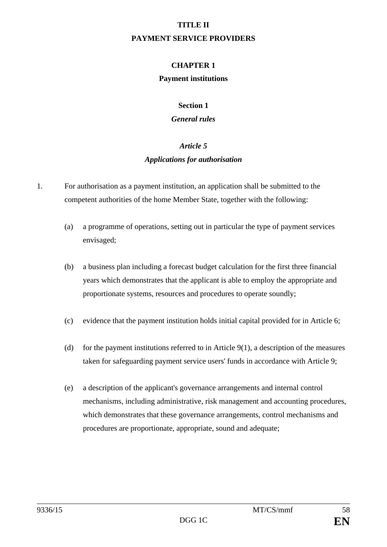#### **TITLE II**

#### **PAYMENT SERVICE PROVIDERS**

## **CHAPTER 1**

#### **Payment institutions**

#### **Section 1**

#### *General rules*

# *Article 5 Applications for authorisation*

- 1. For authorisation as a payment institution, an application shall be submitted to the competent authorities of the home Member State, together with the following:
	- (a) a programme of operations, setting out in particular the type of payment services envisaged;
	- (b) a business plan including a forecast budget calculation for the first three financial years which demonstrates that the applicant is able to employ the appropriate and proportionate systems, resources and procedures to operate soundly;
	- (c) evidence that the payment institution holds initial capital provided for in Article 6;
	- (d) for the payment institutions referred to in Article 9(1), a description of the measures taken for safeguarding payment service users' funds in accordance with Article 9;
	- (e) a description of the applicant's governance arrangements and internal control mechanisms, including administrative, risk management and accounting procedures, which demonstrates that these governance arrangements, control mechanisms and procedures are proportionate, appropriate, sound and adequate;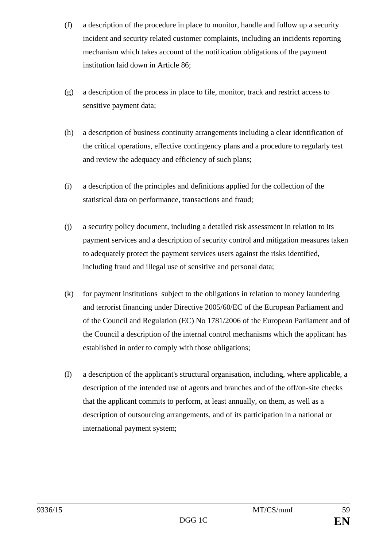- (f) a description of the procedure in place to monitor, handle and follow up a security incident and security related customer complaints, including an incidents reporting mechanism which takes account of the notification obligations of the payment institution laid down in Article 86;
- (g) a description of the process in place to file, monitor, track and restrict access to sensitive payment data;
- (h) a description of business continuity arrangements including a clear identification of the critical operations, effective contingency plans and a procedure to regularly test and review the adequacy and efficiency of such plans;
- (i) a description of the principles and definitions applied for the collection of the statistical data on performance, transactions and fraud;
- (j) a security policy document, including a detailed risk assessment in relation to its payment services and a description of security control and mitigation measures taken to adequately protect the payment services users against the risks identified, including fraud and illegal use of sensitive and personal data;
- (k) for payment institutions subject to the obligations in relation to money laundering and terrorist financing under Directive 2005/60/EC of the European Parliament and of the Council and Regulation (EC) No 1781/2006 of the European Parliament and of the Council a description of the internal control mechanisms which the applicant has established in order to comply with those obligations;
- (l) a description of the applicant's structural organisation, including, where applicable, a description of the intended use of agents and branches and of the off/on-site checks that the applicant commits to perform, at least annually, on them, as well as a description of outsourcing arrangements, and of its participation in a national or international payment system;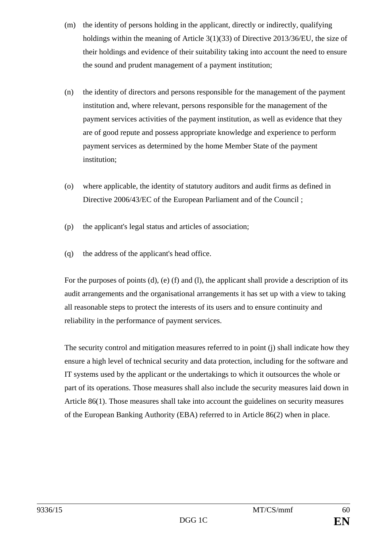- (m) the identity of persons holding in the applicant, directly or indirectly, qualifying holdings within the meaning of Article 3(1)(33) of Directive 2013/36/EU, the size of their holdings and evidence of their suitability taking into account the need to ensure the sound and prudent management of a payment institution;
- (n) the identity of directors and persons responsible for the management of the payment institution and, where relevant, persons responsible for the management of the payment services activities of the payment institution, as well as evidence that they are of good repute and possess appropriate knowledge and experience to perform payment services as determined by the home Member State of the payment institution;
- (o) where applicable, the identity of statutory auditors and audit firms as defined in Directive 2006/43/EC of the European Parliament and of the Council ;
- (p) the applicant's legal status and articles of association;
- (q) the address of the applicant's head office.

For the purposes of points (d), (e) (f) and (l), the applicant shall provide a description of its audit arrangements and the organisational arrangements it has set up with a view to taking all reasonable steps to protect the interests of its users and to ensure continuity and reliability in the performance of payment services.

The security control and mitigation measures referred to in point (j) shall indicate how they ensure a high level of technical security and data protection, including for the software and IT systems used by the applicant or the undertakings to which it outsources the whole or part of its operations. Those measures shall also include the security measures laid down in Article 86(1). Those measures shall take into account the guidelines on security measures of the European Banking Authority (EBA) referred to in Article 86(2) when in place.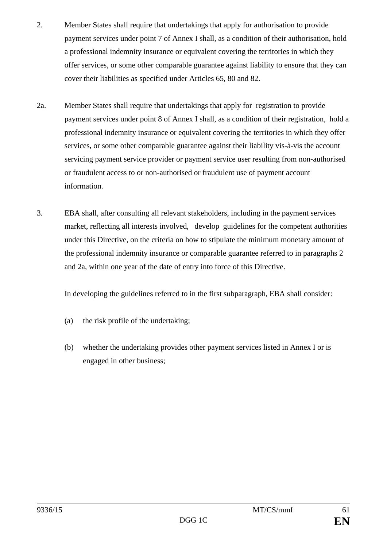- 2. Member States shall require that undertakings that apply for authorisation to provide payment services under point 7 of Annex I shall, as a condition of their authorisation, hold a professional indemnity insurance or equivalent covering the territories in which they offer services, or some other comparable guarantee against liability to ensure that they can cover their liabilities as specified under Articles 65, 80 and 82.
- 2a. Member States shall require that undertakings that apply for registration to provide payment services under point 8 of Annex I shall, as a condition of their registration, hold a professional indemnity insurance or equivalent covering the territories in which they offer services, or some other comparable guarantee against their liability vis-à-vis the account servicing payment service provider or payment service user resulting from non-authorised or fraudulent access to or non-authorised or fraudulent use of payment account information.
- 3. EBA shall, after consulting all relevant stakeholders, including in the payment services market, reflecting all interests involved, develop guidelines for the competent authorities under this Directive, on the criteria on how to stipulate the minimum monetary amount of the professional indemnity insurance or comparable guarantee referred to in paragraphs 2 and 2a, within one year of the date of entry into force of this Directive.

In developing the guidelines referred to in the first subparagraph, EBA shall consider:

- (a) the risk profile of the undertaking;
- (b) whether the undertaking provides other payment services listed in Annex I or is engaged in other business;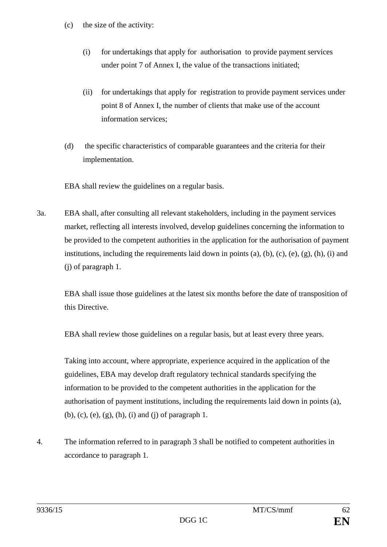- (c) the size of the activity:
	- (i) for undertakings that apply for authorisation to provide payment services under point 7 of Annex I, the value of the transactions initiated;
	- (ii) for undertakings that apply for registration to provide payment services under point 8 of Annex I, the number of clients that make use of the account information services;
- (d) the specific characteristics of comparable guarantees and the criteria for their implementation.

EBA shall review the guidelines on a regular basis.

3a. EBA shall, after consulting all relevant stakeholders, including in the payment services market, reflecting all interests involved, develop guidelines concerning the information to be provided to the competent authorities in the application for the authorisation of payment institutions, including the requirements laid down in points  $(a)$ ,  $(b)$ ,  $(c)$ ,  $(e)$ ,  $(e)$ ,  $(h)$ ,  $(i)$  and (j) of paragraph 1.

EBA shall issue those guidelines at the latest six months before the date of transposition of this Directive.

EBA shall review those guidelines on a regular basis, but at least every three years.

Taking into account, where appropriate, experience acquired in the application of the guidelines, EBA may develop draft regulatory technical standards specifying the information to be provided to the competent authorities in the application for the authorisation of payment institutions, including the requirements laid down in points (a), (b), (c), (e), (g), (h), (i) and (j) of paragraph 1.

4. The information referred to in paragraph 3 shall be notified to competent authorities in accordance to paragraph 1.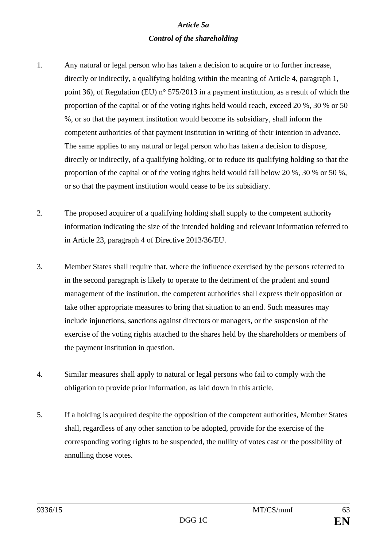# *Article 5a Control of the shareholding*

- 1. Any natural or legal person who has taken a decision to acquire or to further increase, directly or indirectly, a qualifying holding within the meaning of Article 4, paragraph 1, point 36), of Regulation (EU) n° 575/2013 in a payment institution, as a result of which the proportion of the capital or of the voting rights held would reach, exceed 20 %, 30 % or 50 %, or so that the payment institution would become its subsidiary, shall inform the competent authorities of that payment institution in writing of their intention in advance. The same applies to any natural or legal person who has taken a decision to dispose, directly or indirectly, of a qualifying holding, or to reduce its qualifying holding so that the proportion of the capital or of the voting rights held would fall below 20 %, 30 % or 50 %, or so that the payment institution would cease to be its subsidiary.
- 2. The proposed acquirer of a qualifying holding shall supply to the competent authority information indicating the size of the intended holding and relevant information referred to in Article 23, paragraph 4 of Directive 2013/36/EU.
- 3. Member States shall require that, where the influence exercised by the persons referred to in the second paragraph is likely to operate to the detriment of the prudent and sound management of the institution, the competent authorities shall express their opposition or take other appropriate measures to bring that situation to an end. Such measures may include injunctions, sanctions against directors or managers, or the suspension of the exercise of the voting rights attached to the shares held by the shareholders or members of the payment institution in question.
- 4. Similar measures shall apply to natural or legal persons who fail to comply with the obligation to provide prior information, as laid down in this article.
- 5. If a holding is acquired despite the opposition of the competent authorities, Member States shall, regardless of any other sanction to be adopted, provide for the exercise of the corresponding voting rights to be suspended, the nullity of votes cast or the possibility of annulling those votes.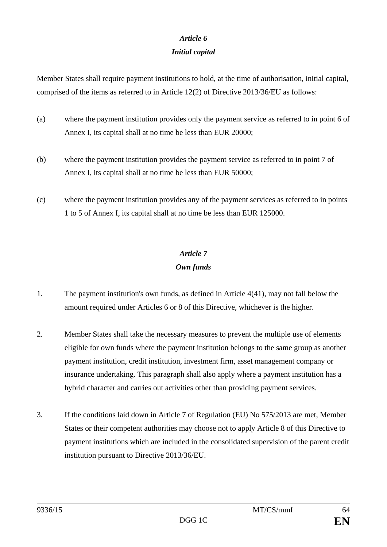# *Article 6*

## *Initial capital*

Member States shall require payment institutions to hold, at the time of authorisation, initial capital, comprised of the items as referred to in Article 12(2) of Directive 2013/36/EU as follows:

- (a) where the payment institution provides only the payment service as referred to in point 6 of Annex I, its capital shall at no time be less than EUR 20000;
- (b) where the payment institution provides the payment service as referred to in point 7 of Annex I, its capital shall at no time be less than EUR 50000;
- (c) where the payment institution provides any of the payment services as referred to in points 1 to 5 of Annex I, its capital shall at no time be less than EUR 125000.

# *Article 7 Own funds*

- 1. The payment institution's own funds, as defined in Article 4(41), may not fall below the amount required under Articles 6 or 8 of this Directive, whichever is the higher.
- 2. Member States shall take the necessary measures to prevent the multiple use of elements eligible for own funds where the payment institution belongs to the same group as another payment institution, credit institution, investment firm, asset management company or insurance undertaking. This paragraph shall also apply where a payment institution has a hybrid character and carries out activities other than providing payment services.
- 3. If the conditions laid down in Article 7 of Regulation (EU) No 575/2013 are met, Member States or their competent authorities may choose not to apply Article 8 of this Directive to payment institutions which are included in the consolidated supervision of the parent credit institution pursuant to Directive 2013/36/EU.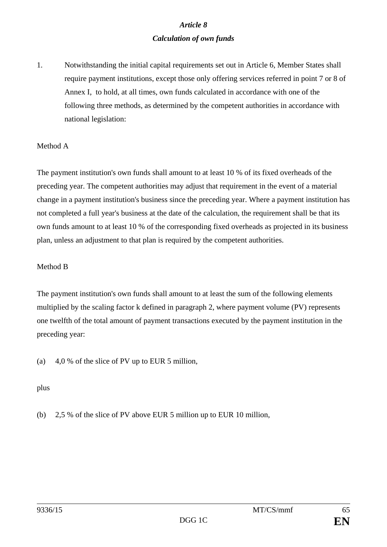## *Article 8 Calculation of own funds*

1. Notwithstanding the initial capital requirements set out in Article 6, Member States shall require payment institutions, except those only offering services referred in point 7 or 8 of Annex I, to hold, at all times, own funds calculated in accordance with one of the following three methods, as determined by the competent authorities in accordance with national legislation:

#### Method A

The payment institution's own funds shall amount to at least 10 % of its fixed overheads of the preceding year. The competent authorities may adjust that requirement in the event of a material change in a payment institution's business since the preceding year. Where a payment institution has not completed a full year's business at the date of the calculation, the requirement shall be that its own funds amount to at least 10 % of the corresponding fixed overheads as projected in its business plan, unless an adjustment to that plan is required by the competent authorities.

#### Method B

The payment institution's own funds shall amount to at least the sum of the following elements multiplied by the scaling factor k defined in paragraph 2, where payment volume (PV) represents one twelfth of the total amount of payment transactions executed by the payment institution in the preceding year:

(a) 4,0 % of the slice of PV up to EUR 5 million,

plus

(b) 2,5 % of the slice of PV above EUR 5 million up to EUR 10 million,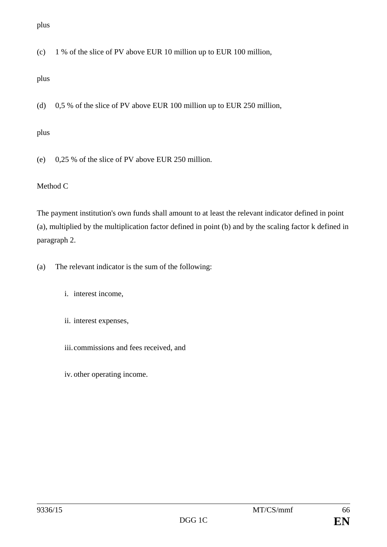(c) 1 % of the slice of PV above EUR 10 million up to EUR 100 million,

## plus

(d) 0,5 % of the slice of PV above EUR 100 million up to EUR 250 million,

## plus

(e) 0,25 % of the slice of PV above EUR 250 million.

## Method C

The payment institution's own funds shall amount to at least the relevant indicator defined in point (a), multiplied by the multiplication factor defined in point (b) and by the scaling factor k defined in paragraph 2.

- (a) The relevant indicator is the sum of the following:
	- i. interest income,
	- ii. interest expenses,
	- iii.commissions and fees received, and
	- iv. other operating income.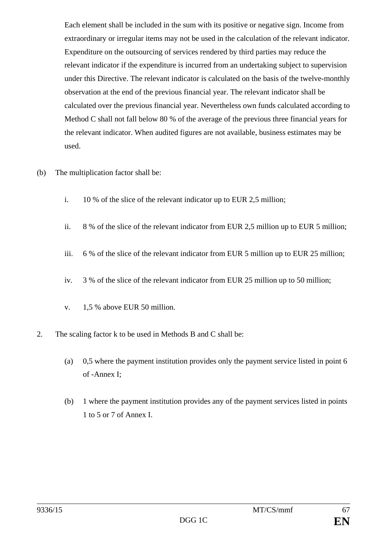Each element shall be included in the sum with its positive or negative sign. Income from extraordinary or irregular items may not be used in the calculation of the relevant indicator. Expenditure on the outsourcing of services rendered by third parties may reduce the relevant indicator if the expenditure is incurred from an undertaking subject to supervision under this Directive. The relevant indicator is calculated on the basis of the twelve-monthly observation at the end of the previous financial year. The relevant indicator shall be calculated over the previous financial year. Nevertheless own funds calculated according to Method C shall not fall below 80 % of the average of the previous three financial years for the relevant indicator. When audited figures are not available, business estimates may be used.

- (b) The multiplication factor shall be:
	- i. 10 % of the slice of the relevant indicator up to EUR 2,5 million;
	- ii. 8 % of the slice of the relevant indicator from EUR 2,5 million up to EUR 5 million;
	- iii. 6 % of the slice of the relevant indicator from EUR 5 million up to EUR 25 million;
	- iv. 3 % of the slice of the relevant indicator from EUR 25 million up to 50 million;
	- v. 1,5 % above EUR 50 million.
- 2. The scaling factor k to be used in Methods B and C shall be:
	- (a) 0,5 where the payment institution provides only the payment service listed in point 6 of -Annex I;
	- (b) 1 where the payment institution provides any of the payment services listed in points 1 to 5 or 7 of Annex I.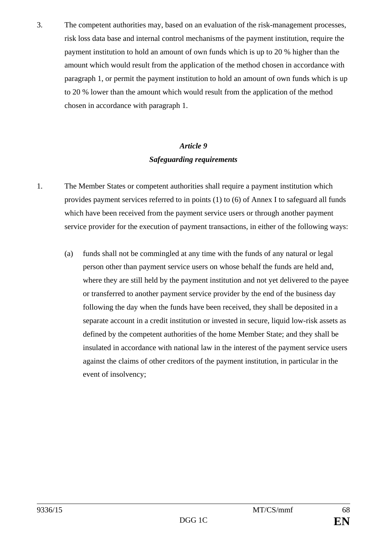3. The competent authorities may, based on an evaluation of the risk-management processes, risk loss data base and internal control mechanisms of the payment institution, require the payment institution to hold an amount of own funds which is up to 20 % higher than the amount which would result from the application of the method chosen in accordance with paragraph 1, or permit the payment institution to hold an amount of own funds which is up to 20 % lower than the amount which would result from the application of the method chosen in accordance with paragraph 1.

# *Article 9 Safeguarding requirements*

- 1. The Member States or competent authorities shall require a payment institution which provides payment services referred to in points (1) to (6) of Annex I to safeguard all funds which have been received from the payment service users or through another payment service provider for the execution of payment transactions, in either of the following ways:
	- (a) funds shall not be commingled at any time with the funds of any natural or legal person other than payment service users on whose behalf the funds are held and, where they are still held by the payment institution and not yet delivered to the payee or transferred to another payment service provider by the end of the business day following the day when the funds have been received, they shall be deposited in a separate account in a credit institution or invested in secure, liquid low-risk assets as defined by the competent authorities of the home Member State; and they shall be insulated in accordance with national law in the interest of the payment service users against the claims of other creditors of the payment institution, in particular in the event of insolvency;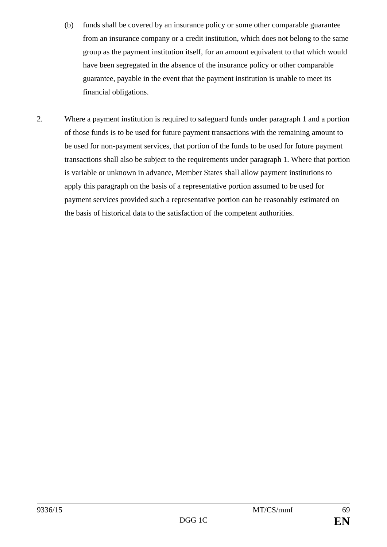- (b) funds shall be covered by an insurance policy or some other comparable guarantee from an insurance company or a credit institution, which does not belong to the same group as the payment institution itself, for an amount equivalent to that which would have been segregated in the absence of the insurance policy or other comparable guarantee, payable in the event that the payment institution is unable to meet its financial obligations.
- 2. Where a payment institution is required to safeguard funds under paragraph 1 and a portion of those funds is to be used for future payment transactions with the remaining amount to be used for non-payment services, that portion of the funds to be used for future payment transactions shall also be subject to the requirements under paragraph 1. Where that portion is variable or unknown in advance, Member States shall allow payment institutions to apply this paragraph on the basis of a representative portion assumed to be used for payment services provided such a representative portion can be reasonably estimated on the basis of historical data to the satisfaction of the competent authorities.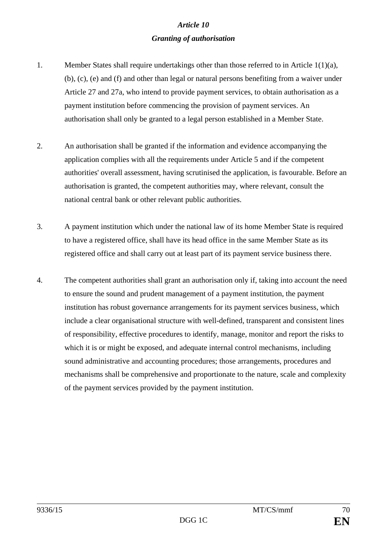# *Article 10 Granting of authorisation*

- 1. Member States shall require undertakings other than those referred to in Article 1(1)(a), (b), (c), (e) and (f) and other than legal or natural persons benefiting from a waiver under Article 27 and 27a, who intend to provide payment services, to obtain authorisation as a payment institution before commencing the provision of payment services. An authorisation shall only be granted to a legal person established in a Member State.
- 2. An authorisation shall be granted if the information and evidence accompanying the application complies with all the requirements under Article 5 and if the competent authorities' overall assessment, having scrutinised the application, is favourable. Before an authorisation is granted, the competent authorities may, where relevant, consult the national central bank or other relevant public authorities.
- 3. A payment institution which under the national law of its home Member State is required to have a registered office, shall have its head office in the same Member State as its registered office and shall carry out at least part of its payment service business there.
- 4. The competent authorities shall grant an authorisation only if, taking into account the need to ensure the sound and prudent management of a payment institution, the payment institution has robust governance arrangements for its payment services business, which include a clear organisational structure with well-defined, transparent and consistent lines of responsibility, effective procedures to identify, manage, monitor and report the risks to which it is or might be exposed, and adequate internal control mechanisms, including sound administrative and accounting procedures; those arrangements, procedures and mechanisms shall be comprehensive and proportionate to the nature, scale and complexity of the payment services provided by the payment institution.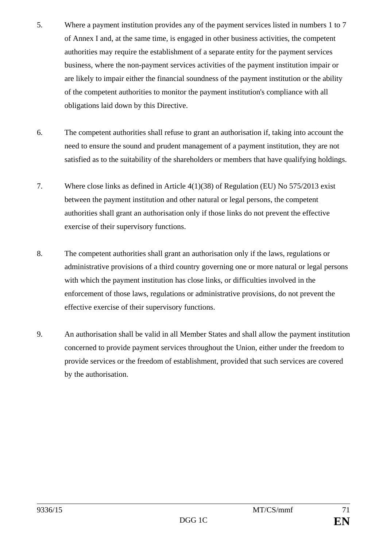- 5. Where a payment institution provides any of the payment services listed in numbers 1 to 7 of Annex I and, at the same time, is engaged in other business activities, the competent authorities may require the establishment of a separate entity for the payment services business, where the non-payment services activities of the payment institution impair or are likely to impair either the financial soundness of the payment institution or the ability of the competent authorities to monitor the payment institution's compliance with all obligations laid down by this Directive.
- 6. The competent authorities shall refuse to grant an authorisation if, taking into account the need to ensure the sound and prudent management of a payment institution, they are not satisfied as to the suitability of the shareholders or members that have qualifying holdings.
- 7. Where close links as defined in Article 4(1)(38) of Regulation (EU) No 575/2013 exist between the payment institution and other natural or legal persons, the competent authorities shall grant an authorisation only if those links do not prevent the effective exercise of their supervisory functions.
- 8. The competent authorities shall grant an authorisation only if the laws, regulations or administrative provisions of a third country governing one or more natural or legal persons with which the payment institution has close links, or difficulties involved in the enforcement of those laws, regulations or administrative provisions, do not prevent the effective exercise of their supervisory functions.
- 9. An authorisation shall be valid in all Member States and shall allow the payment institution concerned to provide payment services throughout the Union, either under the freedom to provide services or the freedom of establishment, provided that such services are covered by the authorisation.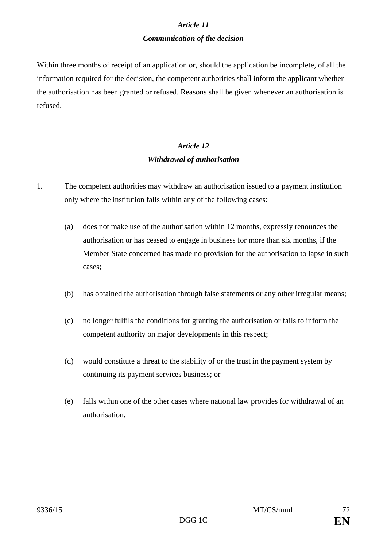# *Article 11 Communication of the decision*

Within three months of receipt of an application or, should the application be incomplete, of all the information required for the decision, the competent authorities shall inform the applicant whether the authorisation has been granted or refused. Reasons shall be given whenever an authorisation is refused.

# *Article 12 Withdrawal of authorisation*

- 1. The competent authorities may withdraw an authorisation issued to a payment institution only where the institution falls within any of the following cases:
	- (a) does not make use of the authorisation within 12 months, expressly renounces the authorisation or has ceased to engage in business for more than six months, if the Member State concerned has made no provision for the authorisation to lapse in such cases;
	- (b) has obtained the authorisation through false statements or any other irregular means;
	- (c) no longer fulfils the conditions for granting the authorisation or fails to inform the competent authority on major developments in this respect;
	- (d) would constitute a threat to the stability of or the trust in the payment system by continuing its payment services business; or
	- (e) falls within one of the other cases where national law provides for withdrawal of an authorisation.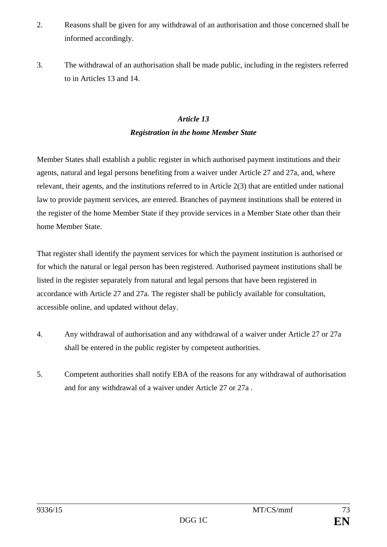- 2. Reasons shall be given for any withdrawal of an authorisation and those concerned shall be informed accordingly.
- 3. The withdrawal of an authorisation shall be made public, including in the registers referred to in Articles 13 and 14.

## *Article 13 Registration in the home Member State*

Member States shall establish a public register in which authorised payment institutions and their agents, natural and legal persons benefiting from a waiver under Article 27 and 27a, and, where relevant, their agents, and the institutions referred to in Article 2(3) that are entitled under national law to provide payment services, are entered. Branches of payment institutions shall be entered in the register of the home Member State if they provide services in a Member State other than their home Member State.

That register shall identify the payment services for which the payment institution is authorised or for which the natural or legal person has been registered. Authorised payment institutions shall be listed in the register separately from natural and legal persons that have been registered in accordance with Article 27 and 27a. The register shall be publicly available for consultation, accessible online, and updated without delay.

- 4. Any withdrawal of authorisation and any withdrawal of a waiver under Article 27 or 27a shall be entered in the public register by competent authorities.
- 5. Competent authorities shall notify EBA of the reasons for any withdrawal of authorisation and for any withdrawal of a waiver under Article 27 or 27a .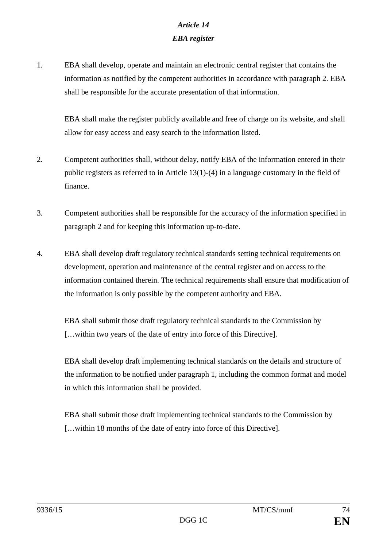# *Article 14 EBA register*

1. EBA shall develop, operate and maintain an electronic central register that contains the information as notified by the competent authorities in accordance with paragraph 2. EBA shall be responsible for the accurate presentation of that information.

EBA shall make the register publicly available and free of charge on its website, and shall allow for easy access and easy search to the information listed.

- 2. Competent authorities shall, without delay, notify EBA of the information entered in their public registers as referred to in Article 13(1)-(4) in a language customary in the field of finance.
- 3. Competent authorities shall be responsible for the accuracy of the information specified in paragraph 2 and for keeping this information up-to-date.
- 4. EBA shall develop draft regulatory technical standards setting technical requirements on development, operation and maintenance of the central register and on access to the information contained therein. The technical requirements shall ensure that modification of the information is only possible by the competent authority and EBA.

EBA shall submit those draft regulatory technical standards to the Commission by […within two years of the date of entry into force of this Directive].

EBA shall develop draft implementing technical standards on the details and structure of the information to be notified under paragraph 1, including the common format and model in which this information shall be provided.

EBA shall submit those draft implementing technical standards to the Commission by […within 18 months of the date of entry into force of this Directive].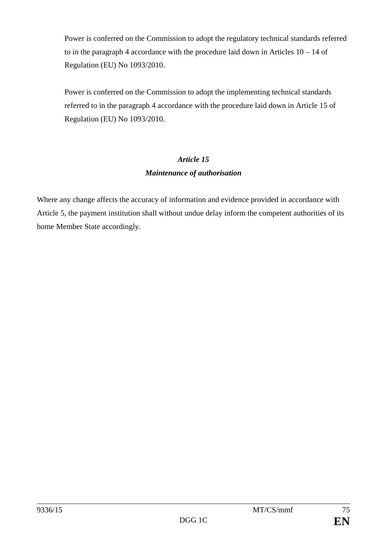Power is conferred on the Commission to adopt the regulatory technical standards referred to in the paragraph 4 accordance with the procedure laid down in Articles  $10 - 14$  of Regulation (EU) No 1093/2010.

Power is conferred on the Commission to adopt the implementing technical standards referred to in the paragraph 4 accordance with the procedure laid down in Article 15 of Regulation (EU) No 1093/2010.

## *Article 15 Maintenance of authorisation*

Where any change affects the accuracy of information and evidence provided in accordance with Article 5, the payment institution shall without undue delay inform the competent authorities of its home Member State accordingly.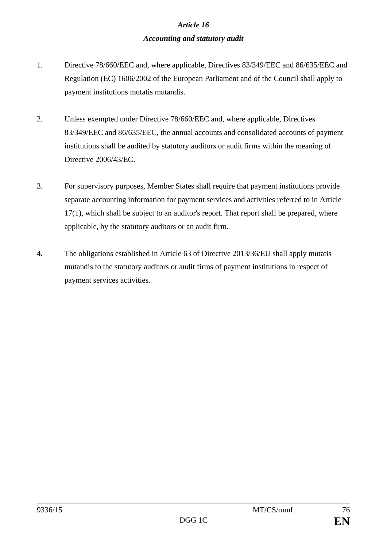## *Accounting and statutory audit*

- 1. Directive 78/660/EEC and, where applicable, Directives 83/349/EEC and 86/635/EEC and Regulation (EC) 1606/2002 of the European Parliament and of the Council shall apply to payment institutions mutatis mutandis.
- 2. Unless exempted under Directive 78/660/EEC and, where applicable, Directives 83/349/EEC and 86/635/EEC, the annual accounts and consolidated accounts of payment institutions shall be audited by statutory auditors or audit firms within the meaning of Directive 2006/43/EC.
- 3. For supervisory purposes, Member States shall require that payment institutions provide separate accounting information for payment services and activities referred to in Article 17(1), which shall be subject to an auditor's report. That report shall be prepared, where applicable, by the statutory auditors or an audit firm.
- 4. The obligations established in Article 63 of Directive 2013/36/EU shall apply mutatis mutandis to the statutory auditors or audit firms of payment institutions in respect of payment services activities.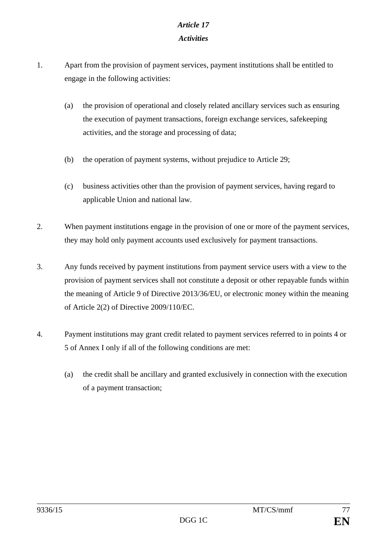## *Activities*

- 1. Apart from the provision of payment services, payment institutions shall be entitled to engage in the following activities:
	- (a) the provision of operational and closely related ancillary services such as ensuring the execution of payment transactions, foreign exchange services, safekeeping activities, and the storage and processing of data;
	- (b) the operation of payment systems, without prejudice to Article 29;
	- (c) business activities other than the provision of payment services, having regard to applicable Union and national law.
- 2. When payment institutions engage in the provision of one or more of the payment services, they may hold only payment accounts used exclusively for payment transactions.
- 3. Any funds received by payment institutions from payment service users with a view to the provision of payment services shall not constitute a deposit or other repayable funds within the meaning of Article 9 of Directive 2013/36/EU, or electronic money within the meaning of Article 2(2) of Directive 2009/110/EC.
- 4. Payment institutions may grant credit related to payment services referred to in points 4 or 5 of Annex I only if all of the following conditions are met:
	- (a) the credit shall be ancillary and granted exclusively in connection with the execution of a payment transaction;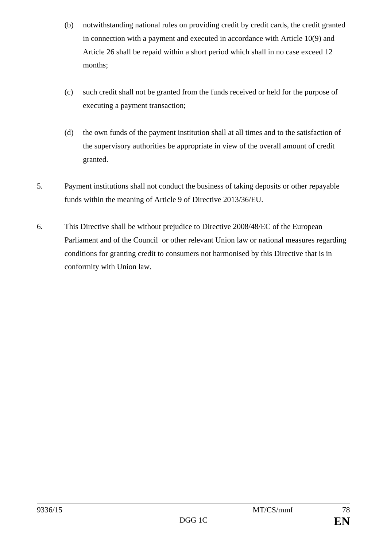- (b) notwithstanding national rules on providing credit by credit cards, the credit granted in connection with a payment and executed in accordance with Article 10(9) and Article 26 shall be repaid within a short period which shall in no case exceed 12 months;
- (c) such credit shall not be granted from the funds received or held for the purpose of executing a payment transaction;
- (d) the own funds of the payment institution shall at all times and to the satisfaction of the supervisory authorities be appropriate in view of the overall amount of credit granted.
- 5. Payment institutions shall not conduct the business of taking deposits or other repayable funds within the meaning of Article 9 of Directive 2013/36/EU.
- 6. This Directive shall be without prejudice to Directive 2008/48/EC of the European Parliament and of the Council or other relevant Union law or national measures regarding conditions for granting credit to consumers not harmonised by this Directive that is in conformity with Union law.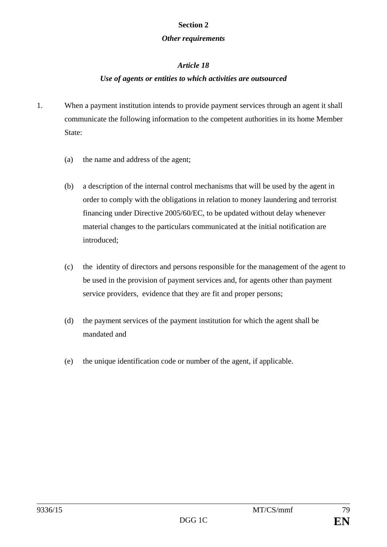#### **Section 2**

#### *Other requirements*

## *Article 18*

## *Use of agents or entities to which activities are outsourced*

- 1. When a payment institution intends to provide payment services through an agent it shall communicate the following information to the competent authorities in its home Member State:
	- (a) the name and address of the agent;
	- (b) a description of the internal control mechanisms that will be used by the agent in order to comply with the obligations in relation to money laundering and terrorist financing under Directive 2005/60/EC, to be updated without delay whenever material changes to the particulars communicated at the initial notification are introduced;
	- (c) the identity of directors and persons responsible for the management of the agent to be used in the provision of payment services and, for agents other than payment service providers, evidence that they are fit and proper persons;
	- (d) the payment services of the payment institution for which the agent shall be mandated and
	- (e) the unique identification code or number of the agent, if applicable.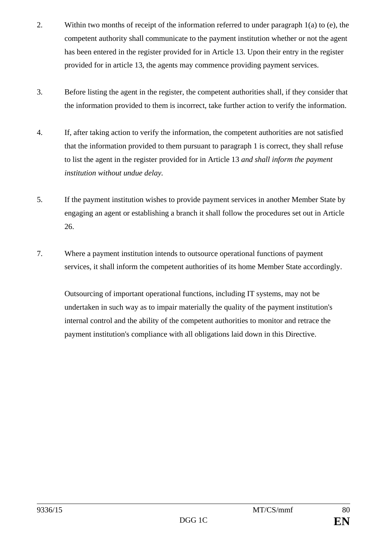- 2. Within two months of receipt of the information referred to under paragraph 1(a) to (e), the competent authority shall communicate to the payment institution whether or not the agent has been entered in the register provided for in Article 13. Upon their entry in the register provided for in article 13, the agents may commence providing payment services.
- 3. Before listing the agent in the register, the competent authorities shall, if they consider that the information provided to them is incorrect, take further action to verify the information.
- 4. If, after taking action to verify the information, the competent authorities are not satisfied that the information provided to them pursuant to paragraph 1 is correct, they shall refuse to list the agent in the register provided for in Article 13 *and shall inform the payment institution without undue delay.*
- 5. If the payment institution wishes to provide payment services in another Member State by engaging an agent or establishing a branch it shall follow the procedures set out in Article 26.
- 7. Where a payment institution intends to outsource operational functions of payment services, it shall inform the competent authorities of its home Member State accordingly.

Outsourcing of important operational functions, including IT systems, may not be undertaken in such way as to impair materially the quality of the payment institution's internal control and the ability of the competent authorities to monitor and retrace the payment institution's compliance with all obligations laid down in this Directive.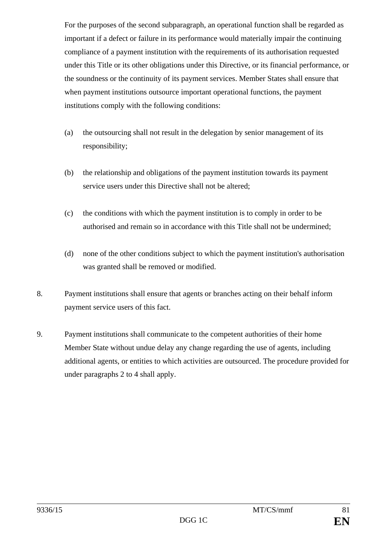For the purposes of the second subparagraph, an operational function shall be regarded as important if a defect or failure in its performance would materially impair the continuing compliance of a payment institution with the requirements of its authorisation requested under this Title or its other obligations under this Directive, or its financial performance, or the soundness or the continuity of its payment services. Member States shall ensure that when payment institutions outsource important operational functions, the payment institutions comply with the following conditions:

- (a) the outsourcing shall not result in the delegation by senior management of its responsibility;
- (b) the relationship and obligations of the payment institution towards its payment service users under this Directive shall not be altered;
- (c) the conditions with which the payment institution is to comply in order to be authorised and remain so in accordance with this Title shall not be undermined;
- (d) none of the other conditions subject to which the payment institution's authorisation was granted shall be removed or modified.
- 8. Payment institutions shall ensure that agents or branches acting on their behalf inform payment service users of this fact.
- 9. Payment institutions shall communicate to the competent authorities of their home Member State without undue delay any change regarding the use of agents, including additional agents, or entities to which activities are outsourced. The procedure provided for under paragraphs 2 to 4 shall apply.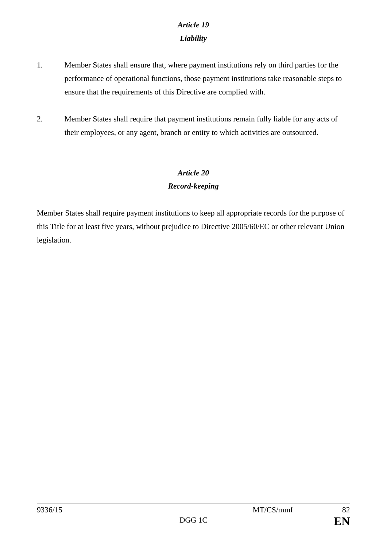# *Article 19 Liability*

- 1. Member States shall ensure that, where payment institutions rely on third parties for the performance of operational functions, those payment institutions take reasonable steps to ensure that the requirements of this Directive are complied with.
- 2. Member States shall require that payment institutions remain fully liable for any acts of their employees, or any agent, branch or entity to which activities are outsourced.

# *Article 20*

## *Record-keeping*

Member States shall require payment institutions to keep all appropriate records for the purpose of this Title for at least five years, without prejudice to Directive 2005/60/EC or other relevant Union legislation.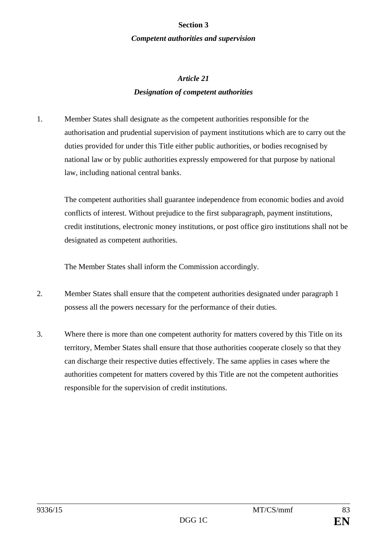#### **Section 3**

#### *Competent authorities and supervision*

# *Article 21 Designation of competent authorities*

1. Member States shall designate as the competent authorities responsible for the authorisation and prudential supervision of payment institutions which are to carry out the duties provided for under this Title either public authorities, or bodies recognised by national law or by public authorities expressly empowered for that purpose by national law, including national central banks.

The competent authorities shall guarantee independence from economic bodies and avoid conflicts of interest. Without prejudice to the first subparagraph, payment institutions, credit institutions, electronic money institutions, or post office giro institutions shall not be designated as competent authorities.

The Member States shall inform the Commission accordingly.

- 2. Member States shall ensure that the competent authorities designated under paragraph 1 possess all the powers necessary for the performance of their duties.
- 3. Where there is more than one competent authority for matters covered by this Title on its territory, Member States shall ensure that those authorities cooperate closely so that they can discharge their respective duties effectively. The same applies in cases where the authorities competent for matters covered by this Title are not the competent authorities responsible for the supervision of credit institutions.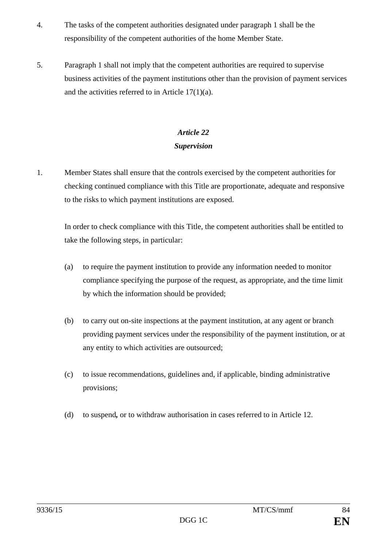- 4. The tasks of the competent authorities designated under paragraph 1 shall be the responsibility of the competent authorities of the home Member State.
- 5. Paragraph 1 shall not imply that the competent authorities are required to supervise business activities of the payment institutions other than the provision of payment services and the activities referred to in Article 17(1)(a).

## *Article 22 Supervision*

1. Member States shall ensure that the controls exercised by the competent authorities for checking continued compliance with this Title are proportionate, adequate and responsive to the risks to which payment institutions are exposed.

In order to check compliance with this Title, the competent authorities shall be entitled to take the following steps, in particular:

- (a) to require the payment institution to provide any information needed to monitor compliance specifying the purpose of the request, as appropriate, and the time limit by which the information should be provided;
- (b) to carry out on-site inspections at the payment institution, at any agent or branch providing payment services under the responsibility of the payment institution, or at any entity to which activities are outsourced;
- (c) to issue recommendations, guidelines and, if applicable, binding administrative provisions;
- (d) to suspend*,* or to withdraw authorisation in cases referred to in Article 12.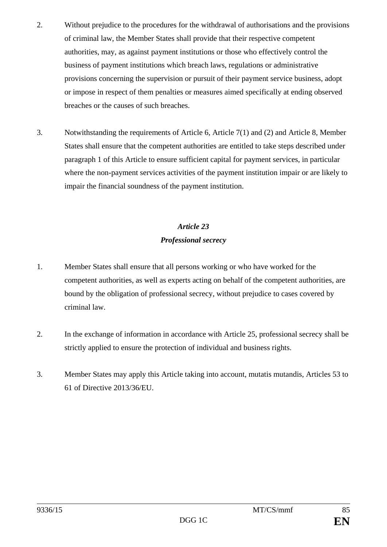- 2. Without prejudice to the procedures for the withdrawal of authorisations and the provisions of criminal law, the Member States shall provide that their respective competent authorities, may, as against payment institutions or those who effectively control the business of payment institutions which breach laws, regulations or administrative provisions concerning the supervision or pursuit of their payment service business, adopt or impose in respect of them penalties or measures aimed specifically at ending observed breaches or the causes of such breaches.
- 3. Notwithstanding the requirements of Article 6, Article 7(1) and (2) and Article 8, Member States shall ensure that the competent authorities are entitled to take steps described under paragraph 1 of this Article to ensure sufficient capital for payment services, in particular where the non-payment services activities of the payment institution impair or are likely to impair the financial soundness of the payment institution.

# *Article 23 Professional secrecy*

- 1. Member States shall ensure that all persons working or who have worked for the competent authorities, as well as experts acting on behalf of the competent authorities, are bound by the obligation of professional secrecy, without prejudice to cases covered by criminal law.
- 2. In the exchange of information in accordance with Article 25, professional secrecy shall be strictly applied to ensure the protection of individual and business rights.
- 3. Member States may apply this Article taking into account, mutatis mutandis, Articles 53 to 61 of Directive 2013/36/EU.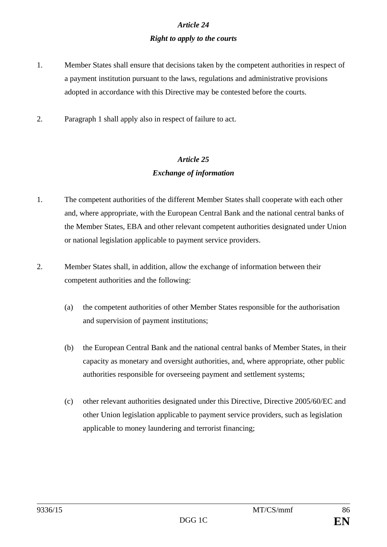# *Article 24 Right to apply to the courts*

- 1. Member States shall ensure that decisions taken by the competent authorities in respect of a payment institution pursuant to the laws, regulations and administrative provisions adopted in accordance with this Directive may be contested before the courts.
- 2. Paragraph 1 shall apply also in respect of failure to act.

## *Article 25 Exchange of information*

- 1. The competent authorities of the different Member States shall cooperate with each other and, where appropriate, with the European Central Bank and the national central banks of the Member States, EBA and other relevant competent authorities designated under Union or national legislation applicable to payment service providers.
- 2. Member States shall, in addition, allow the exchange of information between their competent authorities and the following:
	- (a) the competent authorities of other Member States responsible for the authorisation and supervision of payment institutions;
	- (b) the European Central Bank and the national central banks of Member States, in their capacity as monetary and oversight authorities, and, where appropriate, other public authorities responsible for overseeing payment and settlement systems;
	- (c) other relevant authorities designated under this Directive, Directive 2005/60/EC and other Union legislation applicable to payment service providers, such as legislation applicable to money laundering and terrorist financing;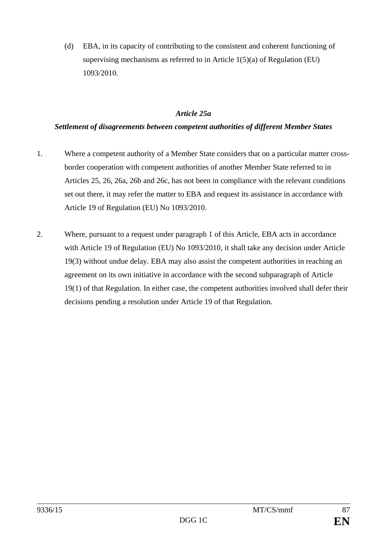(d) EBA, in its capacity of contributing to the consistent and coherent functioning of supervising mechanisms as referred to in Article 1(5)(a) of Regulation (EU) 1093/2010.

#### *Article 25a*

### *Settlement of disagreements between competent authorities of different Member States*

- 1. Where a competent authority of a Member State considers that on a particular matter crossborder cooperation with competent authorities of another Member State referred to in Articles 25, 26, 26a, 26b and 26c, has not been in compliance with the relevant conditions set out there, it may refer the matter to EBA and request its assistance in accordance with Article 19 of Regulation (EU) No 1093/2010.
- 2. Where, pursuant to a request under paragraph 1 of this Article, EBA acts in accordance with Article 19 of Regulation (EU) No 1093/2010, it shall take any decision under Article 19(3) without undue delay. EBA may also assist the competent authorities in reaching an agreement on its own initiative in accordance with the second subparagraph of Article 19(1) of that Regulation. In either case, the competent authorities involved shall defer their decisions pending a resolution under Article 19 of that Regulation.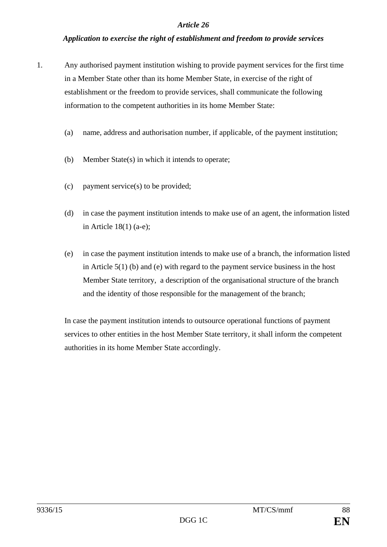#### *Application to exercise the right of establishment and freedom to provide services*

- 1. Any authorised payment institution wishing to provide payment services for the first time in a Member State other than its home Member State, in exercise of the right of establishment or the freedom to provide services, shall communicate the following information to the competent authorities in its home Member State:
	- (a) name, address and authorisation number, if applicable, of the payment institution;
	- (b) Member State(s) in which it intends to operate;
	- (c) payment service(s) to be provided;
	- (d) in case the payment institution intends to make use of an agent, the information listed in Article 18(1) (a-e);
	- (e) in case the payment institution intends to make use of a branch, the information listed in Article 5(1) (b) and (e) with regard to the payment service business in the host Member State territory, a description of the organisational structure of the branch and the identity of those responsible for the management of the branch;

In case the payment institution intends to outsource operational functions of payment services to other entities in the host Member State territory, it shall inform the competent authorities in its home Member State accordingly.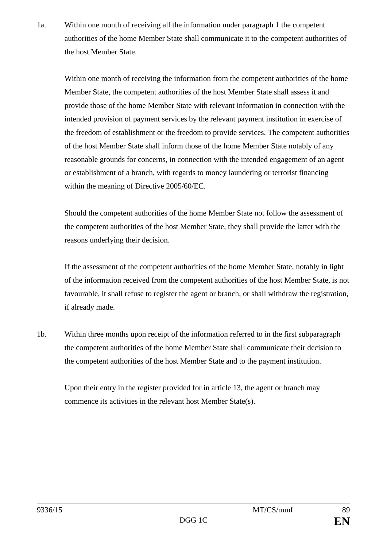1a. Within one month of receiving all the information under paragraph 1 the competent authorities of the home Member State shall communicate it to the competent authorities of the host Member State.

Within one month of receiving the information from the competent authorities of the home Member State, the competent authorities of the host Member State shall assess it and provide those of the home Member State with relevant information in connection with the intended provision of payment services by the relevant payment institution in exercise of the freedom of establishment or the freedom to provide services. The competent authorities of the host Member State shall inform those of the home Member State notably of any reasonable grounds for concerns, in connection with the intended engagement of an agent or establishment of a branch, with regards to money laundering or terrorist financing within the meaning of Directive 2005/60/EC.

Should the competent authorities of the home Member State not follow the assessment of the competent authorities of the host Member State, they shall provide the latter with the reasons underlying their decision.

If the assessment of the competent authorities of the home Member State, notably in light of the information received from the competent authorities of the host Member State, is not favourable, it shall refuse to register the agent or branch, or shall withdraw the registration, if already made.

1b. Within three months upon receipt of the information referred to in the first subparagraph the competent authorities of the home Member State shall communicate their decision to the competent authorities of the host Member State and to the payment institution.

Upon their entry in the register provided for in article 13, the agent or branch may commence its activities in the relevant host Member State(s).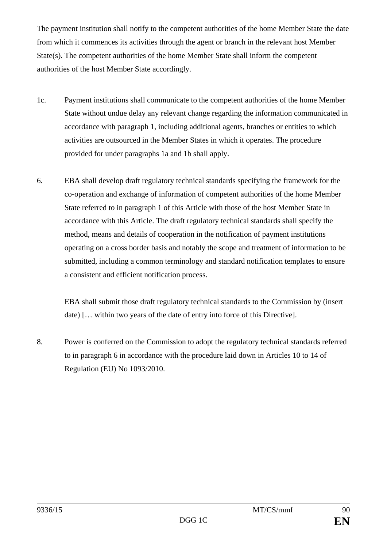The payment institution shall notify to the competent authorities of the home Member State the date from which it commences its activities through the agent or branch in the relevant host Member State(s). The competent authorities of the home Member State shall inform the competent authorities of the host Member State accordingly.

- 1c. Payment institutions shall communicate to the competent authorities of the home Member State without undue delay any relevant change regarding the information communicated in accordance with paragraph 1, including additional agents, branches or entities to which activities are outsourced in the Member States in which it operates. The procedure provided for under paragraphs 1a and 1b shall apply.
- 6. EBA shall develop draft regulatory technical standards specifying the framework for the co-operation and exchange of information of competent authorities of the home Member State referred to in paragraph 1 of this Article with those of the host Member State in accordance with this Article. The draft regulatory technical standards shall specify the method, means and details of cooperation in the notification of payment institutions operating on a cross border basis and notably the scope and treatment of information to be submitted, including a common terminology and standard notification templates to ensure a consistent and efficient notification process.

EBA shall submit those draft regulatory technical standards to the Commission by (insert date) [… within two years of the date of entry into force of this Directive].

8. Power is conferred on the Commission to adopt the regulatory technical standards referred to in paragraph 6 in accordance with the procedure laid down in Articles 10 to 14 of Regulation (EU) No 1093/2010.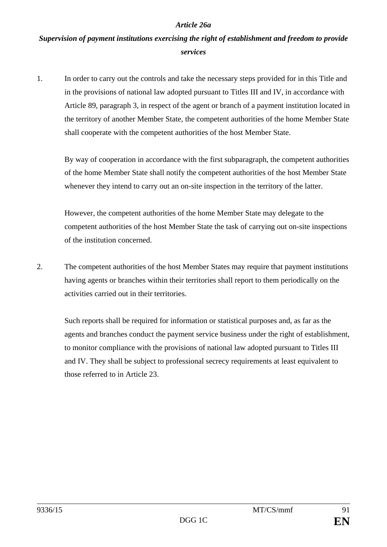#### *Article 26a*

# *Supervision of payment institutions exercising the right of establishment and freedom to provide services*

1. In order to carry out the controls and take the necessary steps provided for in this Title and in the provisions of national law adopted pursuant to Titles III and IV, in accordance with Article 89, paragraph 3, in respect of the agent or branch of a payment institution located in the territory of another Member State, the competent authorities of the home Member State shall cooperate with the competent authorities of the host Member State.

By way of cooperation in accordance with the first subparagraph, the competent authorities of the home Member State shall notify the competent authorities of the host Member State whenever they intend to carry out an on-site inspection in the territory of the latter.

However, the competent authorities of the home Member State may delegate to the competent authorities of the host Member State the task of carrying out on-site inspections of the institution concerned.

2. The competent authorities of the host Member States may require that payment institutions having agents or branches within their territories shall report to them periodically on the activities carried out in their territories.

Such reports shall be required for information or statistical purposes and, as far as the agents and branches conduct the payment service business under the right of establishment, to monitor compliance with the provisions of national law adopted pursuant to Titles III and IV. They shall be subject to professional secrecy requirements at least equivalent to those referred to in Article 23.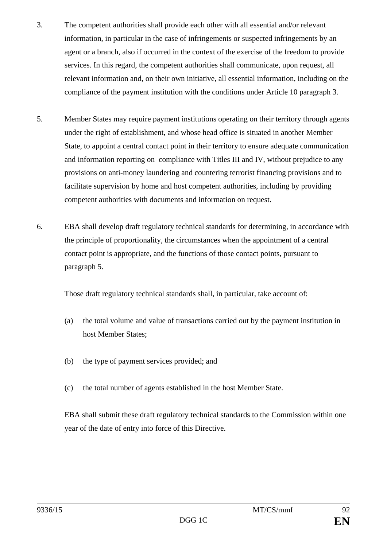- 3. The competent authorities shall provide each other with all essential and/or relevant information, in particular in the case of infringements or suspected infringements by an agent or a branch, also if occurred in the context of the exercise of the freedom to provide services. In this regard, the competent authorities shall communicate, upon request, all relevant information and, on their own initiative, all essential information, including on the compliance of the payment institution with the conditions under Article 10 paragraph 3.
- 5. Member States may require payment institutions operating on their territory through agents under the right of establishment, and whose head office is situated in another Member State, to appoint a central contact point in their territory to ensure adequate communication and information reporting on compliance with Titles III and IV, without prejudice to any provisions on anti-money laundering and countering terrorist financing provisions and to facilitate supervision by home and host competent authorities, including by providing competent authorities with documents and information on request.
- 6. EBA shall develop draft regulatory technical standards for determining, in accordance with the principle of proportionality, the circumstances when the appointment of a central contact point is appropriate, and the functions of those contact points, pursuant to paragraph 5.

Those draft regulatory technical standards shall, in particular, take account of:

- (a) the total volume and value of transactions carried out by the payment institution in host Member States;
- (b) the type of payment services provided; and
- (c) the total number of agents established in the host Member State.

EBA shall submit these draft regulatory technical standards to the Commission within one year of the date of entry into force of this Directive.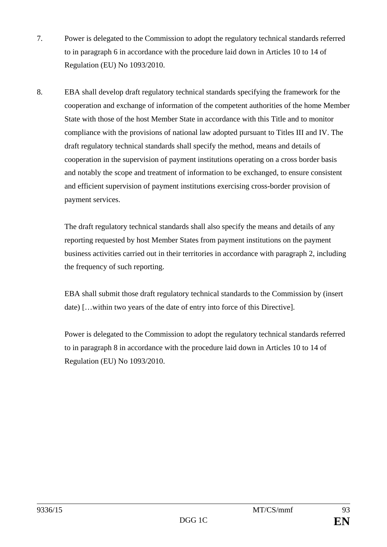- 7. Power is delegated to the Commission to adopt the regulatory technical standards referred to in paragraph 6 in accordance with the procedure laid down in Articles 10 to 14 of Regulation (EU) No 1093/2010.
- 8. EBA shall develop draft regulatory technical standards specifying the framework for the cooperation and exchange of information of the competent authorities of the home Member State with those of the host Member State in accordance with this Title and to monitor compliance with the provisions of national law adopted pursuant to Titles III and IV. The draft regulatory technical standards shall specify the method, means and details of cooperation in the supervision of payment institutions operating on a cross border basis and notably the scope and treatment of information to be exchanged, to ensure consistent and efficient supervision of payment institutions exercising cross-border provision of payment services.

The draft regulatory technical standards shall also specify the means and details of any reporting requested by host Member States from payment institutions on the payment business activities carried out in their territories in accordance with paragraph 2, including the frequency of such reporting.

EBA shall submit those draft regulatory technical standards to the Commission by (insert date) […within two years of the date of entry into force of this Directive].

Power is delegated to the Commission to adopt the regulatory technical standards referred to in paragraph 8 in accordance with the procedure laid down in Articles 10 to 14 of Regulation (EU) No 1093/2010.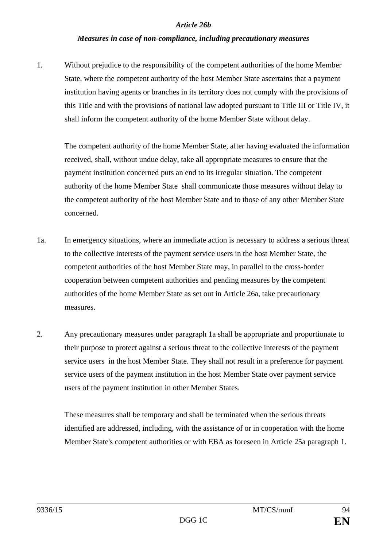#### *Article 26b*

#### *Measures in case of non-compliance, including precautionary measures*

1. Without prejudice to the responsibility of the competent authorities of the home Member State, where the competent authority of the host Member State ascertains that a payment institution having agents or branches in its territory does not comply with the provisions of this Title and with the provisions of national law adopted pursuant to Title III or Title IV, it shall inform the competent authority of the home Member State without delay.

The competent authority of the home Member State, after having evaluated the information received, shall, without undue delay, take all appropriate measures to ensure that the payment institution concerned puts an end to its irregular situation. The competent authority of the home Member State shall communicate those measures without delay to the competent authority of the host Member State and to those of any other Member State concerned.

- 1a. In emergency situations, where an immediate action is necessary to address a serious threat to the collective interests of the payment service users in the host Member State, the competent authorities of the host Member State may, in parallel to the cross-border cooperation between competent authorities and pending measures by the competent authorities of the home Member State as set out in Article 26a, take precautionary measures.
- 2. Any precautionary measures under paragraph 1a shall be appropriate and proportionate to their purpose to protect against a serious threat to the collective interests of the payment service users in the host Member State. They shall not result in a preference for payment service users of the payment institution in the host Member State over payment service users of the payment institution in other Member States.

These measures shall be temporary and shall be terminated when the serious threats identified are addressed, including, with the assistance of or in cooperation with the home Member State's competent authorities or with EBA as foreseen in Article 25a paragraph 1.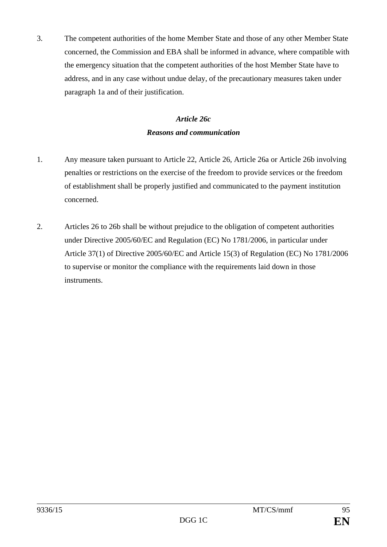3. The competent authorities of the home Member State and those of any other Member State concerned, the Commission and EBA shall be informed in advance, where compatible with the emergency situation that the competent authorities of the host Member State have to address, and in any case without undue delay, of the precautionary measures taken under paragraph 1a and of their justification.

# *Article 26c Reasons and communication*

- 1. Any measure taken pursuant to Article 22, Article 26, Article 26a or Article 26b involving penalties or restrictions on the exercise of the freedom to provide services or the freedom of establishment shall be properly justified and communicated to the payment institution concerned.
- 2. Articles 26 to 26b shall be without prejudice to the obligation of competent authorities under Directive 2005/60/EC and Regulation (EC) No 1781/2006, in particular under Article 37(1) of Directive 2005/60/EC and Article 15(3) of Regulation (EC) No 1781/2006 to supervise or monitor the compliance with the requirements laid down in those instruments.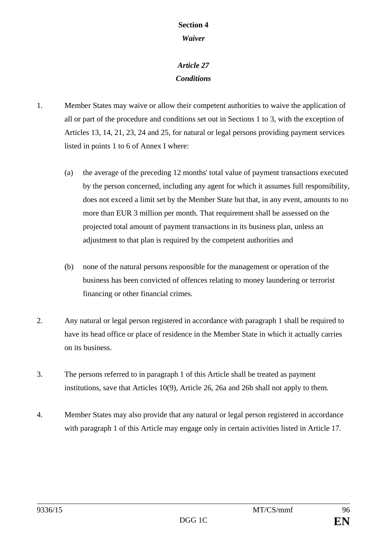# **Section 4**

## *Waiver*

# *Article 27 Conditions*

- 1. Member States may waive or allow their competent authorities to waive the application of all or part of the procedure and conditions set out in Sections 1 to 3, with the exception of Articles 13, 14, 21, 23, 24 and 25, for natural or legal persons providing payment services listed in points 1 to 6 of Annex I where:
	- (a) the average of the preceding 12 months' total value of payment transactions executed by the person concerned, including any agent for which it assumes full responsibility, does not exceed a limit set by the Member State but that, in any event, amounts to no more than EUR 3 million per month. That requirement shall be assessed on the projected total amount of payment transactions in its business plan, unless an adjustment to that plan is required by the competent authorities and
	- (b) none of the natural persons responsible for the management or operation of the business has been convicted of offences relating to money laundering or terrorist financing or other financial crimes.
- 2. Any natural or legal person registered in accordance with paragraph 1 shall be required to have its head office or place of residence in the Member State in which it actually carries on its business.
- 3. The persons referred to in paragraph 1 of this Article shall be treated as payment institutions, save that Articles 10(9)*,* Article 26, 26a and 26b shall not apply to them.
- 4. Member States may also provide that any natural or legal person registered in accordance with paragraph 1 of this Article may engage only in certain activities listed in Article 17.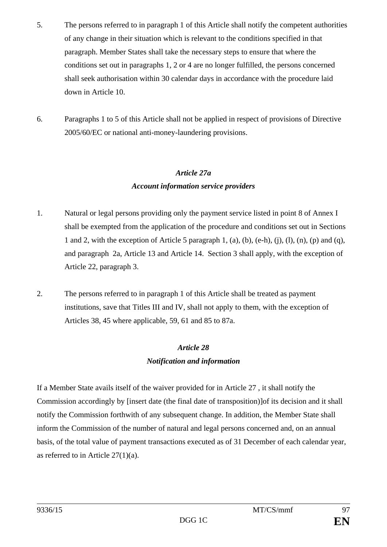- 5. The persons referred to in paragraph 1 of this Article shall notify the competent authorities of any change in their situation which is relevant to the conditions specified in that paragraph. Member States shall take the necessary steps to ensure that where the conditions set out in paragraphs 1, 2 or 4 are no longer fulfilled, the persons concerned shall seek authorisation within 30 calendar days in accordance with the procedure laid down in Article 10.
- 6. Paragraphs 1 to 5 of this Article shall not be applied in respect of provisions of Directive 2005/60/EC or national anti-money-laundering provisions.

#### *Article 27a*

## *Account information service providers*

- 1. Natural or legal persons providing only the payment service listed in point 8 of Annex I shall be exempted from the application of the procedure and conditions set out in Sections 1 and 2, with the exception of Article 5 paragraph 1, (a), (b), (e-h), (j), (l), (n), (p) and (q), and paragraph 2a, Article 13 and Article 14. Section 3 shall apply, with the exception of Article 22, paragraph 3.
- 2. The persons referred to in paragraph 1 of this Article shall be treated as payment institutions, save that Titles III and IV, shall not apply to them, with the exception of Articles 38, 45 where applicable, 59, 61 and 85 to 87a.

# *Article 28 Notification and information*

If a Member State avails itself of the waiver provided for in Article 27 , it shall notify the Commission accordingly by [insert date (the final date of transposition)]of its decision and it shall notify the Commission forthwith of any subsequent change. In addition, the Member State shall inform the Commission of the number of natural and legal persons concerned and, on an annual basis, of the total value of payment transactions executed as of 31 December of each calendar year, as referred to in Article  $27(1)(a)$ .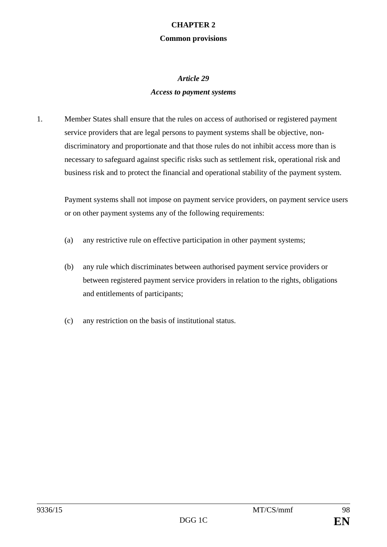#### **CHAPTER 2**

#### **Common provisions**

### *Article 29*

### *Access to payment systems*

1. Member States shall ensure that the rules on access of authorised or registered payment service providers that are legal persons to payment systems shall be objective, nondiscriminatory and proportionate and that those rules do not inhibit access more than is necessary to safeguard against specific risks such as settlement risk, operational risk and business risk and to protect the financial and operational stability of the payment system.

Payment systems shall not impose on payment service providers, on payment service users or on other payment systems any of the following requirements:

- (a) any restrictive rule on effective participation in other payment systems;
- (b) any rule which discriminates between authorised payment service providers or between registered payment service providers in relation to the rights, obligations and entitlements of participants;
- (c) any restriction on the basis of institutional status.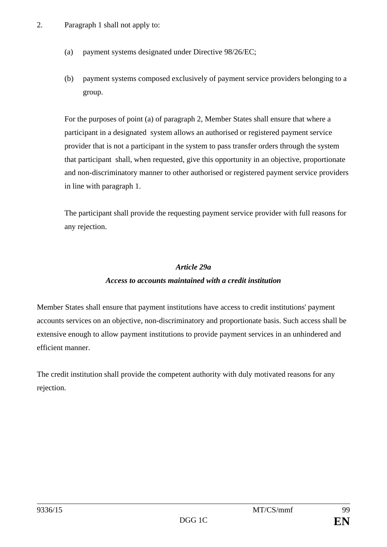- (a) payment systems designated under Directive 98/26/EC;
- (b) payment systems composed exclusively of payment service providers belonging to a group.

For the purposes of point (a) of paragraph 2, Member States shall ensure that where a participant in a designated system allows an authorised or registered payment service provider that is not a participant in the system to pass transfer orders through the system that participant shall, when requested, give this opportunity in an objective, proportionate and non-discriminatory manner to other authorised or registered payment service providers in line with paragraph 1.

The participant shall provide the requesting payment service provider with full reasons for any rejection.

#### *Article 29a*

#### *Access to accounts maintained with a credit institution*

Member States shall ensure that payment institutions have access to credit institutions' payment accounts services on an objective, non-discriminatory and proportionate basis. Such access shall be extensive enough to allow payment institutions to provide payment services in an unhindered and efficient manner.

The credit institution shall provide the competent authority with duly motivated reasons for any rejection.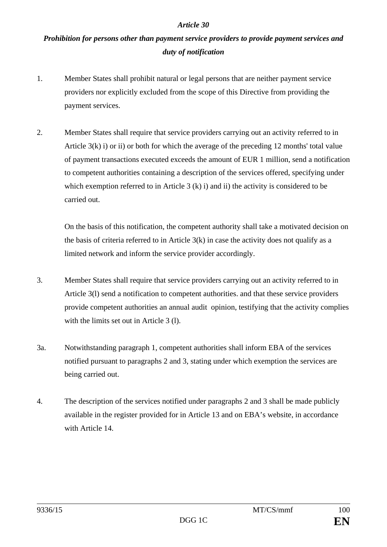# *Prohibition for persons other than payment service providers to provide payment services and duty of notification*

- 1. Member States shall prohibit natural or legal persons that are neither payment service providers nor explicitly excluded from the scope of this Directive from providing the payment services.
- 2. Member States shall require that service providers carrying out an activity referred to in Article  $3(k)$  i) or ii) or both for which the average of the preceding 12 months' total value of payment transactions executed exceeds the amount of EUR 1 million, send a notification to competent authorities containing a description of the services offered, specifying under which exemption referred to in Article 3 (k) i) and ii) the activity is considered to be carried out.

On the basis of this notification, the competent authority shall take a motivated decision on the basis of criteria referred to in Article 3(k) in case the activity does not qualify as a limited network and inform the service provider accordingly.

- 3. Member States shall require that service providers carrying out an activity referred to in Article 3(l) send a notification to competent authorities. and that these service providers provide competent authorities an annual audit opinion, testifying that the activity complies with the limits set out in Article 3 (1).
- 3a. Notwithstanding paragraph 1, competent authorities shall inform EBA of the services notified pursuant to paragraphs 2 and 3, stating under which exemption the services are being carried out.
- 4. The description of the services notified under paragraphs 2 and 3 shall be made publicly available in the register provided for in Article 13 and on EBA's website, in accordance with Article 14.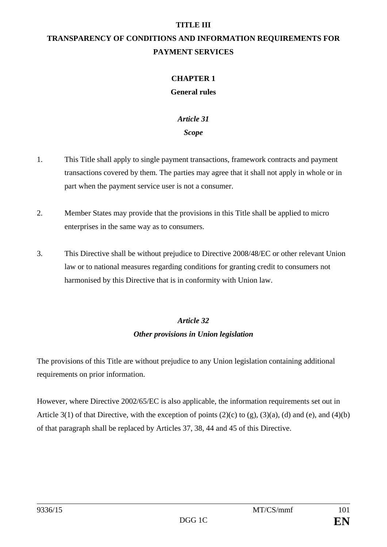#### **TITLE III**

# **TRANSPARENCY OF CONDITIONS AND INFORMATION REQUIREMENTS FOR PAYMENT SERVICES**

# **CHAPTER 1**

#### **General rules**

# *Article 31*

## *Scope*

- 1. This Title shall apply to single payment transactions, framework contracts and payment transactions covered by them. The parties may agree that it shall not apply in whole or in part when the payment service user is not a consumer.
- 2. Member States may provide that the provisions in this Title shall be applied to micro enterprises in the same way as to consumers.
- 3. This Directive shall be without prejudice to Directive 2008/48/EC or other relevant Union law or to national measures regarding conditions for granting credit to consumers not harmonised by this Directive that is in conformity with Union law.

# *Article 32 Other provisions in Union legislation*

The provisions of this Title are without prejudice to any Union legislation containing additional requirements on prior information.

However, where Directive 2002/65/EC is also applicable, the information requirements set out in Article 3(1) of that Directive, with the exception of points  $(2)(c)$  to  $(g)$ ,  $(3)(a)$ ,  $(d)$  and  $(e)$ , and  $(4)(b)$ of that paragraph shall be replaced by Articles 37, 38, 44 and 45 of this Directive.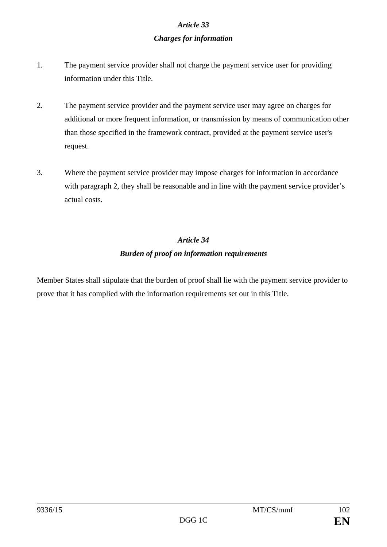# *Article 33 Charges for information*

- 1. The payment service provider shall not charge the payment service user for providing information under this Title.
- 2. The payment service provider and the payment service user may agree on charges for additional or more frequent information, or transmission by means of communication other than those specified in the framework contract, provided at the payment service user's request.
- 3. Where the payment service provider may impose charges for information in accordance with paragraph 2, they shall be reasonable and in line with the payment service provider's actual costs.

# *Article 34 Burden of proof on information requirements*

Member States shall stipulate that the burden of proof shall lie with the payment service provider to prove that it has complied with the information requirements set out in this Title.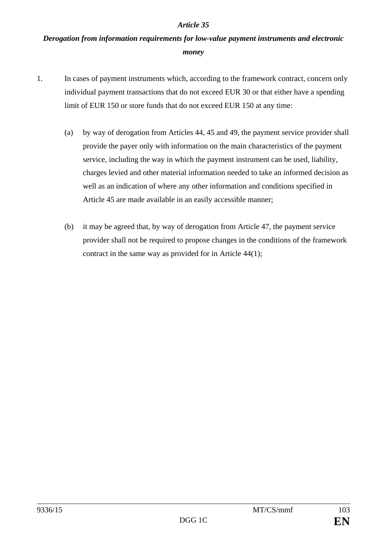# *Derogation from information requirements for low-value payment instruments and electronic money*

- 1. In cases of payment instruments which, according to the framework contract, concern only individual payment transactions that do not exceed EUR 30 or that either have a spending limit of EUR 150 or store funds that do not exceed EUR 150 at any time:
	- (a) by way of derogation from Articles 44, 45 and 49, the payment service provider shall provide the payer only with information on the main characteristics of the payment service, including the way in which the payment instrument can be used, liability, charges levied and other material information needed to take an informed decision as well as an indication of where any other information and conditions specified in Article 45 are made available in an easily accessible manner;
	- (b) it may be agreed that, by way of derogation from Article 47, the payment service provider shall not be required to propose changes in the conditions of the framework contract in the same way as provided for in Article 44(1);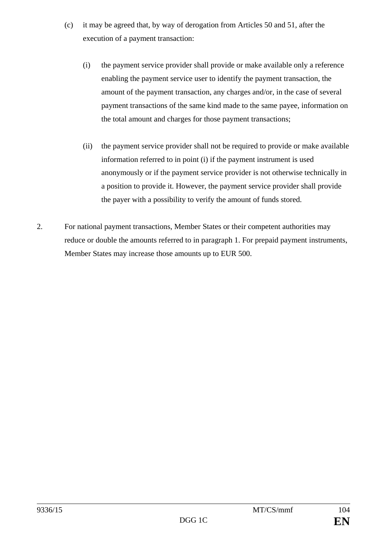- (c) it may be agreed that, by way of derogation from Articles 50 and 51, after the execution of a payment transaction:
	- (i) the payment service provider shall provide or make available only a reference enabling the payment service user to identify the payment transaction, the amount of the payment transaction, any charges and/or, in the case of several payment transactions of the same kind made to the same payee, information on the total amount and charges for those payment transactions;
	- (ii) the payment service provider shall not be required to provide or make available information referred to in point (i) if the payment instrument is used anonymously or if the payment service provider is not otherwise technically in a position to provide it. However, the payment service provider shall provide the payer with a possibility to verify the amount of funds stored.
- 2. For national payment transactions, Member States or their competent authorities may reduce or double the amounts referred to in paragraph 1. For prepaid payment instruments, Member States may increase those amounts up to EUR 500.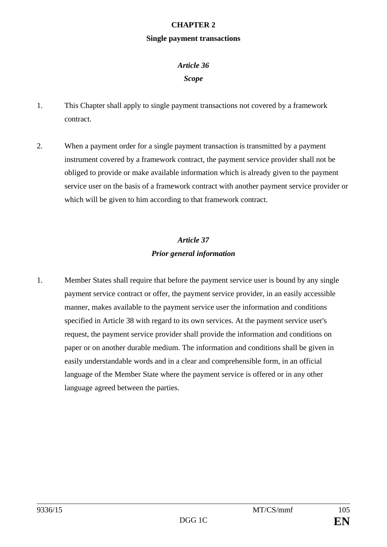#### **CHAPTER 2**

#### **Single payment transactions**

#### *Article 36*

#### *Scope*

- 1. This Chapter shall apply to single payment transactions not covered by a framework contract.
- 2. When a payment order for a single payment transaction is transmitted by a payment instrument covered by a framework contract, the payment service provider shall not be obliged to provide or make available information which is already given to the payment service user on the basis of a framework contract with another payment service provider or which will be given to him according to that framework contract.

# *Article 37 Prior general information*

1. Member States shall require that before the payment service user is bound by any single payment service contract or offer, the payment service provider, in an easily accessible manner, makes available to the payment service user the information and conditions specified in Article 38 with regard to its own services. At the payment service user's request, the payment service provider shall provide the information and conditions on paper or on another durable medium. The information and conditions shall be given in easily understandable words and in a clear and comprehensible form, in an official language of the Member State where the payment service is offered or in any other language agreed between the parties.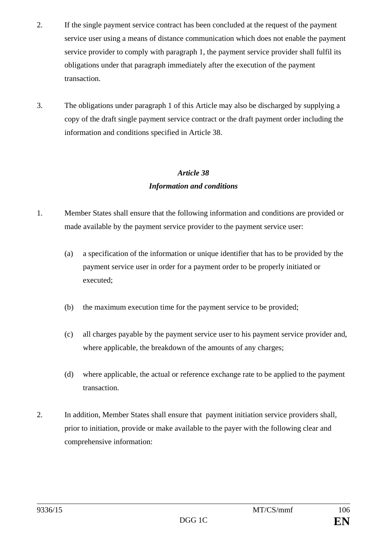- 2. If the single payment service contract has been concluded at the request of the payment service user using a means of distance communication which does not enable the payment service provider to comply with paragraph 1, the payment service provider shall fulfil its obligations under that paragraph immediately after the execution of the payment transaction.
- 3. The obligations under paragraph 1 of this Article may also be discharged by supplying a copy of the draft single payment service contract or the draft payment order including the information and conditions specified in Article 38.

## *Information and conditions*

- 1. Member States shall ensure that the following information and conditions are provided or made available by the payment service provider to the payment service user:
	- (a) a specification of the information or unique identifier that has to be provided by the payment service user in order for a payment order to be properly initiated or executed;
	- (b) the maximum execution time for the payment service to be provided;
	- (c) all charges payable by the payment service user to his payment service provider and, where applicable, the breakdown of the amounts of any charges;
	- (d) where applicable, the actual or reference exchange rate to be applied to the payment transaction.
- 2. In addition, Member States shall ensure that payment initiation service providers shall, prior to initiation, provide or make available to the payer with the following clear and comprehensive information: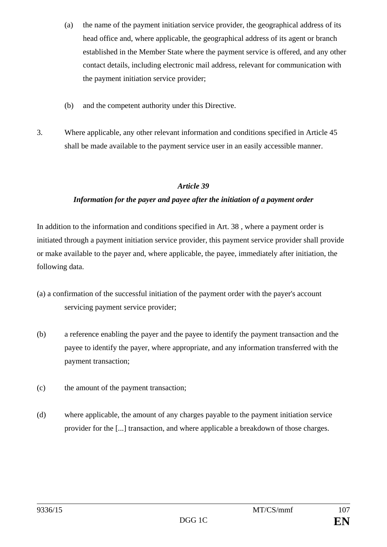- (a) the name of the payment initiation service provider, the geographical address of its head office and, where applicable, the geographical address of its agent or branch established in the Member State where the payment service is offered, and any other contact details, including electronic mail address, relevant for communication with the payment initiation service provider;
- (b) and the competent authority under this Directive.
- 3. Where applicable, any other relevant information and conditions specified in Article 45 shall be made available to the payment service user in an easily accessible manner.

## *Information for the payer and payee after the initiation of a payment order*

In addition to the information and conditions specified in Art. 38 , where a payment order is initiated through a payment initiation service provider, this payment service provider shall provide or make available to the payer and, where applicable, the payee, immediately after initiation, the following data.

- (a) a confirmation of the successful initiation of the payment order with the payer's account servicing payment service provider;
- (b) a reference enabling the payer and the payee to identify the payment transaction and the payee to identify the payer, where appropriate, and any information transferred with the payment transaction;
- (c) the amount of the payment transaction;
- (d) where applicable, the amount of any charges payable to the payment initiation service provider for the [...] transaction, and where applicable a breakdown of those charges.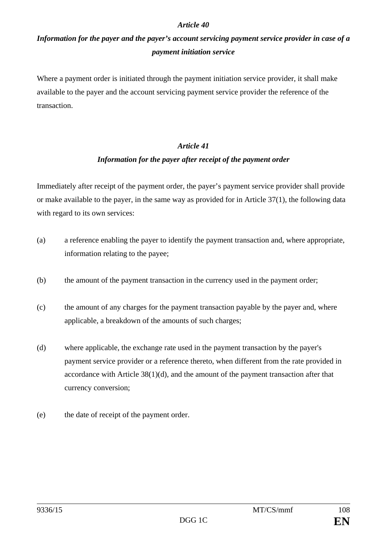# *Information for the payer and the payer's account servicing payment service provider in case of a payment initiation service*

Where a payment order is initiated through the payment initiation service provider, it shall make available to the payer and the account servicing payment service provider the reference of the transaction.

#### *Article 41*

#### *Information for the payer after receipt of the payment order*

Immediately after receipt of the payment order, the payer's payment service provider shall provide or make available to the payer, in the same way as provided for in Article 37(1), the following data with regard to its own services:

- (a) a reference enabling the payer to identify the payment transaction and, where appropriate, information relating to the payee;
- (b) the amount of the payment transaction in the currency used in the payment order;
- (c) the amount of any charges for the payment transaction payable by the payer and, where applicable, a breakdown of the amounts of such charges;
- (d) where applicable, the exchange rate used in the payment transaction by the payer's payment service provider or a reference thereto, when different from the rate provided in accordance with Article 38(1)(d), and the amount of the payment transaction after that currency conversion;
- (e) the date of receipt of the payment order.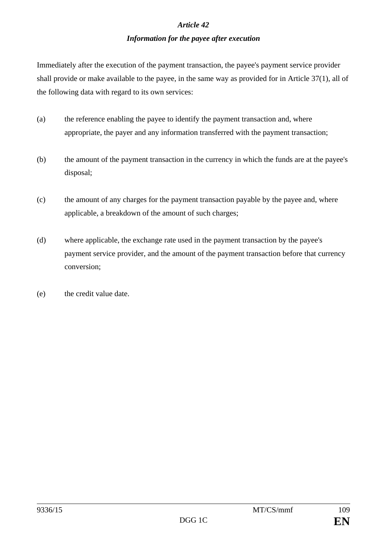## *Information for the payee after execution*

Immediately after the execution of the payment transaction, the payee's payment service provider shall provide or make available to the payee, in the same way as provided for in Article 37(1), all of the following data with regard to its own services:

- (a) the reference enabling the payee to identify the payment transaction and, where appropriate, the payer and any information transferred with the payment transaction;
- (b) the amount of the payment transaction in the currency in which the funds are at the payee's disposal;
- (c) the amount of any charges for the payment transaction payable by the payee and, where applicable, a breakdown of the amount of such charges;
- (d) where applicable, the exchange rate used in the payment transaction by the payee's payment service provider, and the amount of the payment transaction before that currency conversion;
- (e) the credit value date.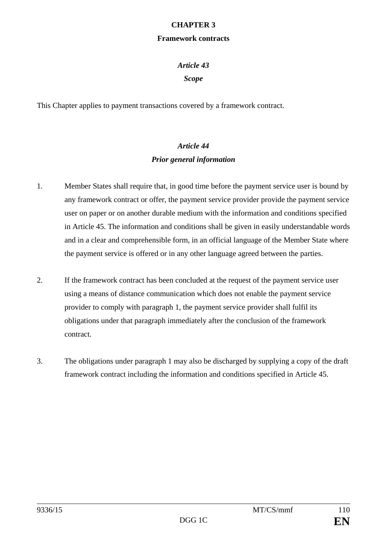## **CHAPTER 3**

#### **Framework contracts**

## *Article 43*

## *Scope*

This Chapter applies to payment transactions covered by a framework contract.

## *Article 44 Prior general information*

- 1. Member States shall require that, in good time before the payment service user is bound by any framework contract or offer, the payment service provider provide the payment service user on paper or on another durable medium with the information and conditions specified in Article 45. The information and conditions shall be given in easily understandable words and in a clear and comprehensible form, in an official language of the Member State where the payment service is offered or in any other language agreed between the parties.
- 2. If the framework contract has been concluded at the request of the payment service user using a means of distance communication which does not enable the payment service provider to comply with paragraph 1, the payment service provider shall fulfil its obligations under that paragraph immediately after the conclusion of the framework contract.
- 3. The obligations under paragraph 1 may also be discharged by supplying a copy of the draft framework contract including the information and conditions specified in Article 45.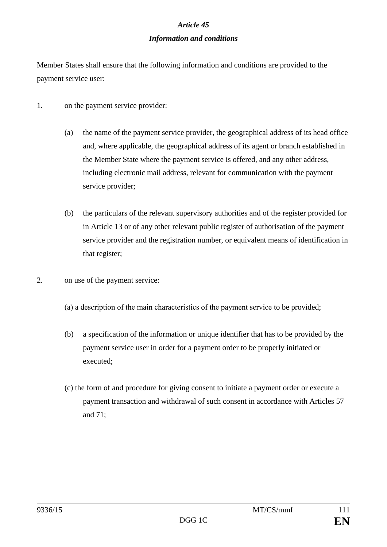## *Information and conditions*

Member States shall ensure that the following information and conditions are provided to the payment service user:

- 1. on the payment service provider:
	- (a) the name of the payment service provider, the geographical address of its head office and, where applicable, the geographical address of its agent or branch established in the Member State where the payment service is offered, and any other address, including electronic mail address, relevant for communication with the payment service provider;
	- (b) the particulars of the relevant supervisory authorities and of the register provided for in Article 13 or of any other relevant public register of authorisation of the payment service provider and the registration number, or equivalent means of identification in that register;
- 2. on use of the payment service:
	- (а) a description of the main characteristics of the payment service to be provided;
	- (b) a specification of the information or unique identifier that has to be provided by the payment service user in order for a payment order to be properly initiated or executed;
	- (c) the form of and procedure for giving consent to initiate a payment order or execute a payment transaction and withdrawal of such consent in accordance with Articles 57 and 71;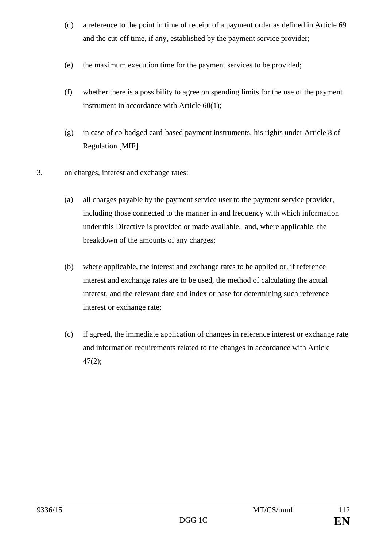- (d) a reference to the point in time of receipt of a payment order as defined in Article 69 and the cut-off time, if any, established by the payment service provider;
- (e) the maximum execution time for the payment services to be provided;
- (f) whether there is a possibility to agree on spending limits for the use of the payment instrument in accordance with Article 60(1);
- (g) in case of co-badged card-based payment instruments, his rights under Article 8 of Regulation [MIF].
- 3. on charges, interest and exchange rates:
	- (a) all charges payable by the payment service user to the payment service provider, including those connected to the manner in and frequency with which information under this Directive is provided or made available, and, where applicable, the breakdown of the amounts of any charges;
	- (b) where applicable, the interest and exchange rates to be applied or, if reference interest and exchange rates are to be used, the method of calculating the actual interest, and the relevant date and index or base for determining such reference interest or exchange rate;
	- (c) if agreed, the immediate application of changes in reference interest or exchange rate and information requirements related to the changes in accordance with Article 47(2);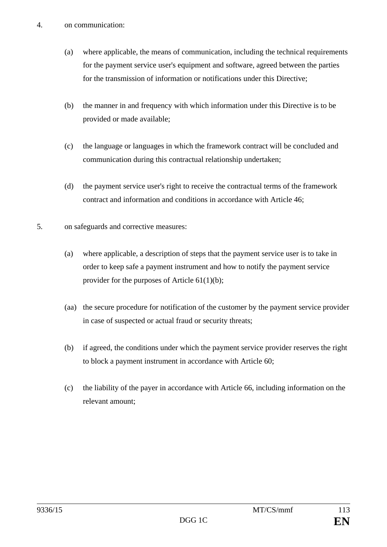- (a) where applicable, the means of communication, including the technical requirements for the payment service user's equipment and software, agreed between the parties for the transmission of information or notifications under this Directive;
- (b) the manner in and frequency with which information under this Directive is to be provided or made available;
- (c) the language or languages in which the framework contract will be concluded and communication during this contractual relationship undertaken;
- (d) the payment service user's right to receive the contractual terms of the framework contract and information and conditions in accordance with Article 46;
- 5. on safeguards and corrective measures:
	- (a) where applicable, a description of steps that the payment service user is to take in order to keep safe a payment instrument and how to notify the payment service provider for the purposes of Article 61(1)(b);
	- (aa) the secure procedure for notification of the customer by the payment service provider in case of suspected or actual fraud or security threats;
	- (b) if agreed, the conditions under which the payment service provider reserves the right to block a payment instrument in accordance with Article 60;
	- (c) the liability of the payer in accordance with Article 66, including information on the relevant amount;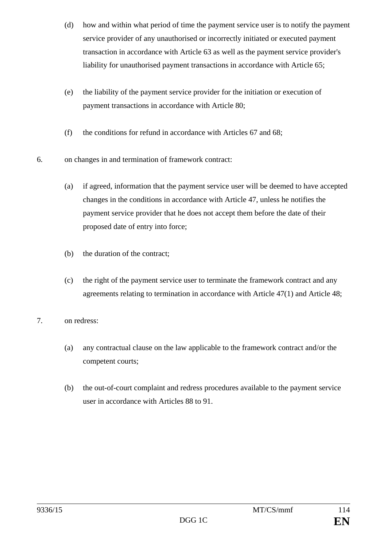- (d) how and within what period of time the payment service user is to notify the payment service provider of any unauthorised or incorrectly initiated or executed payment transaction in accordance with Article 63 as well as the payment service provider's liability for unauthorised payment transactions in accordance with Article 65;
- (e) the liability of the payment service provider for the initiation or execution of payment transactions in accordance with Article 80;
- (f) the conditions for refund in accordance with Articles 67 and 68;
- 6. on changes in and termination of framework contract:
	- (a) if agreed, information that the payment service user will be deemed to have accepted changes in the conditions in accordance with Article 47, unless he notifies the payment service provider that he does not accept them before the date of their proposed date of entry into force;
	- (b) the duration of the contract;
	- (c) the right of the payment service user to terminate the framework contract and any agreements relating to termination in accordance with Article 47(1) and Article 48;
- 7. on redress:
	- (a) any contractual clause on the law applicable to the framework contract and/or the competent courts;
	- (b) the out-of-court complaint and redress procedures available to the payment service user in accordance with Articles 88 to 91.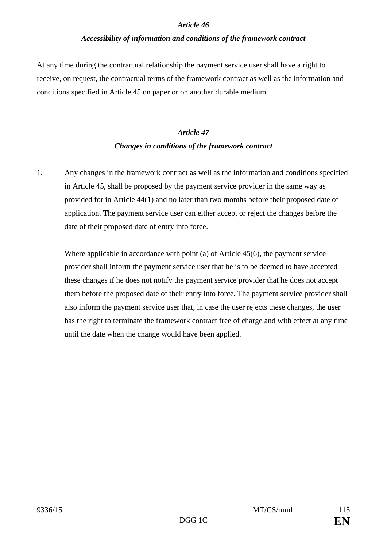## *Accessibility of information and conditions of the framework contract*

At any time during the contractual relationship the payment service user shall have a right to receive, on request, the contractual terms of the framework contract as well as the information and conditions specified in Article 45 on paper or on another durable medium.

# *Article 47 Changes in conditions of the framework contract*

1. Any changes in the framework contract as well as the information and conditions specified in Article 45, shall be proposed by the payment service provider in the same way as provided for in Article 44(1) and no later than two months before their proposed date of application. The payment service user can either accept or reject the changes before the date of their proposed date of entry into force.

Where applicable in accordance with point (a) of Article 45(6), the payment service provider shall inform the payment service user that he is to be deemed to have accepted these changes if he does not notify the payment service provider that he does not accept them before the proposed date of their entry into force. The payment service provider shall also inform the payment service user that, in case the user rejects these changes, the user has the right to terminate the framework contract free of charge and with effect at any time until the date when the change would have been applied.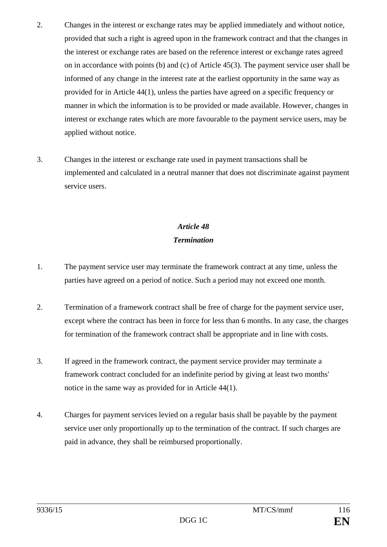- 2. Changes in the interest or exchange rates may be applied immediately and without notice, provided that such a right is agreed upon in the framework contract and that the changes in the interest or exchange rates are based on the reference interest or exchange rates agreed on in accordance with points (b) and (c) of Article 45(3). The payment service user shall be informed of any change in the interest rate at the earliest opportunity in the same way as provided for in Article 44(1), unless the parties have agreed on a specific frequency or manner in which the information is to be provided or made available. However, changes in interest or exchange rates which are more favourable to the payment service users, may be applied without notice.
- 3. Changes in the interest or exchange rate used in payment transactions shall be implemented and calculated in a neutral manner that does not discriminate against payment service users.

# *Article 48 Termination*

- 1. The payment service user may terminate the framework contract at any time, unless the parties have agreed on a period of notice. Such a period may not exceed one month.
- 2. Termination of a framework contract shall be free of charge for the payment service user, except where the contract has been in force for less than 6 months. In any case, the charges for termination of the framework contract shall be appropriate and in line with costs.
- 3. If agreed in the framework contract, the payment service provider may terminate a framework contract concluded for an indefinite period by giving at least two months' notice in the same way as provided for in Article 44(1).
- 4. Charges for payment services levied on a regular basis shall be payable by the payment service user only proportionally up to the termination of the contract. If such charges are paid in advance, they shall be reimbursed proportionally.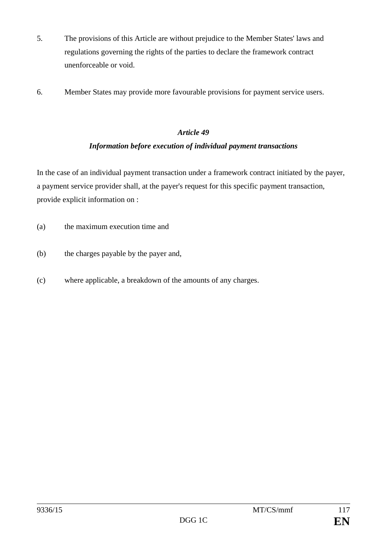- 5. The provisions of this Article are without prejudice to the Member States' laws and regulations governing the rights of the parties to declare the framework contract unenforceable or void.
- 6. Member States may provide more favourable provisions for payment service users.

## *Information before execution of individual payment transactions*

In the case of an individual payment transaction under a framework contract initiated by the payer, a payment service provider shall, at the payer's request for this specific payment transaction, provide explicit information on :

- (a) the maximum execution time and
- (b) the charges payable by the payer and,
- (c) where applicable, a breakdown of the amounts of any charges.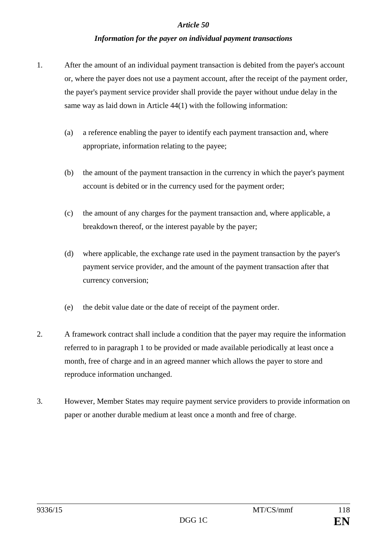## *Information for the payer on individual payment transactions*

- 1. After the amount of an individual payment transaction is debited from the payer's account or, where the payer does not use a payment account, after the receipt of the payment order, the payer's payment service provider shall provide the payer without undue delay in the same way as laid down in Article 44(1) with the following information:
	- (a) a reference enabling the payer to identify each payment transaction and, where appropriate, information relating to the payee;
	- (b) the amount of the payment transaction in the currency in which the payer's payment account is debited or in the currency used for the payment order;
	- (c) the amount of any charges for the payment transaction and, where applicable, a breakdown thereof, or the interest payable by the payer;
	- (d) where applicable, the exchange rate used in the payment transaction by the payer's payment service provider, and the amount of the payment transaction after that currency conversion;
	- (e) the debit value date or the date of receipt of the payment order.
- 2. A framework contract shall include a condition that the payer may require the information referred to in paragraph 1 to be provided or made available periodically at least once a month, free of charge and in an agreed manner which allows the payer to store and reproduce information unchanged.
- 3. However, Member States may require payment service providers to provide information on paper or another durable medium at least once a month and free of charge.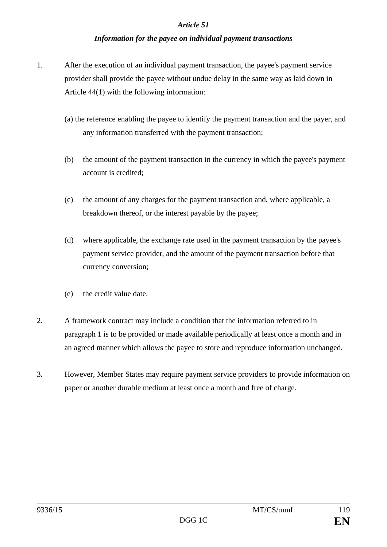## *Information for the payee on individual payment transactions*

- 1. After the execution of an individual payment transaction, the payee's payment service provider shall provide the payee without undue delay in the same way as laid down in Article 44(1) with the following information:
	- (a) the reference enabling the payee to identify the payment transaction and the payer, and any information transferred with the payment transaction;
	- (b) the amount of the payment transaction in the currency in which the payee's payment account is credited;
	- (c) the amount of any charges for the payment transaction and, where applicable, a breakdown thereof, or the interest payable by the payee;
	- (d) where applicable, the exchange rate used in the payment transaction by the payee's payment service provider, and the amount of the payment transaction before that currency conversion;
	- (e) the credit value date.
- 2. A framework contract may include a condition that the information referred to in paragraph 1 is to be provided or made available periodically at least once a month and in an agreed manner which allows the payee to store and reproduce information unchanged.
- 3. However, Member States may require payment service providers to provide information on paper or another durable medium at least once a month and free of charge.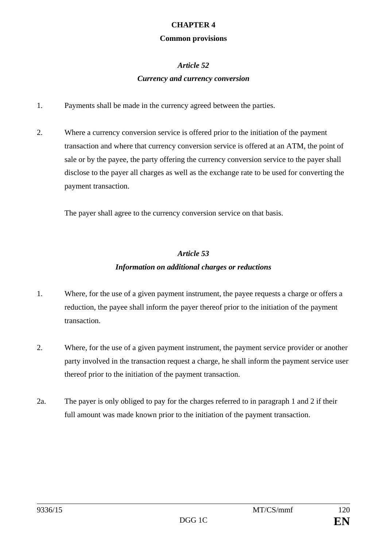## **CHAPTER 4**

### **Common provisions**

## *Article 52*

## *Currency and currency conversion*

- 1. Payments shall be made in the currency agreed between the parties.
- 2. Where a currency conversion service is offered prior to the initiation of the payment transaction and where that currency conversion service is offered at an ATM, the point of sale or by the payee, the party offering the currency conversion service to the payer shall disclose to the payer all charges as well as the exchange rate to be used for converting the payment transaction.

The payer shall agree to the currency conversion service on that basis.

## *Article 53 Information on additional charges or reductions*

- 1. Where, for the use of a given payment instrument, the payee requests a charge or offers a reduction, the payee shall inform the payer thereof prior to the initiation of the payment transaction.
- 2. Where, for the use of a given payment instrument, the payment service provider or another party involved in the transaction request a charge, he shall inform the payment service user thereof prior to the initiation of the payment transaction.
- 2a. The payer is only obliged to pay for the charges referred to in paragraph 1 and 2 if their full amount was made known prior to the initiation of the payment transaction.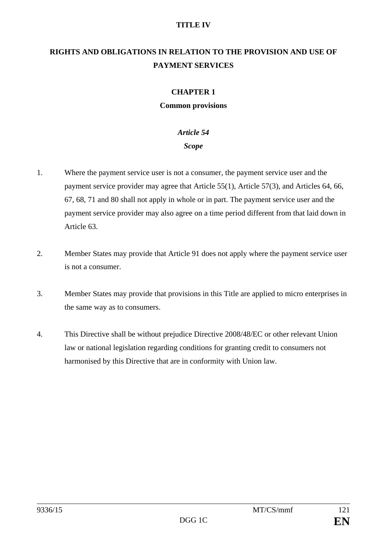## **TITLE IV**

## **RIGHTS AND OBLIGATIONS IN RELATION TO THE PROVISION AND USE OF PAYMENT SERVICES**

## **CHAPTER 1**

#### **Common provisions**

## *Article 54*

## *Scope*

- 1. Where the payment service user is not a consumer, the payment service user and the payment service provider may agree that Article 55(1), Article 57(3), and Articles 64, 66, 67, 68, 71 and 80 shall not apply in whole or in part. The payment service user and the payment service provider may also agree on a time period different from that laid down in Article 63.
- 2. Member States may provide that Article 91 does not apply where the payment service user is not a consumer.
- 3. Member States may provide that provisions in this Title are applied to micro enterprises in the same way as to consumers.
- 4. This Directive shall be without prejudice Directive 2008/48/EC or other relevant Union law or national legislation regarding conditions for granting credit to consumers not harmonised by this Directive that are in conformity with Union law.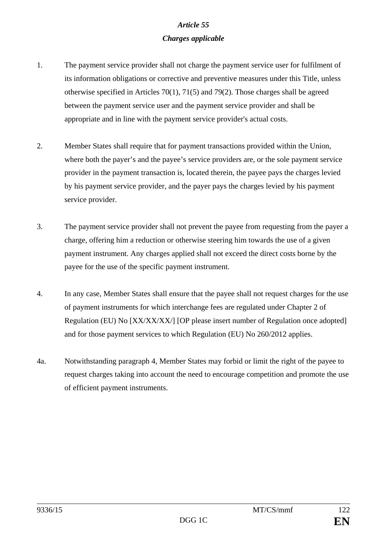## *Article 55 Charges applicable*

- 1. The payment service provider shall not charge the payment service user for fulfilment of its information obligations or corrective and preventive measures under this Title, unless otherwise specified in Articles 70(1), 71(5) and 79(2). Those charges shall be agreed between the payment service user and the payment service provider and shall be appropriate and in line with the payment service provider's actual costs.
- 2. Member States shall require that for payment transactions provided within the Union, where both the payer's and the payee's service providers are, or the sole payment service provider in the payment transaction is, located therein, the payee pays the charges levied by his payment service provider, and the payer pays the charges levied by his payment service provider.
- 3. The payment service provider shall not prevent the payee from requesting from the payer a charge, offering him a reduction or otherwise steering him towards the use of a given payment instrument. Any charges applied shall not exceed the direct costs borne by the payee for the use of the specific payment instrument.
- 4. In any case, Member States shall ensure that the payee shall not request charges for the use of payment instruments for which interchange fees are regulated under Chapter 2 of Regulation (EU) No [XX/XX/XX/] [OP please insert number of Regulation once adopted] and for those payment services to which Regulation (EU) No 260/2012 applies.
- 4a. Notwithstanding paragraph 4, Member States may forbid or limit the right of the payee to request charges taking into account the need to encourage competition and promote the use of efficient payment instruments.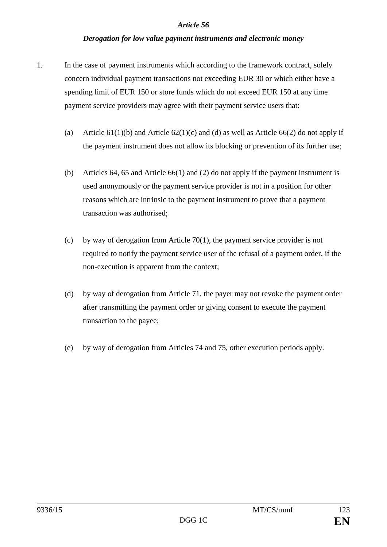### *Derogation for low value payment instruments and electronic money*

- 1. In the case of payment instruments which according to the framework contract, solely concern individual payment transactions not exceeding EUR 30 or which either have a spending limit of EUR 150 or store funds which do not exceed EUR 150 at any time payment service providers may agree with their payment service users that:
	- (a) Article  $61(1)(b)$  and Article  $62(1)(c)$  and (d) as well as Article  $66(2)$  do not apply if the payment instrument does not allow its blocking or prevention of its further use;
	- (b) Articles 64, 65 and Article 66(1) and (2) do not apply if the payment instrument is used anonymously or the payment service provider is not in a position for other reasons which are intrinsic to the payment instrument to prove that a payment transaction was authorised;
	- (c) by way of derogation from Article 70(1), the payment service provider is not required to notify the payment service user of the refusal of a payment order, if the non-execution is apparent from the context;
	- (d) by way of derogation from Article 71, the payer may not revoke the payment order after transmitting the payment order or giving consent to execute the payment transaction to the payee;
	- (e) by way of derogation from Articles 74 and 75, other execution periods apply.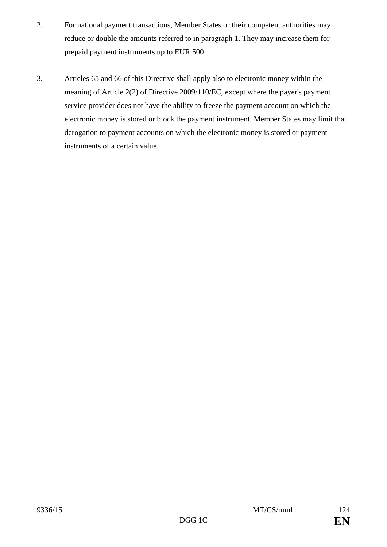- 2. For national payment transactions, Member States or their competent authorities may reduce or double the amounts referred to in paragraph 1. They may increase them for prepaid payment instruments up to EUR 500.
- 3. Articles 65 and 66 of this Directive shall apply also to electronic money within the meaning of Article 2(2) of Directive 2009/110/EC, except where the payer's payment service provider does not have the ability to freeze the payment account on which the electronic money is stored or block the payment instrument. Member States may limit that derogation to payment accounts on which the electronic money is stored or payment instruments of a certain value.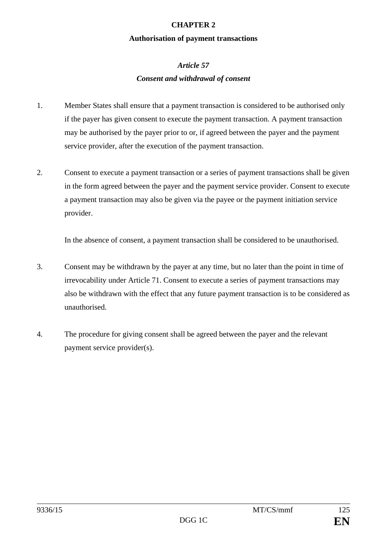## **CHAPTER 2**

### **Authorisation of payment transactions**

# *Article 57 Consent and withdrawal of consent*

- 1. Member States shall ensure that a payment transaction is considered to be authorised only if the payer has given consent to execute the payment transaction. A payment transaction may be authorised by the payer prior to or, if agreed between the payer and the payment service provider, after the execution of the payment transaction.
- 2. Consent to execute a payment transaction or a series of payment transactions shall be given in the form agreed between the payer and the payment service provider. Consent to execute a payment transaction may also be given via the payee or the payment initiation service provider.

In the absence of consent, a payment transaction shall be considered to be unauthorised.

- 3. Consent may be withdrawn by the payer at any time, but no later than the point in time of irrevocability under Article 71. Consent to execute a series of payment transactions may also be withdrawn with the effect that any future payment transaction is to be considered as unauthorised.
- 4. The procedure for giving consent shall be agreed between the payer and the relevant payment service provider(s).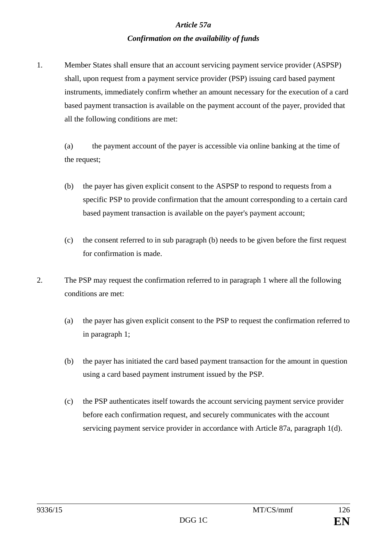### *Article 57a*

## *Confirmation on the availability of funds*

1. Member States shall ensure that an account servicing payment service provider (ASPSP) shall, upon request from a payment service provider (PSP) issuing card based payment instruments, immediately confirm whether an amount necessary for the execution of a card based payment transaction is available on the payment account of the payer, provided that all the following conditions are met:

(a) the payment account of the payer is accessible via online banking at the time of the request;

- (b) the payer has given explicit consent to the ASPSP to respond to requests from a specific PSP to provide confirmation that the amount corresponding to a certain card based payment transaction is available on the payer's payment account;
- (c) the consent referred to in sub paragraph (b) needs to be given before the first request for confirmation is made.
- 2. The PSP may request the confirmation referred to in paragraph 1 where all the following conditions are met:
	- (a) the payer has given explicit consent to the PSP to request the confirmation referred to in paragraph 1;
	- (b) the payer has initiated the card based payment transaction for the amount in question using a card based payment instrument issued by the PSP.
	- (c) the PSP authenticates itself towards the account servicing payment service provider before each confirmation request, and securely communicates with the account servicing payment service provider in accordance with Article 87a, paragraph 1(d).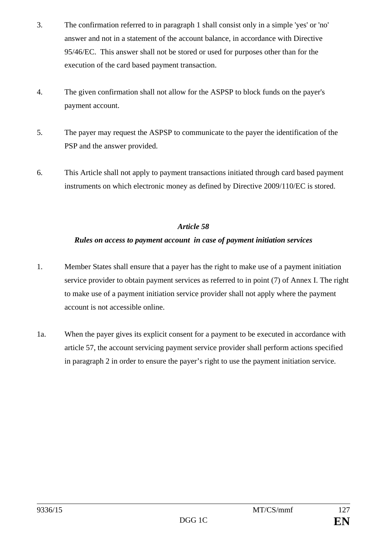- 3. The confirmation referred to in paragraph 1 shall consist only in a simple 'yes' or 'no' answer and not in a statement of the account balance, in accordance with Directive 95/46/EC. This answer shall not be stored or used for purposes other than for the execution of the card based payment transaction.
- 4. The given confirmation shall not allow for the ASPSP to block funds on the payer's payment account.
- 5. The payer may request the ASPSP to communicate to the payer the identification of the PSP and the answer provided.
- 6. This Article shall not apply to payment transactions initiated through card based payment instruments on which electronic money as defined by Directive 2009/110/EC is stored.

## *Rules on access to payment account in case of payment initiation services*

- 1. Member States shall ensure that a payer has the right to make use of a payment initiation service provider to obtain payment services as referred to in point (7) of Annex I. The right to make use of a payment initiation service provider shall not apply where the payment account is not accessible online.
- 1a. When the payer gives its explicit consent for a payment to be executed in accordance with article 57, the account servicing payment service provider shall perform actions specified in paragraph 2 in order to ensure the payer's right to use the payment initiation service.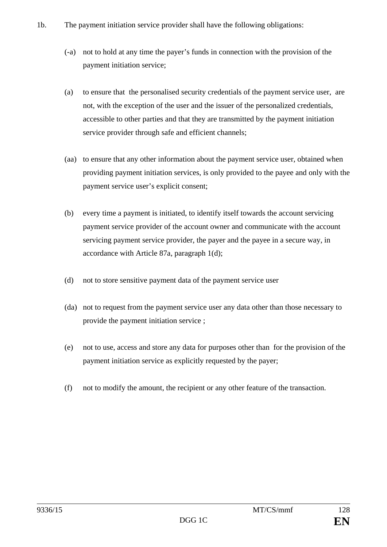- 1b. The payment initiation service provider shall have the following obligations:
	- (-a) not to hold at any time the payer's funds in connection with the provision of the payment initiation service;
	- (a) to ensure that the personalised security credentials of the payment service user, are not, with the exception of the user and the issuer of the personalized credentials, accessible to other parties and that they are transmitted by the payment initiation service provider through safe and efficient channels;
	- (aa) to ensure that any other information about the payment service user, obtained when providing payment initiation services, is only provided to the payee and only with the payment service user's explicit consent;
	- (b) every time a payment is initiated, to identify itself towards the account servicing payment service provider of the account owner and communicate with the account servicing payment service provider, the payer and the payee in a secure way, in accordance with Article 87a, paragraph 1(d);
	- (d) not to store sensitive payment data of the payment service user
	- (da) not to request from the payment service user any data other than those necessary to provide the payment initiation service ;
	- (e) not to use, access and store any data for purposes other than for the provision of the payment initiation service as explicitly requested by the payer;
	- (f) not to modify the amount, the recipient or any other feature of the transaction.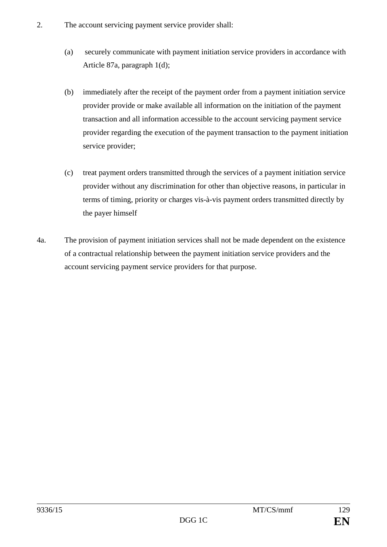- 2. The account servicing payment service provider shall:
	- (a) securely communicate with payment initiation service providers in accordance with Article 87a, paragraph 1(d);
	- (b) immediately after the receipt of the payment order from a payment initiation service provider provide or make available all information on the initiation of the payment transaction and all information accessible to the account servicing payment service provider regarding the execution of the payment transaction to the payment initiation service provider;
	- (c) treat payment orders transmitted through the services of a payment initiation service provider without any discrimination for other than objective reasons, in particular in terms of timing, priority or charges vis-à-vis payment orders transmitted directly by the payer himself
- 4a. The provision of payment initiation services shall not be made dependent on the existence of a contractual relationship between the payment initiation service providers and the account servicing payment service providers for that purpose.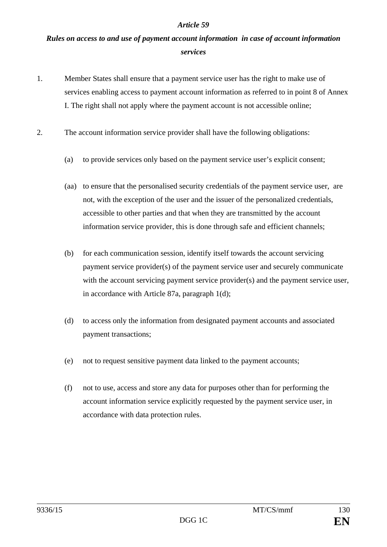## *Rules on access to and use of payment account information in case of account information services*

- 1. Member States shall ensure that a payment service user has the right to make use of services enabling access to payment account information as referred to in point 8 of Annex I. The right shall not apply where the payment account is not accessible online;
- 2. The account information service provider shall have the following obligations:
	- (a) to provide services only based on the payment service user's explicit consent;
	- (aa) to ensure that the personalised security credentials of the payment service user, are not, with the exception of the user and the issuer of the personalized credentials, accessible to other parties and that when they are transmitted by the account information service provider, this is done through safe and efficient channels;
	- (b) for each communication session, identify itself towards the account servicing payment service provider(s) of the payment service user and securely communicate with the account servicing payment service provider(s) and the payment service user, in accordance with Article 87a, paragraph 1(d);
	- (d) to access only the information from designated payment accounts and associated payment transactions;
	- (e) not to request sensitive payment data linked to the payment accounts;
	- (f) not to use, access and store any data for purposes other than for performing the account information service explicitly requested by the payment service user, in accordance with data protection rules.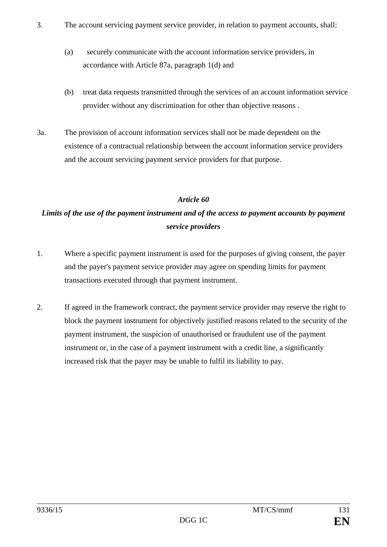- 3. The account servicing payment service provider, in relation to payment accounts, shall:
	- (a) securely communicate with the account information service providers, in accordance with Article 87a, paragraph 1(d) and
	- (b) treat data requests transmitted through the services of an account information service provider without any discrimination for other than objective reasons .
- 3a. The provision of account information services shall not be made dependent on the existence of a contractual relationship between the account information service providers and the account servicing payment service providers for that purpose.

# *Limits of the use of the payment instrument and of the access to payment accounts by payment service providers*

- 1. Where a specific payment instrument is used for the purposes of giving consent, the payer and the payer's payment service provider may agree on spending limits for payment transactions executed through that payment instrument.
- 2. If agreed in the framework contract, the payment service provider may reserve the right to block the payment instrument for objectively justified reasons related to the security of the payment instrument, the suspicion of unauthorised or fraudulent use of the payment instrument or, in the case of a payment instrument with a credit line, a significantly increased risk that the payer may be unable to fulfil its liability to pay.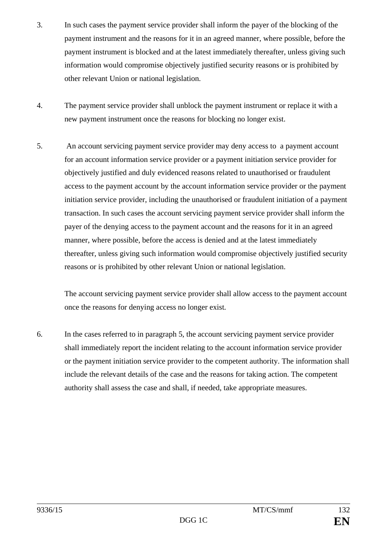- 3. In such cases the payment service provider shall inform the payer of the blocking of the payment instrument and the reasons for it in an agreed manner, where possible, before the payment instrument is blocked and at the latest immediately thereafter, unless giving such information would compromise objectively justified security reasons or is prohibited by other relevant Union or national legislation.
- 4. The payment service provider shall unblock the payment instrument or replace it with a new payment instrument once the reasons for blocking no longer exist.
- 5. An account servicing payment service provider may deny access to a payment account for an account information service provider or a payment initiation service provider for objectively justified and duly evidenced reasons related to unauthorised or fraudulent access to the payment account by the account information service provider or the payment initiation service provider, including the unauthorised or fraudulent initiation of a payment transaction. In such cases the account servicing payment service provider shall inform the payer of the denying access to the payment account and the reasons for it in an agreed manner, where possible, before the access is denied and at the latest immediately thereafter, unless giving such information would compromise objectively justified security reasons or is prohibited by other relevant Union or national legislation.

The account servicing payment service provider shall allow access to the payment account once the reasons for denying access no longer exist*.*

6. In the cases referred to in paragraph 5, the account servicing payment service provider shall immediately report the incident relating to the account information service provider or the payment initiation service provider to the competent authority. The information shall include the relevant details of the case and the reasons for taking action. The competent authority shall assess the case and shall, if needed, take appropriate measures.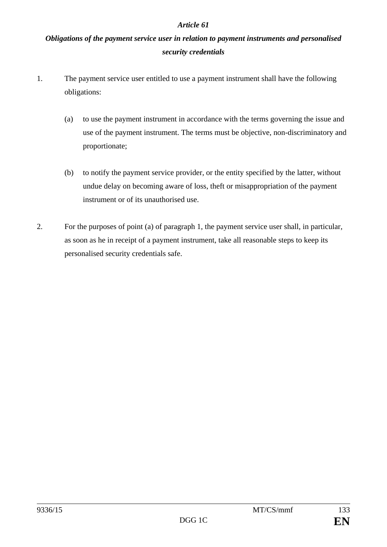## *Obligations of the payment service user in relation to payment instruments and personalised security credentials*

- 1. The payment service user entitled to use a payment instrument shall have the following obligations:
	- (a) to use the payment instrument in accordance with the terms governing the issue and use of the payment instrument. The terms must be objective, non-discriminatory and proportionate;
	- (b) to notify the payment service provider, or the entity specified by the latter, without undue delay on becoming aware of loss, theft or misappropriation of the payment instrument or of its unauthorised use.
- 2. For the purposes of point (a) of paragraph 1, the payment service user shall, in particular, as soon as he in receipt of a payment instrument, take all reasonable steps to keep its personalised security credentials safe.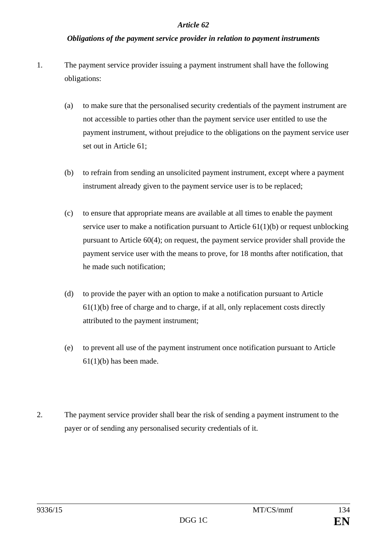### *Obligations of the payment service provider in relation to payment instruments*

- 1. The payment service provider issuing a payment instrument shall have the following obligations:
	- (a) to make sure that the personalised security credentials of the payment instrument are not accessible to parties other than the payment service user entitled to use the payment instrument, without prejudice to the obligations on the payment service user set out in Article 61;
	- (b) to refrain from sending an unsolicited payment instrument, except where a payment instrument already given to the payment service user is to be replaced;
	- (c) to ensure that appropriate means are available at all times to enable the payment service user to make a notification pursuant to Article 61(1)(b) or request unblocking pursuant to Article 60(4); on request, the payment service provider shall provide the payment service user with the means to prove, for 18 months after notification, that he made such notification;
	- (d) to provide the payer with an option to make a notification pursuant to Article 61(1)(b) free of charge and to charge, if at all, only replacement costs directly attributed to the payment instrument;
	- (e) to prevent all use of the payment instrument once notification pursuant to Article  $61(1)(b)$  has been made.
- 2. The payment service provider shall bear the risk of sending a payment instrument to the payer or of sending any personalised security credentials of it.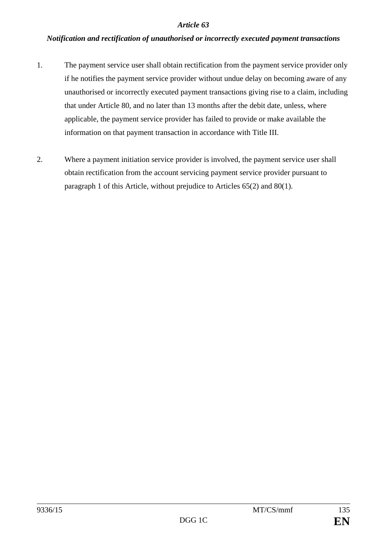## *Notification and rectification of unauthorised or incorrectly executed payment transactions*

- 1. The payment service user shall obtain rectification from the payment service provider only if he notifies the payment service provider without undue delay on becoming aware of any unauthorised or incorrectly executed payment transactions giving rise to a claim, including that under Article 80, and no later than 13 months after the debit date, unless, where applicable, the payment service provider has failed to provide or make available the information on that payment transaction in accordance with Title III.
- 2. Where a payment initiation service provider is involved, the payment service user shall obtain rectification from the account servicing payment service provider pursuant to paragraph 1 of this Article, without prejudice to Articles 65(2) and 80(1).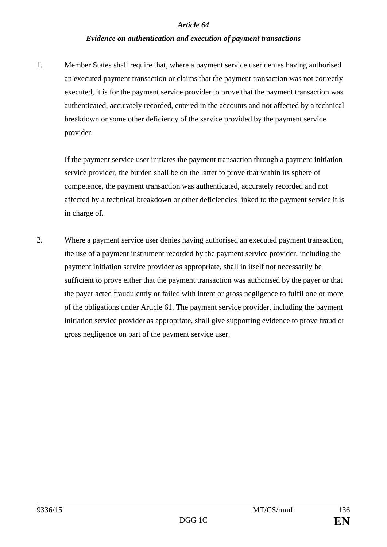## *Evidence on authentication and execution of payment transactions*

1. Member States shall require that, where a payment service user denies having authorised an executed payment transaction or claims that the payment transaction was not correctly executed, it is for the payment service provider to prove that the payment transaction was authenticated, accurately recorded, entered in the accounts and not affected by a technical breakdown or some other deficiency of the service provided by the payment service provider.

If the payment service user initiates the payment transaction through a payment initiation service provider, the burden shall be on the latter to prove that within its sphere of competence, the payment transaction was authenticated, accurately recorded and not affected by a technical breakdown or other deficiencies linked to the payment service it is in charge of.

2. Where a payment service user denies having authorised an executed payment transaction, the use of a payment instrument recorded by the payment service provider, including the payment initiation service provider as appropriate, shall in itself not necessarily be sufficient to prove either that the payment transaction was authorised by the payer or that the payer acted fraudulently or failed with intent or gross negligence to fulfil one or more of the obligations under Article 61. The payment service provider, including the payment initiation service provider as appropriate, shall give supporting evidence to prove fraud or gross negligence on part of the payment service user.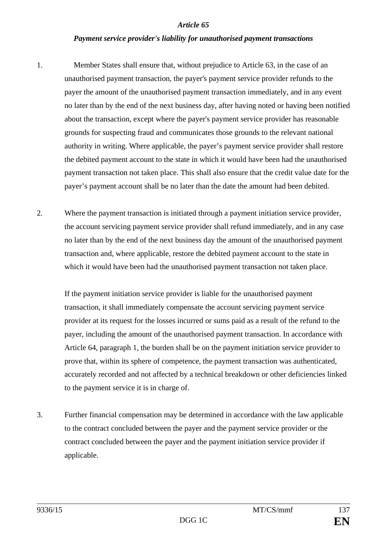#### *Payment service provider's liability for unauthorised payment transactions*

- 1. Member States shall ensure that, without prejudice to Article 63, in the case of an unauthorised payment transaction, the payer's payment service provider refunds to the payer the amount of the unauthorised payment transaction immediately, and in any event no later than by the end of the next business day, after having noted or having been notified about the transaction, except where the payer's payment service provider has reasonable grounds for suspecting fraud and communicates those grounds to the relevant national authority in writing. Where applicable, the payer's payment service provider shall restore the debited payment account to the state in which it would have been had the unauthorised payment transaction not taken place. This shall also ensure that the credit value date for the payer's payment account shall be no later than the date the amount had been debited.
- 2. Where the payment transaction is initiated through a payment initiation service provider, the account servicing payment service provider shall refund immediately, and in any case no later than by the end of the next business day the amount of the unauthorised payment transaction and, where applicable, restore the debited payment account to the state in which it would have been had the unauthorised payment transaction not taken place.

If the payment initiation service provider is liable for the unauthorised payment transaction, it shall immediately compensate the account servicing payment service provider at its request for the losses incurred or sums paid as a result of the refund to the payer, including the amount of the unauthorised payment transaction. In accordance with Article 64, paragraph 1, the burden shall be on the payment initiation service provider to prove that, within its sphere of competence, the payment transaction was authenticated, accurately recorded and not affected by a technical breakdown or other deficiencies linked to the payment service it is in charge of.

3. Further financial compensation may be determined in accordance with the law applicable to the contract concluded between the payer and the payment service provider or the contract concluded between the payer and the payment initiation service provider if applicable.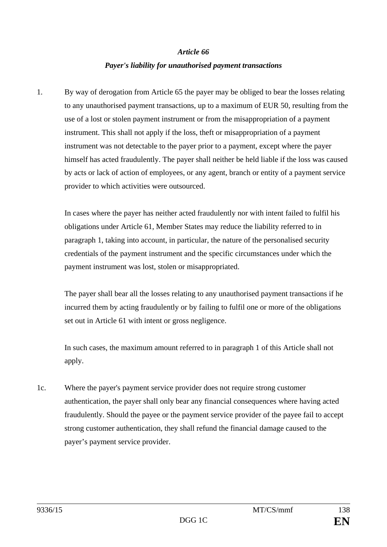## *Payer's liability for unauthorised payment transactions*

1. By way of derogation from Article 65 the payer may be obliged to bear the losses relating to any unauthorised payment transactions, up to a maximum of EUR 50, resulting from the use of a lost or stolen payment instrument or from the misappropriation of a payment instrument. This shall not apply if the loss, theft or misappropriation of a payment instrument was not detectable to the payer prior to a payment, except where the payer himself has acted fraudulently. The payer shall neither be held liable if the loss was caused by acts or lack of action of employees, or any agent, branch or entity of a payment service provider to which activities were outsourced.

In cases where the payer has neither acted fraudulently nor with intent failed to fulfil his obligations under Article 61, Member States may reduce the liability referred to in paragraph 1, taking into account, in particular, the nature of the personalised security credentials of the payment instrument and the specific circumstances under which the payment instrument was lost, stolen or misappropriated.

The payer shall bear all the losses relating to any unauthorised payment transactions if he incurred them by acting fraudulently or by failing to fulfil one or more of the obligations set out in Article 61 with intent or gross negligence.

In such cases, the maximum amount referred to in paragraph 1 of this Article shall not apply.

1c. Where the payer's payment service provider does not require strong customer authentication, the payer shall only bear any financial consequences where having acted fraudulently. Should the payee or the payment service provider of the payee fail to accept strong customer authentication, they shall refund the financial damage caused to the payer's payment service provider.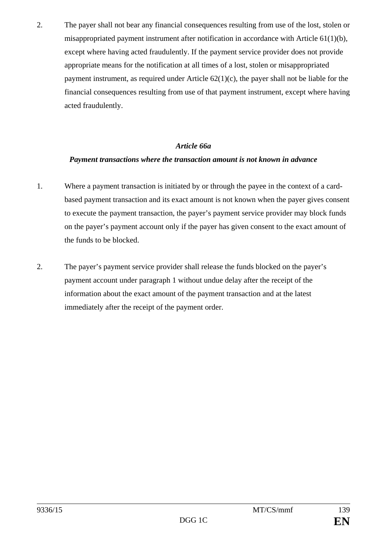2. The payer shall not bear any financial consequences resulting from use of the lost, stolen or misappropriated payment instrument after notification in accordance with Article 61(1)(b), except where having acted fraudulently. If the payment service provider does not provide appropriate means for the notification at all times of a lost, stolen or misappropriated payment instrument, as required under Article 62(1)(c), the payer shall not be liable for the financial consequences resulting from use of that payment instrument, except where having acted fraudulently.

#### *Article 66a*

## *Payment transactions where the transaction amount is not known in advance*

- 1. Where a payment transaction is initiated by or through the payee in the context of a cardbased payment transaction and its exact amount is not known when the payer gives consent to execute the payment transaction, the payer's payment service provider may block funds on the payer's payment account only if the payer has given consent to the exact amount of the funds to be blocked.
- 2. The payer's payment service provider shall release the funds blocked on the payer's payment account under paragraph 1 without undue delay after the receipt of the information about the exact amount of the payment transaction and at the latest immediately after the receipt of the payment order.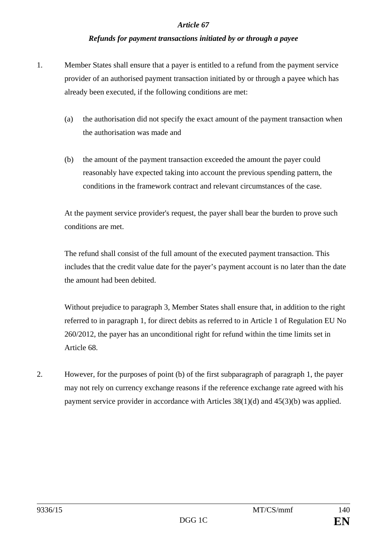## *Refunds for payment transactions initiated by or through a payee*

- 1. Member States shall ensure that a payer is entitled to a refund from the payment service provider of an authorised payment transaction initiated by or through a payee which has already been executed, if the following conditions are met:
	- (a) the authorisation did not specify the exact amount of the payment transaction when the authorisation was made and
	- (b) the amount of the payment transaction exceeded the amount the payer could reasonably have expected taking into account the previous spending pattern, the conditions in the framework contract and relevant circumstances of the case.

At the payment service provider's request, the payer shall bear the burden to prove such conditions are met.

The refund shall consist of the full amount of the executed payment transaction. This includes that the credit value date for the payer's payment account is no later than the date the amount had been debited.

Without prejudice to paragraph 3, Member States shall ensure that, in addition to the right referred to in paragraph 1, for direct debits as referred to in Article 1 of Regulation EU No 260/2012, the payer has an unconditional right for refund within the time limits set in Article 68.

2. However, for the purposes of point (b) of the first subparagraph of paragraph 1, the payer may not rely on currency exchange reasons if the reference exchange rate agreed with his payment service provider in accordance with Articles 38(1)(d) and 45(3)(b) was applied.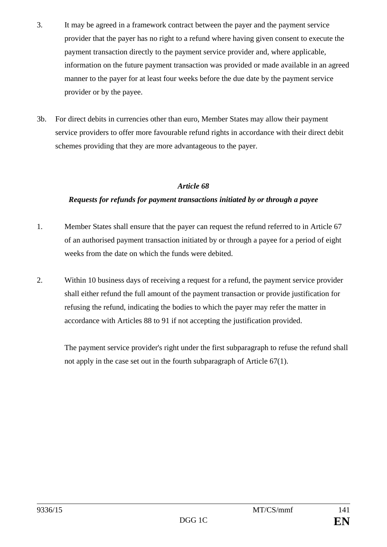- 3. It may be agreed in a framework contract between the payer and the payment service provider that the payer has no right to a refund where having given consent to execute the payment transaction directly to the payment service provider and, where applicable, information on the future payment transaction was provided or made available in an agreed manner to the payer for at least four weeks before the due date by the payment service provider or by the payee.
- 3b. For direct debits in currencies other than euro, Member States may allow their payment service providers to offer more favourable refund rights in accordance with their direct debit schemes providing that they are more advantageous to the payer.

## *Requests for refunds for payment transactions initiated by or through a payee*

- 1. Member States shall ensure that the payer can request the refund referred to in Article 67 of an authorised payment transaction initiated by or through a payee for a period of eight weeks from the date on which the funds were debited.
- 2. Within 10 business days of receiving a request for a refund, the payment service provider shall either refund the full amount of the payment transaction or provide justification for refusing the refund, indicating the bodies to which the payer may refer the matter in accordance with Articles 88 to 91 if not accepting the justification provided.

The payment service provider's right under the first subparagraph to refuse the refund shall not apply in the case set out in the fourth subparagraph of Article 67(1).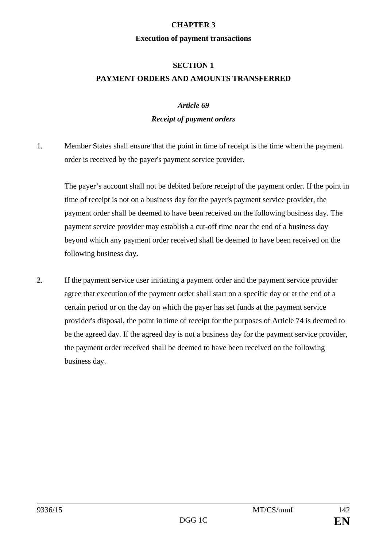### **CHAPTER 3**

#### **Execution of payment transactions**

## **SECTION 1 PAYMENT ORDERS AND AMOUNTS TRANSFERRED**

## *Article 69*

## *Receipt of payment orders*

1. Member States shall ensure that the point in time of receipt is the time when the payment order is received by the payer's payment service provider.

The payer's account shall not be debited before receipt of the payment order. If the point in time of receipt is not on a business day for the payer's payment service provider, the payment order shall be deemed to have been received on the following business day. The payment service provider may establish a cut-off time near the end of a business day beyond which any payment order received shall be deemed to have been received on the following business day.

2. If the payment service user initiating a payment order and the payment service provider agree that execution of the payment order shall start on a specific day or at the end of a certain period or on the day on which the payer has set funds at the payment service provider's disposal, the point in time of receipt for the purposes of Article 74 is deemed to be the agreed day. If the agreed day is not a business day for the payment service provider, the payment order received shall be deemed to have been received on the following business day.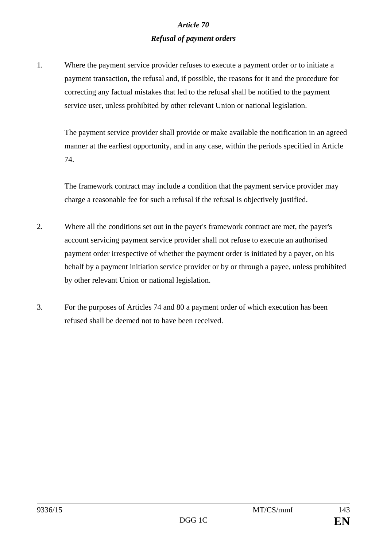## *Article 70 Refusal of payment orders*

1. Where the payment service provider refuses to execute a payment order or to initiate a payment transaction, the refusal and, if possible, the reasons for it and the procedure for correcting any factual mistakes that led to the refusal shall be notified to the payment service user, unless prohibited by other relevant Union or national legislation.

The payment service provider shall provide or make available the notification in an agreed manner at the earliest opportunity, and in any case, within the periods specified in Article 74.

The framework contract may include a condition that the payment service provider may charge a reasonable fee for such a refusal if the refusal is objectively justified.

- 2. Where all the conditions set out in the payer's framework contract are met, the payer's account servicing payment service provider shall not refuse to execute an authorised payment order irrespective of whether the payment order is initiated by a payer, on his behalf by a payment initiation service provider or by or through a payee, unless prohibited by other relevant Union or national legislation.
- 3. For the purposes of Articles 74 and 80 a payment order of which execution has been refused shall be deemed not to have been received.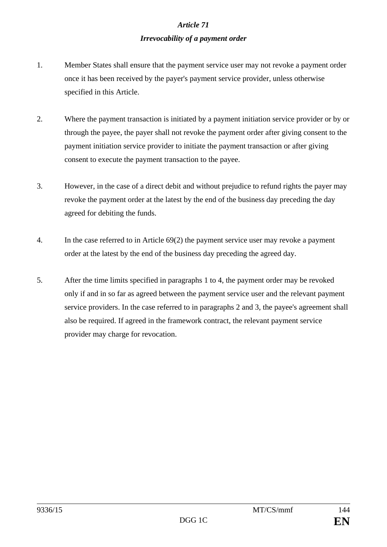# *Article 71 Irrevocability of a payment order*

- 1. Member States shall ensure that the payment service user may not revoke a payment order once it has been received by the payer's payment service provider, unless otherwise specified in this Article.
- 2. Where the payment transaction is initiated by a payment initiation service provider or by or through the payee, the payer shall not revoke the payment order after giving consent to the payment initiation service provider to initiate the payment transaction or after giving consent to execute the payment transaction to the payee.
- 3. However, in the case of a direct debit and without prejudice to refund rights the payer may revoke the payment order at the latest by the end of the business day preceding the day agreed for debiting the funds.
- 4. In the case referred to in Article 69(2) the payment service user may revoke a payment order at the latest by the end of the business day preceding the agreed day.
- 5. After the time limits specified in paragraphs 1 to 4, the payment order may be revoked only if and in so far as agreed between the payment service user and the relevant payment service providers. In the case referred to in paragraphs 2 and 3, the payee's agreement shall also be required. If agreed in the framework contract, the relevant payment service provider may charge for revocation.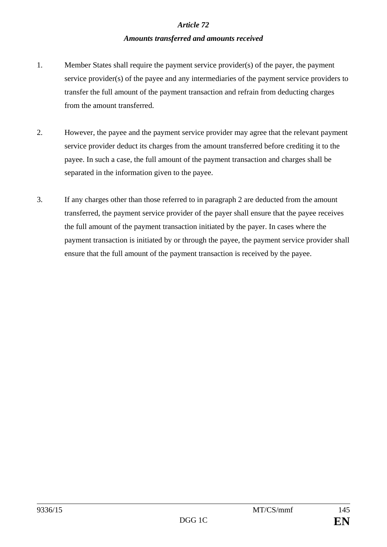#### *Article 72*

### *Amounts transferred and amounts received*

- 1. Member States shall require the payment service provider(s) of the payer, the payment service provider(s) of the payee and any intermediaries of the payment service providers to transfer the full amount of the payment transaction and refrain from deducting charges from the amount transferred.
- 2. However, the payee and the payment service provider may agree that the relevant payment service provider deduct its charges from the amount transferred before crediting it to the payee. In such a case, the full amount of the payment transaction and charges shall be separated in the information given to the payee.
- 3. If any charges other than those referred to in paragraph 2 are deducted from the amount transferred, the payment service provider of the payer shall ensure that the payee receives the full amount of the payment transaction initiated by the payer. In cases where the payment transaction is initiated by or through the payee, the payment service provider shall ensure that the full amount of the payment transaction is received by the payee.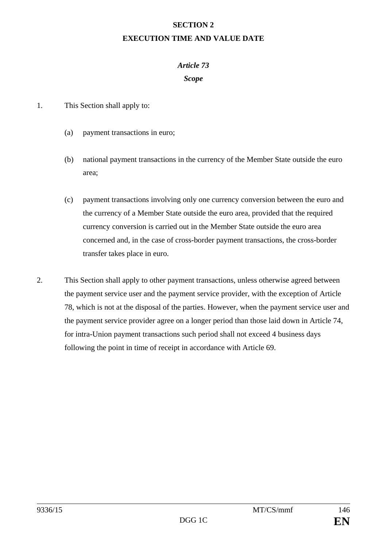#### **SECTION 2**

### **EXECUTION TIME AND VALUE DATE**

## *Article 73*

### *Scope*

- 1. This Section shall apply to:
	- (a) payment transactions in euro;
	- (b) national payment transactions in the currency of the Member State outside the euro area;
	- (c) payment transactions involving only one currency conversion between the euro and the currency of a Member State outside the euro area, provided that the required currency conversion is carried out in the Member State outside the euro area concerned and, in the case of cross-border payment transactions, the cross-border transfer takes place in euro.
- 2. This Section shall apply to other payment transactions, unless otherwise agreed between the payment service user and the payment service provider, with the exception of Article 78, which is not at the disposal of the parties. However, when the payment service user and the payment service provider agree on a longer period than those laid down in Article 74, for intra-Union payment transactions such period shall not exceed 4 business days following the point in time of receipt in accordance with Article 69.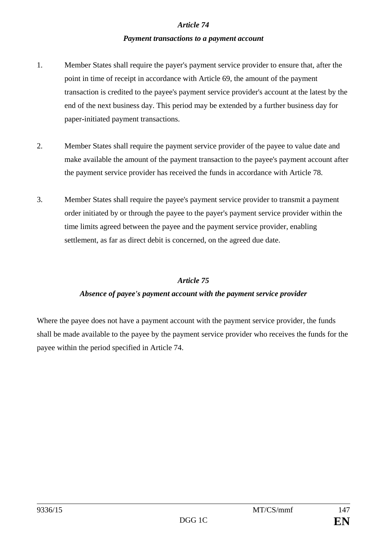#### *Article 74*

#### *Payment transactions to a payment account*

- 1. Member States shall require the payer's payment service provider to ensure that, after the point in time of receipt in accordance with Article 69, the amount of the payment transaction is credited to the payee's payment service provider's account at the latest by the end of the next business day. This period may be extended by a further business day for paper-initiated payment transactions.
- 2. Member States shall require the payment service provider of the payee to value date and make available the amount of the payment transaction to the payee's payment account after the payment service provider has received the funds in accordance with Article 78.
- 3. Member States shall require the payee's payment service provider to transmit a payment order initiated by or through the payee to the payer's payment service provider within the time limits agreed between the payee and the payment service provider, enabling settlement, as far as direct debit is concerned, on the agreed due date.

## *Article 75*

## *Absence of payee's payment account with the payment service provider*

Where the payee does not have a payment account with the payment service provider, the funds shall be made available to the payee by the payment service provider who receives the funds for the payee within the period specified in Article 74.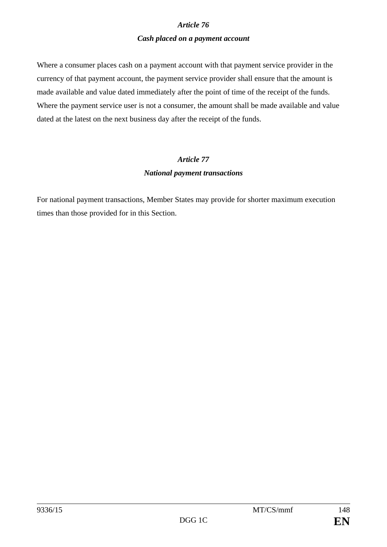## *Article 76 Cash placed on a payment account*

Where a consumer places cash on a payment account with that payment service provider in the currency of that payment account, the payment service provider shall ensure that the amount is made available and value dated immediately after the point of time of the receipt of the funds. Where the payment service user is not a consumer, the amount shall be made available and value dated at the latest on the next business day after the receipt of the funds.

## *Article 77 National payment transactions*

For national payment transactions, Member States may provide for shorter maximum execution times than those provided for in this Section.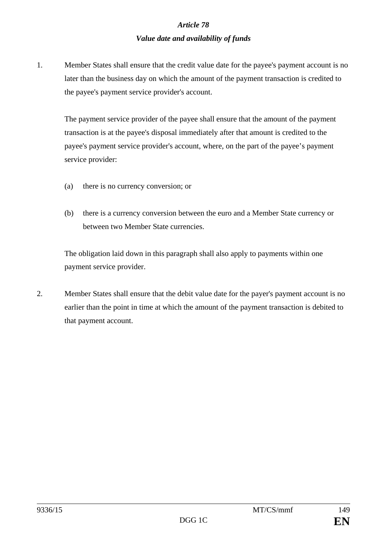# *Article 78 Value date and availability of funds*

1. Member States shall ensure that the credit value date for the payee's payment account is no later than the business day on which the amount of the payment transaction is credited to the payee's payment service provider's account.

The payment service provider of the payee shall ensure that the amount of the payment transaction is at the payee's disposal immediately after that amount is credited to the payee's payment service provider's account, where, on the part of the payee's payment service provider:

- (a) there is no currency conversion; or
- (b) there is a currency conversion between the euro and a Member State currency or between two Member State currencies.

The obligation laid down in this paragraph shall also apply to payments within one payment service provider.

2. Member States shall ensure that the debit value date for the payer's payment account is no earlier than the point in time at which the amount of the payment transaction is debited to that payment account.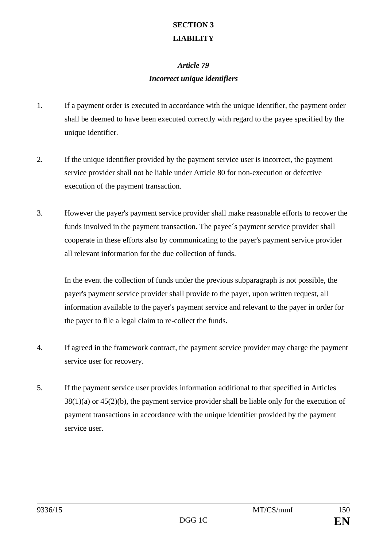## **SECTION 3 LIABILITY**

## *Article 79 Incorrect unique identifiers*

- 1. If a payment order is executed in accordance with the unique identifier, the payment order shall be deemed to have been executed correctly with regard to the payee specified by the unique identifier.
- 2. If the unique identifier provided by the payment service user is incorrect, the payment service provider shall not be liable under Article 80 for non-execution or defective execution of the payment transaction.
- 3. However the payer's payment service provider shall make reasonable efforts to recover the funds involved in the payment transaction. The payee´s payment service provider shall cooperate in these efforts also by communicating to the payer's payment service provider all relevant information for the due collection of funds.

In the event the collection of funds under the previous subparagraph is not possible, the payer's payment service provider shall provide to the payer, upon written request, all information available to the payer's payment service and relevant to the payer in order for the payer to file a legal claim to re-collect the funds.

- 4. If agreed in the framework contract, the payment service provider may charge the payment service user for recovery.
- 5. If the payment service user provides information additional to that specified in Articles  $38(1)(a)$  or  $45(2)(b)$ , the payment service provider shall be liable only for the execution of payment transactions in accordance with the unique identifier provided by the payment service user.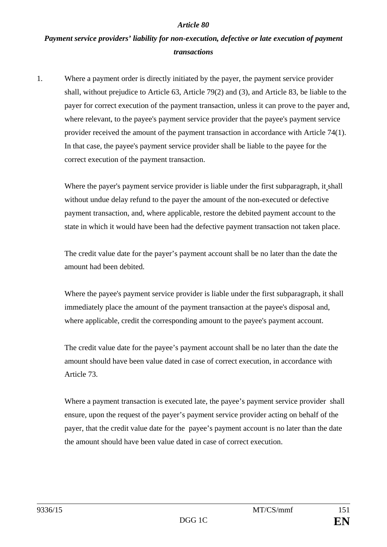#### *Article 80*

# *Payment service providers' liability for non-execution, defective or late execution of payment transactions*

1. Where a payment order is directly initiated by the payer, the payment service provider shall, without prejudice to Article 63, Article 79(2) and (3), and Article 83, be liable to the payer for correct execution of the payment transaction, unless it can prove to the payer and, where relevant, to the payee's payment service provider that the payee's payment service provider received the amount of the payment transaction in accordance with Article 74(1). In that case, the payee's payment service provider shall be liable to the payee for the correct execution of the payment transaction.

Where the payer's payment service provider is liable under the first subparagraph, it shall without undue delay refund to the payer the amount of the non-executed or defective payment transaction, and, where applicable, restore the debited payment account to the state in which it would have been had the defective payment transaction not taken place.

The credit value date for the payer's payment account shall be no later than the date the amount had been debited.

Where the payee's payment service provider is liable under the first subparagraph, it shall immediately place the amount of the payment transaction at the payee's disposal and, where applicable, credit the corresponding amount to the payee's payment account.

The credit value date for the payee's payment account shall be no later than the date the amount should have been value dated in case of correct execution, in accordance with Article 73.

Where a payment transaction is executed late, the payee's payment service provider shall ensure, upon the request of the payer's payment service provider acting on behalf of the payer, that the credit value date for the payee's payment account is no later than the date the amount should have been value dated in case of correct execution.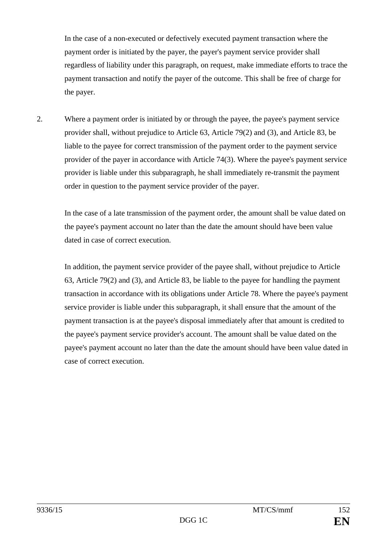In the case of a non-executed or defectively executed payment transaction where the payment order is initiated by the payer, the payer's payment service provider shall regardless of liability under this paragraph, on request, make immediate efforts to trace the payment transaction and notify the payer of the outcome. This shall be free of charge for the payer.

2. Where a payment order is initiated by or through the payee, the payee's payment service provider shall, without prejudice to Article 63, Article 79(2) and (3), and Article 83, be liable to the payee for correct transmission of the payment order to the payment service provider of the payer in accordance with Article 74(3). Where the payee's payment service provider is liable under this subparagraph, he shall immediately re-transmit the payment order in question to the payment service provider of the payer.

In the case of a late transmission of the payment order, the amount shall be value dated on the payee's payment account no later than the date the amount should have been value dated in case of correct execution.

In addition, the payment service provider of the payee shall, without prejudice to Article 63, Article 79(2) and (3), and Article 83, be liable to the payee for handling the payment transaction in accordance with its obligations under Article 78. Where the payee's payment service provider is liable under this subparagraph, it shall ensure that the amount of the payment transaction is at the payee's disposal immediately after that amount is credited to the payee's payment service provider's account. The amount shall be value dated on the payee's payment account no later than the date the amount should have been value dated in case of correct execution.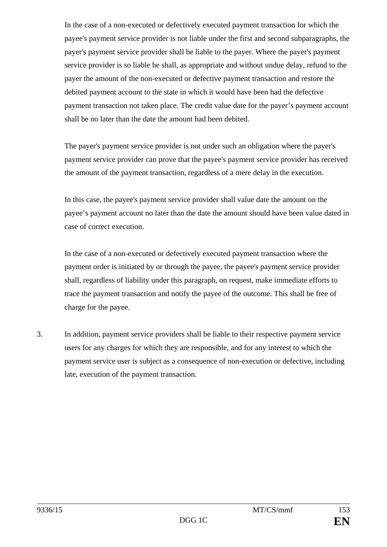In the case of a non-executed or defectively executed payment transaction for which the payee's payment service provider is not liable under the first and second subparagraphs, the payer's payment service provider shall be liable to the payer. Where the payer's payment service provider is so liable he shall, as appropriate and without undue delay, refund to the payer the amount of the non-executed or defective payment transaction and restore the debited payment account to the state in which it would have been had the defective payment transaction not taken place. The credit value date for the payer's payment account shall be no later than the date the amount had been debited.

The payer's payment service provider is not under such an obligation where the payer's payment service provider can prove that the payee's payment service provider has received the amount of the payment transaction, regardless of a mere delay in the execution.

In this case, the payee's payment service provider shall value date the amount on the payee's payment account no later than the date the amount should have been value dated in case of correct execution.

In the case of a non-executed or defectively executed payment transaction where the payment order is initiated by or through the payee, the payee's payment service provider shall, regardless of liability under this paragraph, on request, make immediate efforts to trace the payment transaction and notify the payee of the outcome. This shall be free of charge for the payee.

3. In addition, payment service providers shall be liable to their respective payment service users for any charges for which they are responsible, and for any interest to which the payment service user is subject as a consequence of non-execution or defective, including late, execution of the payment transaction.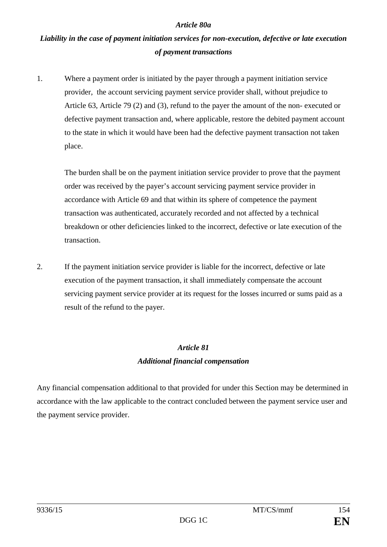#### *Article 80a*

# *Liability in the case of payment initiation services for non-execution, defective or late execution of payment transactions*

1. Where a payment order is initiated by the payer through a payment initiation service provider, the account servicing payment service provider shall, without prejudice to Article 63, Article 79 (2) and (3), refund to the payer the amount of the non- executed or defective payment transaction and, where applicable, restore the debited payment account to the state in which it would have been had the defective payment transaction not taken place.

The burden shall be on the payment initiation service provider to prove that the payment order was received by the payer's account servicing payment service provider in accordance with Article 69 and that within its sphere of competence the payment transaction was authenticated, accurately recorded and not affected by a technical breakdown or other deficiencies linked to the incorrect, defective or late execution of the transaction.

2. If the payment initiation service provider is liable for the incorrect, defective or late execution of the payment transaction, it shall immediately compensate the account servicing payment service provider at its request for the losses incurred or sums paid as a result of the refund to the payer.

# *Article 81 Additional financial compensation*

Any financial compensation additional to that provided for under this Section may be determined in accordance with the law applicable to the contract concluded between the payment service user and the payment service provider.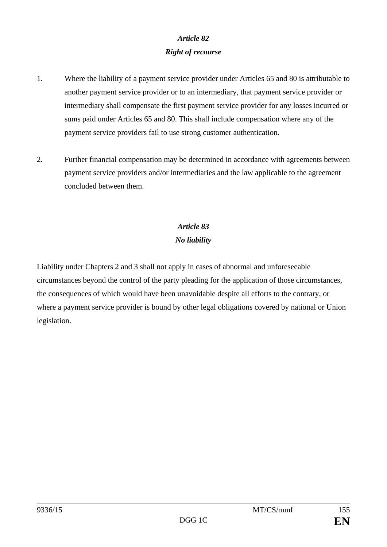## *Article 82 Right of recourse*

- 1. Where the liability of a payment service provider under Articles 65 and 80 is attributable to another payment service provider or to an intermediary, that payment service provider or intermediary shall compensate the first payment service provider for any losses incurred or sums paid under Articles 65 and 80. This shall include compensation where any of the payment service providers fail to use strong customer authentication.
- 2. Further financial compensation may be determined in accordance with agreements between payment service providers and/or intermediaries and the law applicable to the agreement concluded between them.

# *Article 83 No liability*

Liability under Chapters 2 and 3 shall not apply in cases of abnormal and unforeseeable circumstances beyond the control of the party pleading for the application of those circumstances, the consequences of which would have been unavoidable despite all efforts to the contrary, or where a payment service provider is bound by other legal obligations covered by national or Union legislation.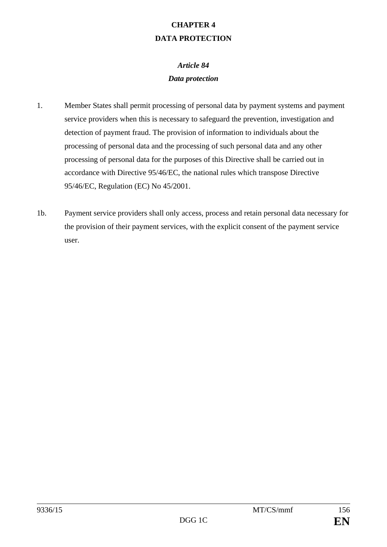# **CHAPTER 4 DATA PROTECTION**

# *Article 84 Data protection*

- 1. Member States shall permit processing of personal data by payment systems and payment service providers when this is necessary to safeguard the prevention, investigation and detection of payment fraud. The provision of information to individuals about the processing of personal data and the processing of such personal data and any other processing of personal data for the purposes of this Directive shall be carried out in accordance with Directive 95/46/EC, the national rules which transpose Directive 95/46/EC, Regulation (EC) No 45/2001.
- 1b. Payment service providers shall only access, process and retain personal data necessary for the provision of their payment services, with the explicit consent of the payment service user.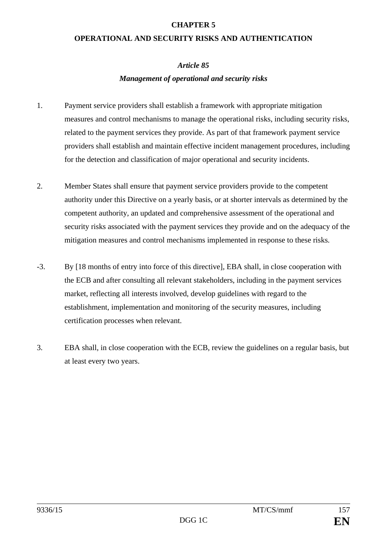#### **CHAPTER 5**

#### **OPERATIONAL AND SECURITY RISKS AND AUTHENTICATION**

#### *Article 85*

### *Management of operational and security risks*

- 1. Payment service providers shall establish a framework with appropriate mitigation measures and control mechanisms to manage the operational risks, including security risks, related to the payment services they provide. As part of that framework payment service providers shall establish and maintain effective incident management procedures, including for the detection and classification of major operational and security incidents.
- 2. Member States shall ensure that payment service providers provide to the competent authority under this Directive on a yearly basis, or at shorter intervals as determined by the competent authority, an updated and comprehensive assessment of the operational and security risks associated with the payment services they provide and on the adequacy of the mitigation measures and control mechanisms implemented in response to these risks.
- -3. By [18 months of entry into force of this directive], EBA shall, in close cooperation with the ECB and after consulting all relevant stakeholders, including in the payment services market, reflecting all interests involved, develop guidelines with regard to the establishment, implementation and monitoring of the security measures, including certification processes when relevant.
- 3. EBA shall, in close cooperation with the ECB, review the guidelines on a regular basis, but at least every two years.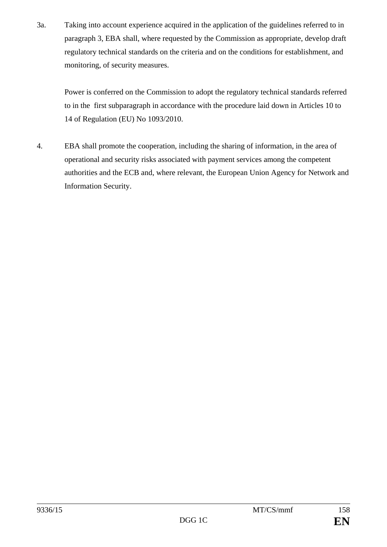3a. Taking into account experience acquired in the application of the guidelines referred to in paragraph 3, EBA shall, where requested by the Commission as appropriate, develop draft regulatory technical standards on the criteria and on the conditions for establishment, and monitoring, of security measures.

Power is conferred on the Commission to adopt the regulatory technical standards referred to in the first subparagraph in accordance with the procedure laid down in Articles 10 to 14 of Regulation (EU) No 1093/2010.

4. EBA shall promote the cooperation, including the sharing of information, in the area of operational and security risks associated with payment services among the competent authorities and the ECB and, where relevant, the European Union Agency for Network and Information Security.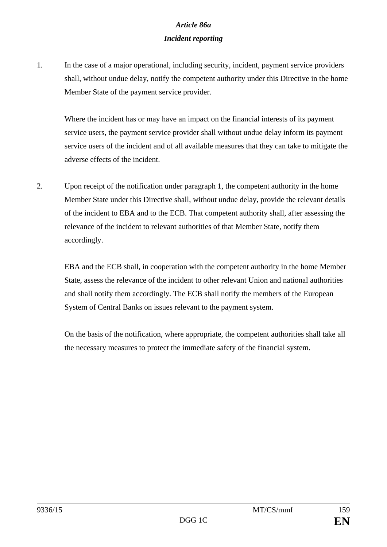## *Article 86a Incident reporting*

1. In the case of a major operational, including security, incident, payment service providers shall, without undue delay, notify the competent authority under this Directive in the home Member State of the payment service provider.

Where the incident has or may have an impact on the financial interests of its payment service users, the payment service provider shall without undue delay inform its payment service users of the incident and of all available measures that they can take to mitigate the adverse effects of the incident.

2. Upon receipt of the notification under paragraph 1, the competent authority in the home Member State under this Directive shall, without undue delay, provide the relevant details of the incident to EBA and to the ECB. That competent authority shall, after assessing the relevance of the incident to relevant authorities of that Member State, notify them accordingly.

EBA and the ECB shall, in cooperation with the competent authority in the home Member State, assess the relevance of the incident to other relevant Union and national authorities and shall notify them accordingly. The ECB shall notify the members of the European System of Central Banks on issues relevant to the payment system.

On the basis of the notification, where appropriate, the competent authorities shall take all the necessary measures to protect the immediate safety of the financial system.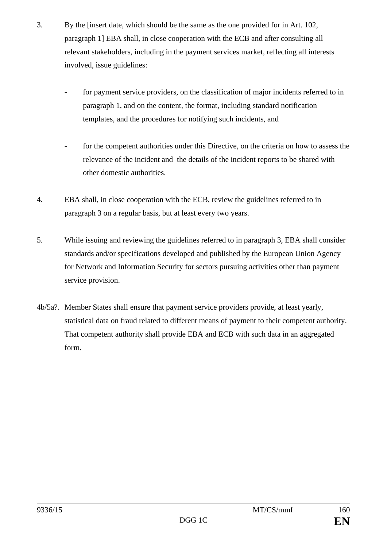- 3. By the [insert date, which should be the same as the one provided for in Art. 102, paragraph 1] EBA shall, in close cooperation with the ECB and after consulting all relevant stakeholders, including in the payment services market, reflecting all interests involved, issue guidelines:
	- for payment service providers, on the classification of major incidents referred to in paragraph 1, and on the content, the format, including standard notification templates, and the procedures for notifying such incidents, and
	- for the competent authorities under this Directive, on the criteria on how to assess the relevance of the incident and the details of the incident reports to be shared with other domestic authorities.
- 4. EBA shall, in close cooperation with the ECB, review the guidelines referred to in paragraph 3 on a regular basis, but at least every two years.
- 5. While issuing and reviewing the guidelines referred to in paragraph 3, EBA shall consider standards and/or specifications developed and published by the European Union Agency for Network and Information Security for sectors pursuing activities other than payment service provision.
- 4b/5a?. Member States shall ensure that payment service providers provide, at least yearly, statistical data on fraud related to different means of payment to their competent authority. That competent authority shall provide EBA and ECB with such data in an aggregated form.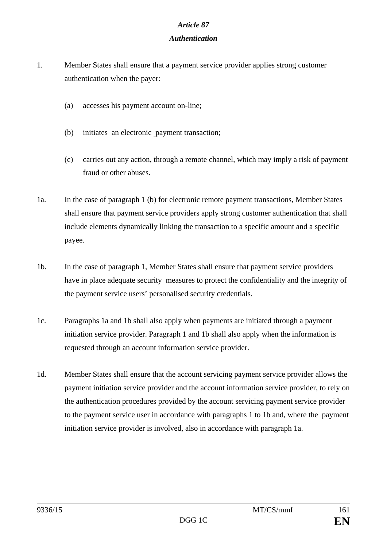#### *Article 87*

### *Authentication*

- 1. Member States shall ensure that a payment service provider applies strong customer authentication when the payer:
	- (a) accesses his payment account on-line;
	- (b) initiates an electronic payment transaction;
	- (c) carries out any action, through a remote channel, which may imply a risk of payment fraud or other abuses.
- 1a. In the case of paragraph 1 (b) for electronic remote payment transactions, Member States shall ensure that payment service providers apply strong customer authentication that shall include elements dynamically linking the transaction to a specific amount and a specific payee.
- 1b. In the case of paragraph 1, Member States shall ensure that payment service providers have in place adequate security measures to protect the confidentiality and the integrity of the payment service users' personalised security credentials.
- 1c. Paragraphs 1a and 1b shall also apply when payments are initiated through a payment initiation service provider. Paragraph 1 and 1b shall also apply when the information is requested through an account information service provider.
- 1d. Member States shall ensure that the account servicing payment service provider allows the payment initiation service provider and the account information service provider, to rely on the authentication procedures provided by the account servicing payment service provider to the payment service user in accordance with paragraphs 1 to 1b and, where the payment initiation service provider is involved, also in accordance with paragraph 1a.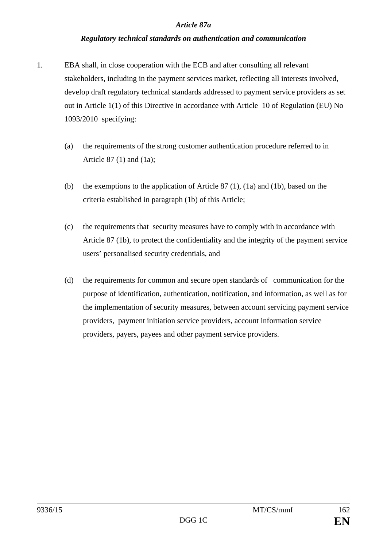#### *Article 87a*

#### *Regulatory technical standards on authentication and communication*

- 1. EBA shall, in close cooperation with the ECB and after consulting all relevant stakeholders, including in the payment services market, reflecting all interests involved, develop draft regulatory technical standards addressed to payment service providers as set out in Article 1(1) of this Directive in accordance with Article 10 of Regulation (EU) No 1093/2010 specifying:
	- (a) the requirements of the strong customer authentication procedure referred to in Article 87 (1) and (1a);
	- (b) the exemptions to the application of Article 87 (1), (1a) and (1b), based on the criteria established in paragraph (1b) of this Article;
	- (c) the requirements that security measures have to comply with in accordance with Article 87 (1b), to protect the confidentiality and the integrity of the payment service users' personalised security credentials, and
	- (d) the requirements for common and secure open standards of communication for the purpose of identification, authentication, notification, and information, as well as for the implementation of security measures, between account servicing payment service providers, payment initiation service providers, account information service providers, payers, payees and other payment service providers.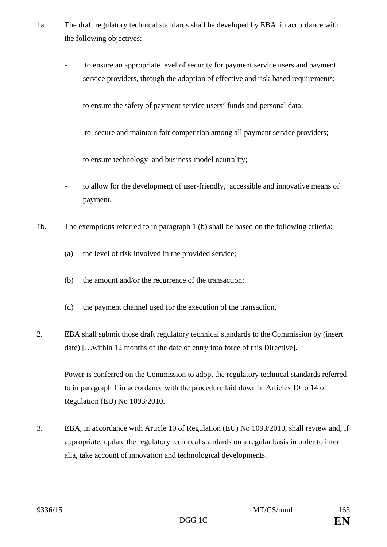- 1a. The draft regulatory technical standards shall be developed by EBA in accordance with the following objectives:
	- to ensure an appropriate level of security for payment service users and payment service providers, through the adoption of effective and risk-based requirements;
	- to ensure the safety of payment service users' funds and personal data;
	- to secure and maintain fair competition among all payment service providers;
	- to ensure technology and business-model neutrality;
	- to allow for the development of user-friendly, accessible and innovative means of payment.
- 1b. The exemptions referred to in paragraph 1 (b) shall be based on the following criteria:
	- (a) the level of risk involved in the provided service;
	- (b) the amount and/or the recurrence of the transaction;
	- (d) the payment channel used for the execution of the transaction.
- 2. EBA shall submit those draft regulatory technical standards to the Commission by (insert date) […within 12 months of the date of entry into force of this Directive].

Power is conferred on the Commission to adopt the regulatory technical standards referred to in paragraph 1 in accordance with the procedure laid down in Articles 10 to 14 of Regulation (EU) No 1093/2010.

3. EBA, in accordance with Article 10 of Regulation (EU) No 1093/2010, shall review and, if appropriate, update the regulatory technical standards on a regular basis in order to inter alia, take account of innovation and technological developments.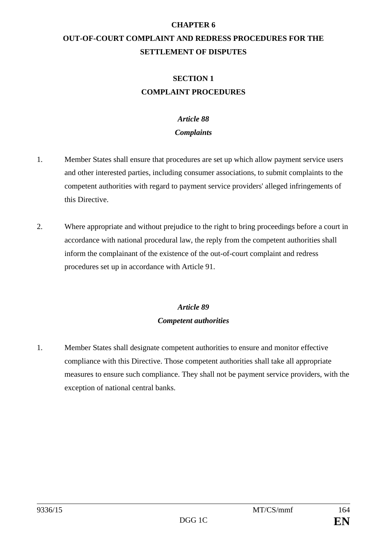#### **CHAPTER 6**

# **OUT-OF-COURT COMPLAINT AND REDRESS PROCEDURES FOR THE SETTLEMENT OF DISPUTES**

## **SECTION 1 COMPLAINT PROCEDURES**

## *Article 88*

## *Complaints*

- 1. Member States shall ensure that procedures are set up which allow payment service users and other interested parties, including consumer associations, to submit complaints to the competent authorities with regard to payment service providers' alleged infringements of this Directive.
- 2. Where appropriate and without prejudice to the right to bring proceedings before a court in accordance with national procedural law, the reply from the competent authorities shall inform the complainant of the existence of the out-of-court complaint and redress procedures set up in accordance with Article 91.

# *Article 89 Competent authorities*

1. Member States shall designate competent authorities to ensure and monitor effective compliance with this Directive. Those competent authorities shall take all appropriate measures to ensure such compliance. They shall not be payment service providers, with the exception of national central banks.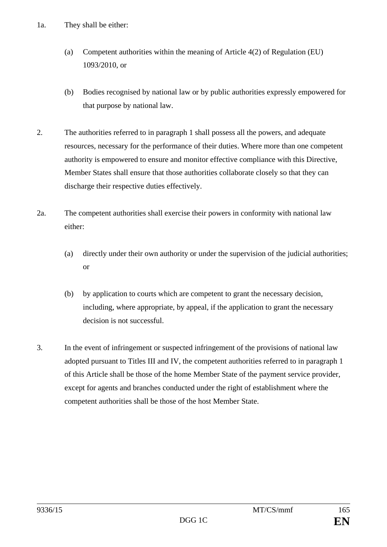- 1a. They shall be either:
	- (a) Competent authorities within the meaning of Article 4(2) of Regulation (EU) 1093/2010, or
	- (b) Bodies recognised by national law or by public authorities expressly empowered for that purpose by national law.
- 2. The authorities referred to in paragraph 1 shall possess all the powers, and adequate resources, necessary for the performance of their duties. Where more than one competent authority is empowered to ensure and monitor effective compliance with this Directive, Member States shall ensure that those authorities collaborate closely so that they can discharge their respective duties effectively.
- 2a. The competent authorities shall exercise their powers in conformity with national law either:
	- (a) directly under their own authority or under the supervision of the judicial authorities; or
	- (b) by application to courts which are competent to grant the necessary decision, including, where appropriate, by appeal, if the application to grant the necessary decision is not successful.
- 3. In the event of infringement or suspected infringement of the provisions of national law adopted pursuant to Titles III and IV, the competent authorities referred to in paragraph 1 of this Article shall be those of the home Member State of the payment service provider, except for agents and branches conducted under the right of establishment where the competent authorities shall be those of the host Member State.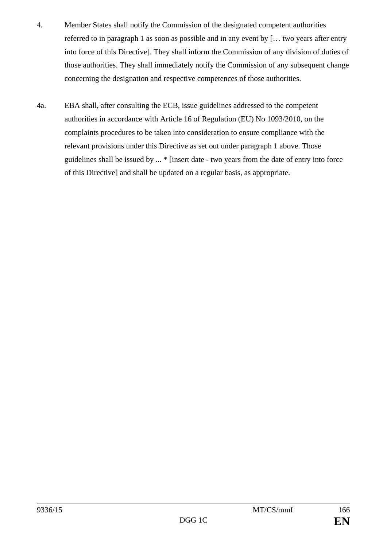- 4. Member States shall notify the Commission of the designated competent authorities referred to in paragraph 1 as soon as possible and in any event by [… two years after entry into force of this Directive]. They shall inform the Commission of any division of duties of those authorities. They shall immediately notify the Commission of any subsequent change concerning the designation and respective competences of those authorities.
- 4a. EBA shall, after consulting the ECB, issue guidelines addressed to the competent authorities in accordance with Article 16 of Regulation (EU) No 1093/2010, on the complaints procedures to be taken into consideration to ensure compliance with the relevant provisions under this Directive as set out under paragraph 1 above. Those guidelines shall be issued by ... \* [insert date - two years from the date of entry into force of this Directive] and shall be updated on a regular basis, as appropriate.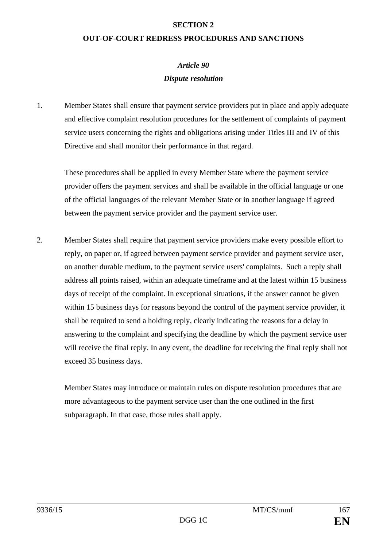#### **SECTION 2**

#### **OUT-OF-COURT REDRESS PROCEDURES AND SANCTIONS**

## *Article 90 Dispute resolution*

1. Member States shall ensure that payment service providers put in place and apply adequate and effective complaint resolution procedures for the settlement of complaints of payment service users concerning the rights and obligations arising under Titles III and IV of this Directive and shall monitor their performance in that regard.

These procedures shall be applied in every Member State where the payment service provider offers the payment services and shall be available in the official language or one of the official languages of the relevant Member State or in another language if agreed between the payment service provider and the payment service user.

2. Member States shall require that payment service providers make every possible effort to reply, on paper or, if agreed between payment service provider and payment service user, on another durable medium, to the payment service users' complaints. Such a reply shall address all points raised, within an adequate timeframe and at the latest within 15 business days of receipt of the complaint. In exceptional situations, if the answer cannot be given within 15 business days for reasons beyond the control of the payment service provider, it shall be required to send a holding reply, clearly indicating the reasons for a delay in answering to the complaint and specifying the deadline by which the payment service user will receive the final reply. In any event, the deadline for receiving the final reply shall not exceed 35 business days.

Member States may introduce or maintain rules on dispute resolution procedures that are more advantageous to the payment service user than the one outlined in the first subparagraph. In that case, those rules shall apply.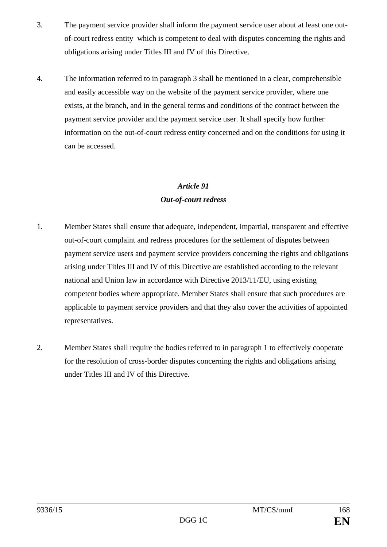- 3. The payment service provider shall inform the payment service user about at least one outof-court redress entity which is competent to deal with disputes concerning the rights and obligations arising under Titles III and IV of this Directive.
- 4. The information referred to in paragraph 3 shall be mentioned in a clear, comprehensible and easily accessible way on the website of the payment service provider, where one exists, at the branch, and in the general terms and conditions of the contract between the payment service provider and the payment service user. It shall specify how further information on the out-of-court redress entity concerned and on the conditions for using it can be accessed.

## *Article 91 Out-of-court redress*

- 1. Member States shall ensure that adequate, independent, impartial, transparent and effective out-of-court complaint and redress procedures for the settlement of disputes between payment service users and payment service providers concerning the rights and obligations arising under Titles III and IV of this Directive are established according to the relevant national and Union law in accordance with Directive 2013/11/EU, using existing competent bodies where appropriate. Member States shall ensure that such procedures are applicable to payment service providers and that they also cover the activities of appointed representatives.
- 2. Member States shall require the bodies referred to in paragraph 1 to effectively cooperate for the resolution of cross-border disputes concerning the rights and obligations arising under Titles III and IV of this Directive.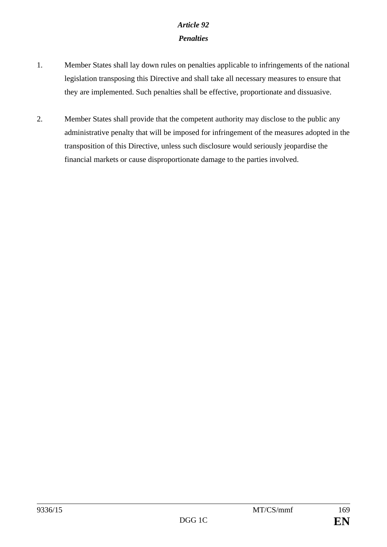# *Article 92 Penalties*

- 1. Member States shall lay down rules on penalties applicable to infringements of the national legislation transposing this Directive and shall take all necessary measures to ensure that they are implemented. Such penalties shall be effective, proportionate and dissuasive.
- 2. Member States shall provide that the competent authority may disclose to the public any administrative penalty that will be imposed for infringement of the measures adopted in the transposition of this Directive, unless such disclosure would seriously jeopardise the financial markets or cause disproportionate damage to the parties involved.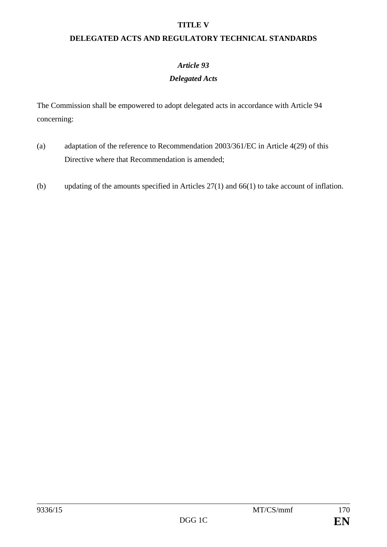#### **TITLE V**

### **DELEGATED ACTS AND REGULATORY TECHNICAL STANDARDS**

## *Article 93*

### *Delegated Acts*

The Commission shall be empowered to adopt delegated acts in accordance with Article 94 concerning:

- (a) adaptation of the reference to Recommendation 2003/361/EC in Article 4(29) of this Directive where that Recommendation is amended;
- (b) updating of the amounts specified in Articles 27(1) and 66(1) to take account of inflation.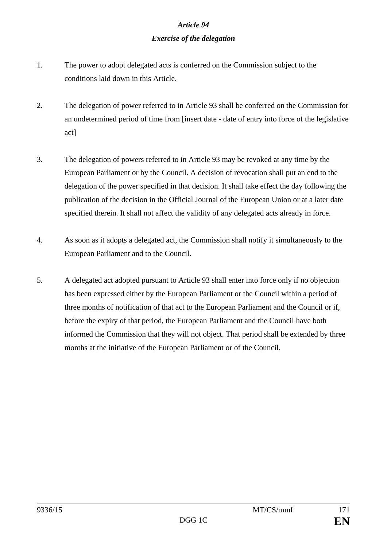# *Article 94 Exercise of the delegation*

- 1. The power to adopt delegated acts is conferred on the Commission subject to the conditions laid down in this Article.
- 2. The delegation of power referred to in Article 93 shall be conferred on the Commission for an undetermined period of time from [insert date - date of entry into force of the legislative act]
- 3. The delegation of powers referred to in Article 93 may be revoked at any time by the European Parliament or by the Council. A decision of revocation shall put an end to the delegation of the power specified in that decision. It shall take effect the day following the publication of the decision in the Official Journal of the European Union or at a later date specified therein. It shall not affect the validity of any delegated acts already in force.
- 4. As soon as it adopts a delegated act, the Commission shall notify it simultaneously to the European Parliament and to the Council.
- 5. A delegated act adopted pursuant to Article 93 shall enter into force only if no objection has been expressed either by the European Parliament or the Council within a period of three months of notification of that act to the European Parliament and the Council or if, before the expiry of that period, the European Parliament and the Council have both informed the Commission that they will not object. That period shall be extended by three months at the initiative of the European Parliament or of the Council.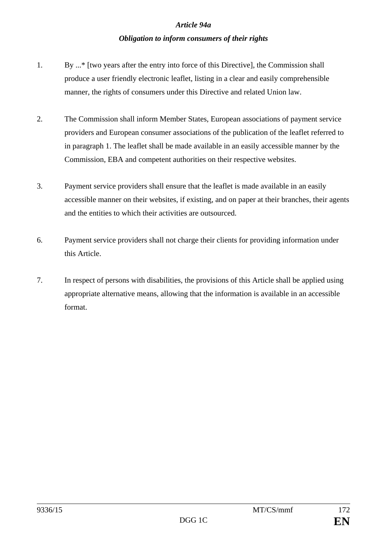#### *Article 94a*

#### *Obligation to inform consumers of their rights*

- 1. By ...\* [two years after the entry into force of this Directive], the Commission shall produce a user friendly electronic leaflet, listing in a clear and easily comprehensible manner, the rights of consumers under this Directive and related Union law.
- 2. The Commission shall inform Member States, European associations of payment service providers and European consumer associations of the publication of the leaflet referred to in paragraph 1. The leaflet shall be made available in an easily accessible manner by the Commission, EBA and competent authorities on their respective websites.
- 3. Payment service providers shall ensure that the leaflet is made available in an easily accessible manner on their websites, if existing, and on paper at their branches, their agents and the entities to which their activities are outsourced.
- 6. Payment service providers shall not charge their clients for providing information under this Article.
- 7. In respect of persons with disabilities, the provisions of this Article shall be applied using appropriate alternative means, allowing that the information is available in an accessible format.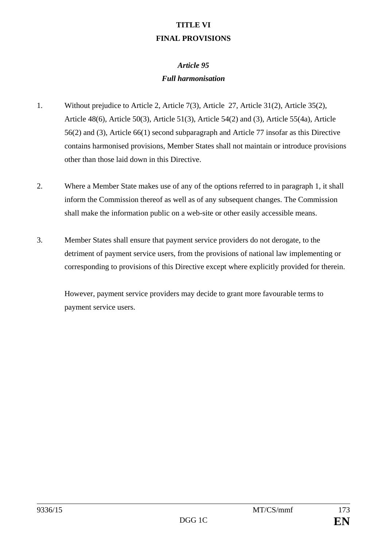## **TITLE VI FINAL PROVISIONS**

# *Article 95 Full harmonisation*

- 1. Without prejudice to Article 2, Article 7(3), Article 27, Article 31(2), Article 35(2), Article 48(6), Article 50(3), Article 51(3), Article 54(2) and (3), Article 55(4a), Article 56(2) and (3), Article 66(1) second subparagraph and Article 77 insofar as this Directive contains harmonised provisions, Member States shall not maintain or introduce provisions other than those laid down in this Directive.
- 2. Where a Member State makes use of any of the options referred to in paragraph 1, it shall inform the Commission thereof as well as of any subsequent changes. The Commission shall make the information public on a web-site or other easily accessible means.
- 3. Member States shall ensure that payment service providers do not derogate, to the detriment of payment service users, from the provisions of national law implementing or corresponding to provisions of this Directive except where explicitly provided for therein.

However, payment service providers may decide to grant more favourable terms to payment service users.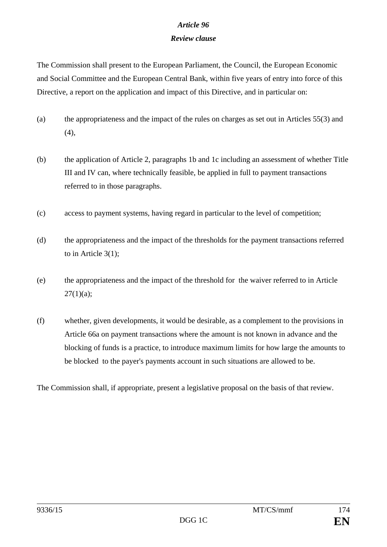## *Article 96*

## *Review clause*

The Commission shall present to the European Parliament, the Council, the European Economic and Social Committee and the European Central Bank, within five years of entry into force of this Directive, a report on the application and impact of this Directive, and in particular on:

- (a) the appropriateness and the impact of the rules on charges as set out in Articles 55(3) and  $(4)$ ,
- (b) the application of Article 2, paragraphs 1b and 1c including an assessment of whether Title III and IV can, where technically feasible, be applied in full to payment transactions referred to in those paragraphs.
- (c) access to payment systems, having regard in particular to the level of competition;
- (d) the appropriateness and the impact of the thresholds for the payment transactions referred to in Article 3(1);
- (e) the appropriateness and the impact of the threshold for the waiver referred to in Article  $27(1)(a)$ ;
- (f) whether, given developments, it would be desirable, as a complement to the provisions in Article 66a on payment transactions where the amount is not known in advance and the blocking of funds is a practice, to introduce maximum limits for how large the amounts to be blocked to the payer's payments account in such situations are allowed to be.

The Commission shall, if appropriate, present a legislative proposal on the basis of that review.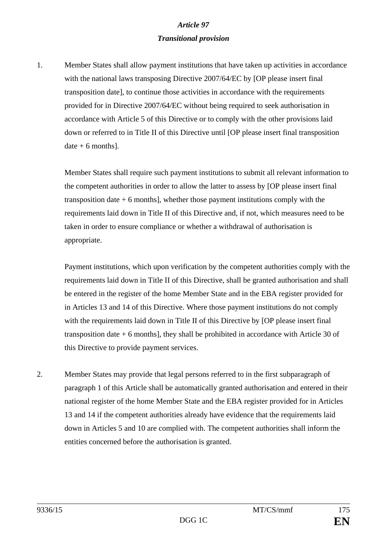# *Article 97 Transitional provision*

1. Member States shall allow payment institutions that have taken up activities in accordance with the national laws transposing Directive 2007/64/EC by [OP please insert final transposition date], to continue those activities in accordance with the requirements provided for in Directive 2007/64/EC without being required to seek authorisation in accordance with Article 5 of this Directive or to comply with the other provisions laid down or referred to in Title II of this Directive until [OP please insert final transposition  $date + 6 months$ ].

Member States shall require such payment institutions to submit all relevant information to the competent authorities in order to allow the latter to assess by [OP please insert final transposition date  $+ 6$  months], whether those payment institutions comply with the requirements laid down in Title II of this Directive and, if not, which measures need to be taken in order to ensure compliance or whether a withdrawal of authorisation is appropriate.

Payment institutions, which upon verification by the competent authorities comply with the requirements laid down in Title II of this Directive, shall be granted authorisation and shall be entered in the register of the home Member State and in the EBA register provided for in Articles 13 and 14 of this Directive. Where those payment institutions do not comply with the requirements laid down in Title II of this Directive by [OP please insert final transposition date  $+ 6$  months], they shall be prohibited in accordance with Article 30 of this Directive to provide payment services.

2. Member States may provide that legal persons referred to in the first subparagraph of paragraph 1 of this Article shall be automatically granted authorisation and entered in their national register of the home Member State and the EBA register provided for in Articles 13 and 14 if the competent authorities already have evidence that the requirements laid down in Articles 5 and 10 are complied with. The competent authorities shall inform the entities concerned before the authorisation is granted.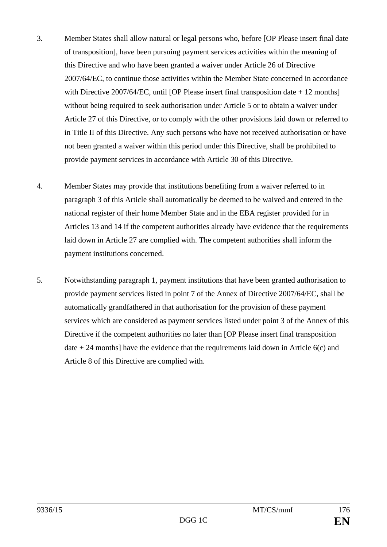- 3. Member States shall allow natural or legal persons who, before [OP Please insert final date of transposition], have been pursuing payment services activities within the meaning of this Directive and who have been granted a waiver under Article 26 of Directive 2007/64/EC, to continue those activities within the Member State concerned in accordance with Directive 2007/64/EC, until [OP Please insert final transposition date + 12 months] without being required to seek authorisation under Article 5 or to obtain a waiver under Article 27 of this Directive, or to comply with the other provisions laid down or referred to in Title II of this Directive. Any such persons who have not received authorisation or have not been granted a waiver within this period under this Directive, shall be prohibited to provide payment services in accordance with Article 30 of this Directive.
- 4. Member States may provide that institutions benefiting from a waiver referred to in paragraph 3 of this Article shall automatically be deemed to be waived and entered in the national register of their home Member State and in the EBA register provided for in Articles 13 and 14 if the competent authorities already have evidence that the requirements laid down in Article 27 are complied with. The competent authorities shall inform the payment institutions concerned.
- 5. Notwithstanding paragraph 1, payment institutions that have been granted authorisation to provide payment services listed in point 7 of the Annex of Directive 2007/64/EC, shall be automatically grandfathered in that authorisation for the provision of these payment services which are considered as payment services listed under point 3 of the Annex of this Directive if the competent authorities no later than [OP Please insert final transposition date  $+ 24$  months] have the evidence that the requirements laid down in Article 6(c) and Article 8 of this Directive are complied with.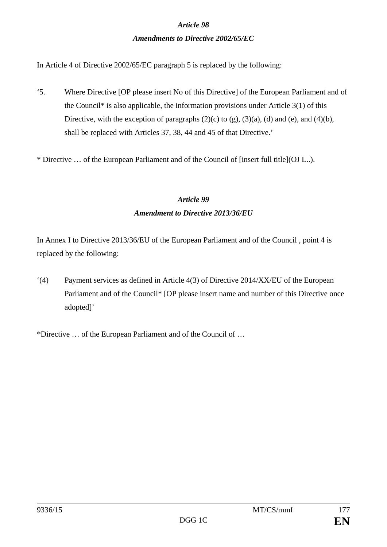### *Article 98*

### *Amendments to Directive 2002/65/EC*

In Article 4 of Directive 2002/65/EC paragraph 5 is replaced by the following:

'5. Where Directive [OP please insert No of this Directive] of the European Parliament and of the Council\* is also applicable, the information provisions under Article 3(1) of this Directive, with the exception of paragraphs  $(2)(c)$  to  $(g)$ ,  $(3)(a)$ ,  $(d)$  and  $(e)$ , and  $(4)(b)$ , shall be replaced with Articles 37, 38, 44 and 45 of that Directive.'

\* Directive … of the European Parliament and of the Council of [insert full title](OJ L..).

# *Article 99 Amendment to Directive 2013/36/EU*

In Annex I to Directive 2013/36/EU of the European Parliament and of the Council , point 4 is replaced by the following:

'(4) Payment services as defined in Article 4(3) of Directive 2014/XX/EU of the European Parliament and of the Council\* [OP please insert name and number of this Directive once adopted]'

\*Directive … of the European Parliament and of the Council of …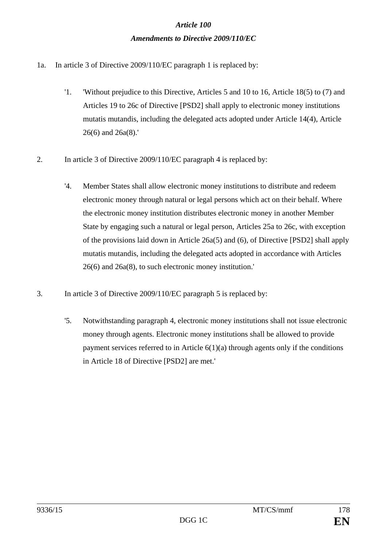# *Article 100 Amendments to Directive 2009/110/EC*

- 1a. In article 3 of Directive 2009/110/EC paragraph 1 is replaced by:
	- '1. 'Without prejudice to this Directive, Articles 5 and 10 to 16, Article 18(5) to (7) and Articles 19 to 26c of Directive [PSD2] shall apply to electronic money institutions mutatis mutandis, including the delegated acts adopted under Article 14(4), Article 26(6) and 26a(8).'
- 2. In article 3 of Directive 2009/110/EC paragraph 4 is replaced by:
	- '4. Member States shall allow electronic money institutions to distribute and redeem electronic money through natural or legal persons which act on their behalf. Where the electronic money institution distributes electronic money in another Member State by engaging such a natural or legal person, Articles 25a to 26c, with exception of the provisions laid down in Article 26a(5) and (6), of Directive [PSD2] shall apply mutatis mutandis, including the delegated acts adopted in accordance with Articles 26(6) and 26a(8), to such electronic money institution.'
- 3. In article 3 of Directive 2009/110/EC paragraph 5 is replaced by:
	- '5. Notwithstanding paragraph 4, electronic money institutions shall not issue electronic money through agents. Electronic money institutions shall be allowed to provide payment services referred to in Article  $6(1)(a)$  through agents only if the conditions in Article 18 of Directive [PSD2] are met.'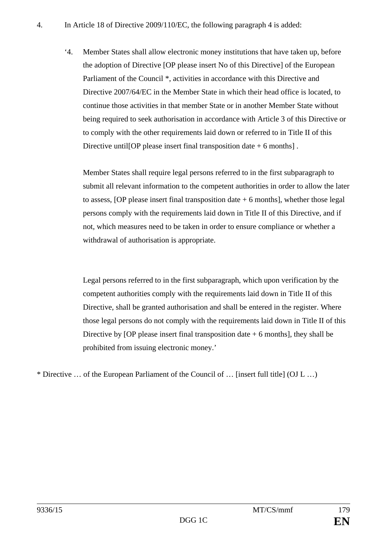'4. Member States shall allow electronic money institutions that have taken up, before the adoption of Directive [OP please insert No of this Directive] of the European Parliament of the Council \*, activities in accordance with this Directive and Directive 2007/64/EC in the Member State in which their head office is located, to continue those activities in that member State or in another Member State without being required to seek authorisation in accordance with Article 3 of this Directive or to comply with the other requirements laid down or referred to in Title II of this Directive untill OP please insert final transposition date  $+6$  months.

Member States shall require legal persons referred to in the first subparagraph to submit all relevant information to the competent authorities in order to allow the later to assess,  $[OP$  please insert final transposition date  $+ 6$  months], whether those legal persons comply with the requirements laid down in Title II of this Directive, and if not, which measures need to be taken in order to ensure compliance or whether a withdrawal of authorisation is appropriate.

Legal persons referred to in the first subparagraph, which upon verification by the competent authorities comply with the requirements laid down in Title II of this Directive, shall be granted authorisation and shall be entered in the register. Where those legal persons do not comply with the requirements laid down in Title II of this Directive by [OP please insert final transposition date  $+ 6$  months], they shall be prohibited from issuing electronic money.'

\* Directive … of the European Parliament of the Council of … [insert full title] (OJ L …)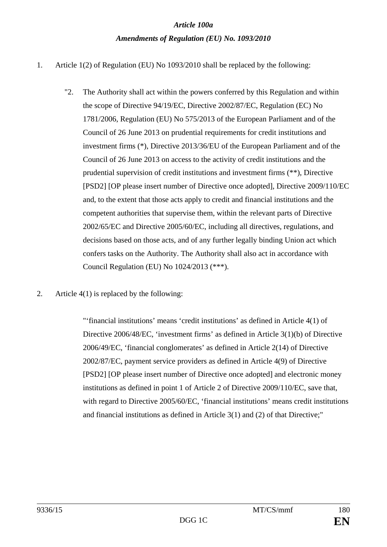# *Article 100a Amendments of Regulation (EU) No. 1093/2010*

- 1. Article 1(2) of Regulation (EU) No 1093/2010 shall be replaced by the following:
	- "2. The Authority shall act within the powers conferred by this Regulation and within the scope of Directive 94/19/EC, Directive 2002/87/EC, Regulation (EC) No 1781/2006, Regulation (EU) No 575/2013 of the European Parliament and of the Council of 26 June 2013 on prudential requirements for credit institutions and investment firms (\*), Directive 2013/36/EU of the European Parliament and of the Council of 26 June 2013 on access to the activity of credit institutions and the prudential supervision of credit institutions and investment firms (\*\*), Directive [PSD2] [OP please insert number of Directive once adopted], Directive 2009/110/EC and, to the extent that those acts apply to credit and financial institutions and the competent authorities that supervise them, within the relevant parts of Directive 2002/65/EC and Directive 2005/60/EC, including all directives, regulations, and decisions based on those acts, and of any further legally binding Union act which confers tasks on the Authority. The Authority shall also act in accordance with Council Regulation (EU) No 1024/2013 (\*\*\*).
- 2. Article 4(1) is replaced by the following:

"'financial institutions' means 'credit institutions' as defined in Article 4(1) of Directive 2006/48/EC, 'investment firms' as defined in Article 3(1)(b) of Directive 2006/49/EC, 'financial conglomerates' as defined in Article 2(14) of Directive 2002/87/EC, payment service providers as defined in Article 4(9) of Directive [PSD2] [OP please insert number of Directive once adopted] and electronic money institutions as defined in point 1 of Article 2 of Directive 2009/110/EC, save that, with regard to Directive 2005/60/EC, 'financial institutions' means credit institutions and financial institutions as defined in Article 3(1) and (2) of that Directive;"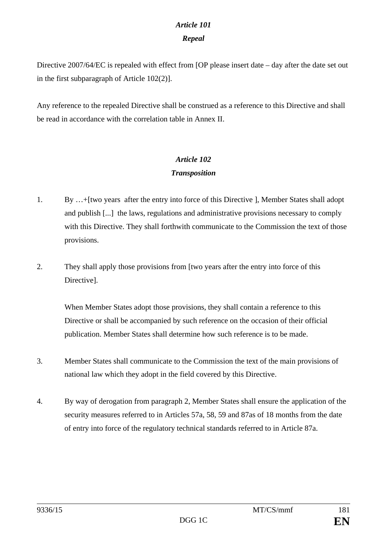# *Article 101*

## *Repeal*

Directive 2007/64/EC is repealed with effect from [OP please insert date – day after the date set out in the first subparagraph of Article 102(2)].

Any reference to the repealed Directive shall be construed as a reference to this Directive and shall be read in accordance with the correlation table in Annex II.

## *Article 102 Transposition*

- 1. By …+[two years after the entry into force of this Directive ], Member States shall adopt and publish [...] the laws, regulations and administrative provisions necessary to comply with this Directive. They shall forthwith communicate to the Commission the text of those provisions.
- 2. They shall apply those provisions from [two years after the entry into force of this Directive].

When Member States adopt those provisions, they shall contain a reference to this Directive or shall be accompanied by such reference on the occasion of their official publication. Member States shall determine how such reference is to be made.

- 3. Member States shall communicate to the Commission the text of the main provisions of national law which they adopt in the field covered by this Directive.
- 4. By way of derogation from paragraph 2, Member States shall ensure the application of the security measures referred to in Articles 57a, 58, 59 and 87as of 18 months from the date of entry into force of the regulatory technical standards referred to in Article 87a.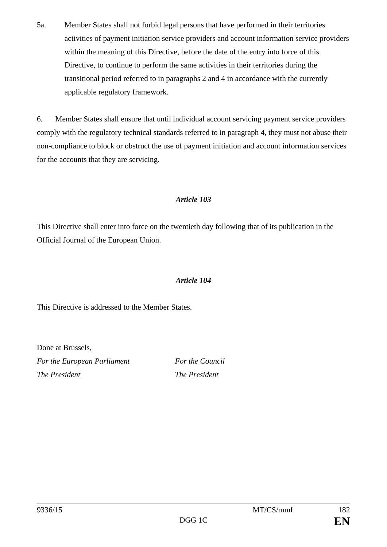5a. Member States shall not forbid legal persons that have performed in their territories activities of payment initiation service providers and account information service providers within the meaning of this Directive, before the date of the entry into force of this Directive, to continue to perform the same activities in their territories during the transitional period referred to in paragraphs 2 and 4 in accordance with the currently applicable regulatory framework.

6. Member States shall ensure that until individual account servicing payment service providers comply with the regulatory technical standards referred to in paragraph 4, they must not abuse their non-compliance to block or obstruct the use of payment initiation and account information services for the accounts that they are servicing.

## *Article 103*

This Directive shall enter into force on the twentieth day following that of its publication in the Official Journal of the European Union.

## *Article 104*

This Directive is addressed to the Member States.

Done at Brussels, *For the European Parliament For the Council The President The President*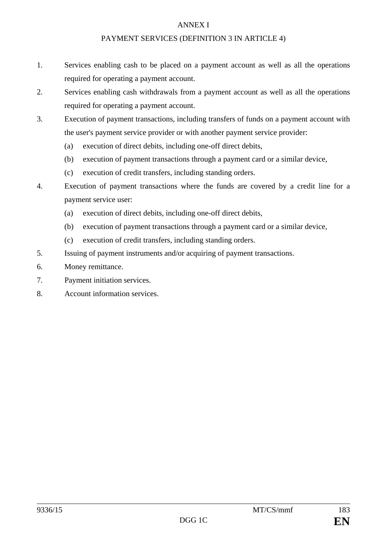#### ANNEX I

## PAYMENT SERVICES (DEFINITION 3 IN ARTICLE 4)

- 1. Services enabling cash to be placed on a payment account as well as all the operations required for operating a payment account.
- 2. Services enabling cash withdrawals from a payment account as well as all the operations required for operating a payment account.
- 3. Execution of payment transactions, including transfers of funds on a payment account with the user's payment service provider or with another payment service provider:
	- (a) execution of direct debits, including one-off direct debits,
	- (b) execution of payment transactions through a payment card or a similar device,
	- (c) execution of credit transfers, including standing orders.
- 4. Execution of payment transactions where the funds are covered by a credit line for a payment service user:
	- (a) execution of direct debits, including one-off direct debits,
	- (b) execution of payment transactions through a payment card or a similar device,
	- (c) execution of credit transfers, including standing orders.
- 5. Issuing of payment instruments and/or acquiring of payment transactions.
- 6. Money remittance.
- 7. Payment initiation services.
- 8. Account information services.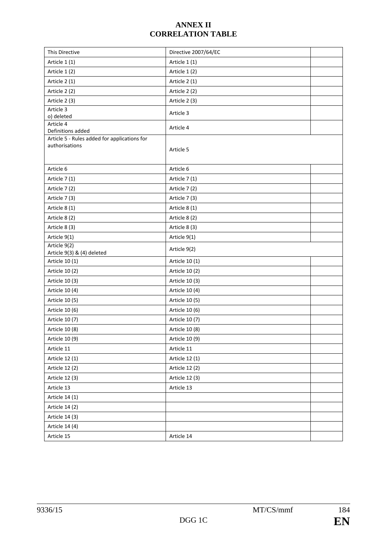## **ANNEX II CORRELATION TABLE**

| This Directive                                                 | Directive 2007/64/EC |  |
|----------------------------------------------------------------|----------------------|--|
| Article 1(1)                                                   | Article 1 (1)        |  |
| Article 1 (2)                                                  | Article 1 (2)        |  |
| Article 2 (1)                                                  | Article 2 (1)        |  |
| Article 2 (2)                                                  | Article 2 (2)        |  |
| Article 2 (3)                                                  | Article 2 (3)        |  |
| Article 3                                                      | Article 3            |  |
| o) deleted                                                     |                      |  |
| Article 4<br>Definitions added                                 | Article 4            |  |
| Article 5 - Rules added for applications for<br>authorisations | Article 5            |  |
| Article 6                                                      | Article 6            |  |
| Article 7 (1)                                                  | Article 7 (1)        |  |
| Article 7 (2)                                                  | Article 7 (2)        |  |
| Article 7 (3)                                                  | Article 7 (3)        |  |
| Article 8 (1)                                                  | Article 8 (1)        |  |
| Article 8 (2)                                                  | Article 8 (2)        |  |
| Article 8 (3)                                                  | Article 8 (3)        |  |
| Article 9(1)                                                   | Article 9(1)         |  |
| Article 9(2)<br>Article 9(3) & (4) deleted                     | Article 9(2)         |  |
| Article 10 (1)                                                 | Article 10 (1)       |  |
| Article 10 (2)                                                 | Article 10 (2)       |  |
| Article 10 (3)                                                 | Article 10 (3)       |  |
| Article 10 (4)                                                 | Article 10 (4)       |  |
| Article 10 (5)                                                 | Article 10 (5)       |  |
| Article 10 (6)                                                 | Article 10 (6)       |  |
| Article 10 (7)                                                 | Article 10 (7)       |  |
| Article 10 (8)                                                 | Article 10 (8)       |  |
| Article 10 (9)                                                 | Article 10 (9)       |  |
| Article 11                                                     | Article 11           |  |
| Article 12 (1)                                                 | Article 12 (1)       |  |
| Article 12 (2)                                                 | Article 12 (2)       |  |
| Article 12 (3)                                                 | Article 12 (3)       |  |
| Article 13                                                     | Article 13           |  |
| Article 14 (1)                                                 |                      |  |
| Article 14 (2)                                                 |                      |  |
| Article 14 (3)                                                 |                      |  |
| Article 14 (4)                                                 |                      |  |
| Article 15                                                     | Article 14           |  |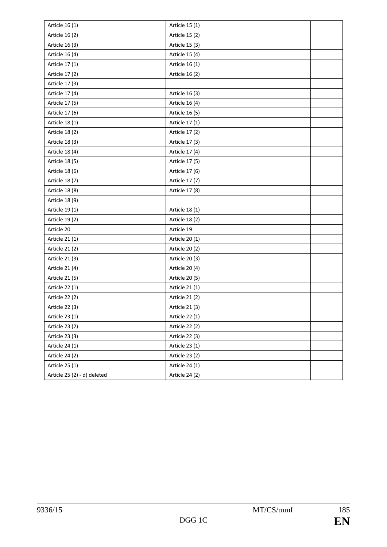| Article 16 (1)              | Article 15 (1) |  |
|-----------------------------|----------------|--|
| Article 16 (2)              | Article 15 (2) |  |
| Article 16 (3)              | Article 15 (3) |  |
| Article 16 (4)              | Article 15 (4) |  |
| Article 17 (1)              | Article 16 (1) |  |
| Article 17 (2)              | Article 16 (2) |  |
| Article 17 (3)              |                |  |
| Article 17 (4)              | Article 16 (3) |  |
| Article 17 (5)              | Article 16 (4) |  |
| Article 17 (6)              | Article 16 (5) |  |
| Article 18 (1)              | Article 17 (1) |  |
| Article 18 (2)              | Article 17 (2) |  |
| Article 18 (3)              | Article 17 (3) |  |
| Article 18 (4)              | Article 17 (4) |  |
| Article 18 (5)              | Article 17 (5) |  |
| Article 18 (6)              | Article 17 (6) |  |
| Article 18 (7)              | Article 17 (7) |  |
| Article 18 (8)              | Article 17 (8) |  |
| Article 18 (9)              |                |  |
| Article 19 (1)              | Article 18 (1) |  |
| Article 19 (2)              | Article 18 (2) |  |
| Article 20                  | Article 19     |  |
| Article 21 (1)              | Article 20 (1) |  |
| Article 21 (2)              | Article 20 (2) |  |
| Article 21 (3)              | Article 20 (3) |  |
| Article 21 (4)              | Article 20 (4) |  |
| Article 21 (5)              | Article 20 (5) |  |
| Article 22 (1)              | Article 21 (1) |  |
| Article 22 (2)              | Article 21 (2) |  |
| Article 22 (3)              | Article 21 (3) |  |
| Article 23 (1)              | Article 22 (1) |  |
| Article 23 (2)              | Article 22 (2) |  |
| Article 23 (3)              | Article 22 (3) |  |
| Article 24 (1)              | Article 23 (1) |  |
| Article 24 (2)              | Article 23 (2) |  |
| Article 25 (1)              | Article 24 (1) |  |
| Article 25 (2) - d) deleted | Article 24 (2) |  |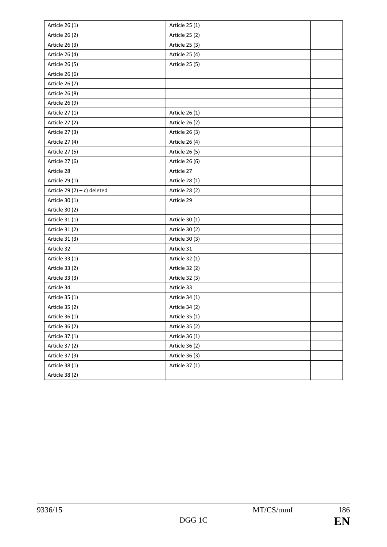| Article 26 (1)                 | Article 25 (1)        |  |
|--------------------------------|-----------------------|--|
| Article 26 (2)                 | Article 25 (2)        |  |
| Article 26 (3)                 | Article 25 (3)        |  |
| Article 26 (4)                 | Article 25 (4)        |  |
| Article 26 (5)                 | Article 25 (5)        |  |
| Article 26 (6)                 |                       |  |
| Article 26 (7)                 |                       |  |
| Article 26 (8)                 |                       |  |
| Article 26 (9)                 |                       |  |
| Article 27 (1)                 | Article 26 (1)        |  |
| Article 27 (2)                 | Article 26 (2)        |  |
| Article 27 (3)                 | Article 26 (3)        |  |
| Article 27 (4)                 | Article 26 (4)        |  |
| Article 27 (5)                 | Article 26 (5)        |  |
| Article 27 (6)                 | Article 26 (6)        |  |
| Article 28                     | Article 27            |  |
| Article 29 (1)                 | Article 28 (1)        |  |
| Article 29 $(2) - c$ ) deleted | <b>Article 28 (2)</b> |  |
| Article 30 (1)                 | Article 29            |  |
| Article 30 (2)                 |                       |  |
| Article 31 (1)                 | Article 30 (1)        |  |
| Article 31 (2)                 | Article 30 (2)        |  |
| Article 31 (3)                 | Article 30 (3)        |  |
| Article 32                     | Article 31            |  |
| Article 33 (1)                 | Article 32 (1)        |  |
| Article 33 (2)                 | Article 32 (2)        |  |
| Article 33 (3)                 | Article 32 (3)        |  |
| Article 34                     | Article 33            |  |
| Article 35 (1)                 | Article 34 (1)        |  |
| Article 35 (2)                 | Article 34 (2)        |  |
| Article 36 (1)                 | Article 35 (1)        |  |
| Article 36 (2)                 | Article 35 (2)        |  |
| Article 37 (1)                 | Article 36 (1)        |  |
| Article 37 (2)                 | Article 36 (2)        |  |
| Article 37 (3)                 | Article 36 (3)        |  |
| Article 38 (1)                 | Article 37 (1)        |  |
| Article 38 (2)                 |                       |  |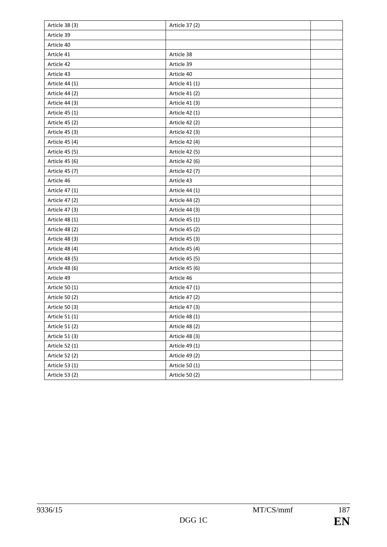| Article 38 (3) | Article 37 (2) |  |
|----------------|----------------|--|
| Article 39     |                |  |
| Article 40     |                |  |
| Article 41     | Article 38     |  |
| Article 42     | Article 39     |  |
| Article 43     | Article 40     |  |
| Article 44 (1) | Article 41 (1) |  |
| Article 44 (2) | Article 41 (2) |  |
| Article 44 (3) | Article 41 (3) |  |
| Article 45 (1) | Article 42 (1) |  |
| Article 45 (2) | Article 42 (2) |  |
| Article 45 (3) | Article 42 (3) |  |
| Article 45 (4) | Article 42 (4) |  |
| Article 45 (5) | Article 42 (5) |  |
| Article 45 (6) | Article 42 (6) |  |
| Article 45 (7) | Article 42 (7) |  |
| Article 46     | Article 43     |  |
| Article 47 (1) | Article 44 (1) |  |
| Article 47 (2) | Article 44 (2) |  |
| Article 47 (3) | Article 44 (3) |  |
| Article 48 (1) | Article 45 (1) |  |
| Article 48 (2) | Article 45 (2) |  |
| Article 48 (3) | Article 45 (3) |  |
| Article 48 (4) | Article 45 (4) |  |
| Article 48 (5) | Article 45 (5) |  |
| Article 48 (6) | Article 45 (6) |  |
| Article 49     | Article 46     |  |
| Article 50 (1) | Article 47 (1) |  |
| Article 50 (2) | Article 47 (2) |  |
| Article 50 (3) | Article 47 (3) |  |
| Article 51 (1) | Article 48 (1) |  |
| Article 51 (2) | Article 48 (2) |  |
| Article 51 (3) | Article 48 (3) |  |
| Article 52 (1) | Article 49 (1) |  |
| Article 52 (2) | Article 49 (2) |  |
| Article 53 (1) | Article 50 (1) |  |
| Article 53 (2) | Article 50 (2) |  |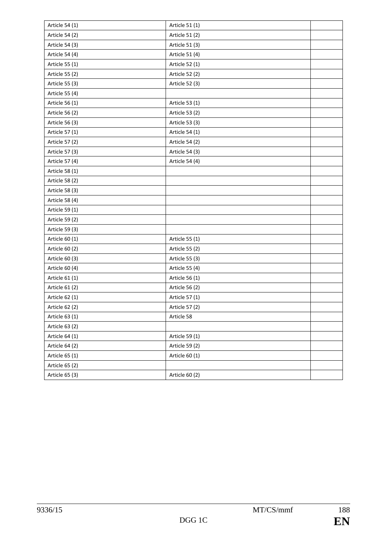| Article 54 (1) | Article 51 (1) |  |
|----------------|----------------|--|
| Article 54 (2) | Article 51 (2) |  |
| Article 54 (3) | Article 51 (3) |  |
| Article 54 (4) | Article 51 (4) |  |
| Article 55 (1) | Article 52 (1) |  |
| Article 55 (2) | Article 52 (2) |  |
| Article 55 (3) | Article 52 (3) |  |
| Article 55 (4) |                |  |
| Article 56 (1) | Article 53 (1) |  |
| Article 56 (2) | Article 53 (2) |  |
| Article 56 (3) | Article 53 (3) |  |
| Article 57 (1) | Article 54 (1) |  |
| Article 57 (2) | Article 54 (2) |  |
| Article 57 (3) | Article 54 (3) |  |
| Article 57 (4) | Article 54 (4) |  |
| Article 58 (1) |                |  |
| Article 58 (2) |                |  |
| Article 58 (3) |                |  |
| Article 58 (4) |                |  |
| Article 59 (1) |                |  |
| Article 59 (2) |                |  |
| Article 59 (3) |                |  |
| Article 60 (1) | Article 55 (1) |  |
| Article 60 (2) | Article 55 (2) |  |
| Article 60 (3) | Article 55 (3) |  |
| Article 60 (4) | Article 55 (4) |  |
| Article 61 (1) | Article 56 (1) |  |
| Article 61 (2) | Article 56 (2) |  |
| Article 62 (1) | Article 57 (1) |  |
| Article 62 (2) | Article 57 (2) |  |
| Article 63 (1) | Article 58     |  |
| Article 63 (2) |                |  |
| Article 64 (1) | Article 59 (1) |  |
| Article 64 (2) | Article 59 (2) |  |
| Article 65 (1) | Article 60 (1) |  |
| Article 65 (2) |                |  |
| Article 65 (3) | Article 60 (2) |  |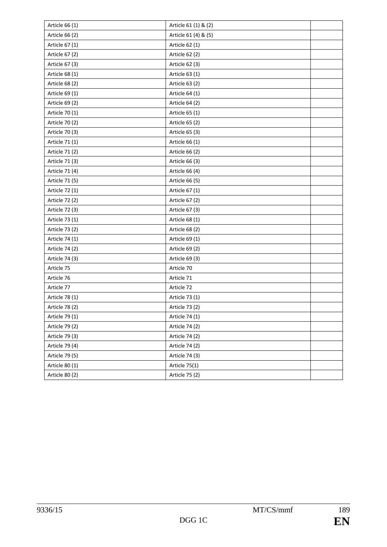| Article 66 (1) | Article 61 (1) & (2) |  |
|----------------|----------------------|--|
| Article 66 (2) | Article 61 (4) & (5) |  |
| Article 67 (1) | Article 62 (1)       |  |
| Article 67 (2) | Article 62 (2)       |  |
| Article 67 (3) | Article 62 (3)       |  |
| Article 68 (1) | Article 63 (1)       |  |
| Article 68 (2) | Article 63 (2)       |  |
| Article 69 (1) | Article 64 (1)       |  |
| Article 69 (2) | Article 64 (2)       |  |
| Article 70 (1) | Article 65 (1)       |  |
| Article 70 (2) | Article 65 (2)       |  |
| Article 70 (3) | Article 65 (3)       |  |
| Article 71 (1) | Article 66 (1)       |  |
| Article 71 (2) | Article 66 (2)       |  |
| Article 71 (3) | Article 66 (3)       |  |
| Article 71 (4) | Article 66 (4)       |  |
| Article 71 (5) | Article 66 (5)       |  |
| Article 72 (1) | Article 67 (1)       |  |
| Article 72 (2) | Article 67 (2)       |  |
| Article 72 (3) | Article 67 (3)       |  |
| Article 73 (1) | Article 68 (1)       |  |
| Article 73 (2) | Article 68 (2)       |  |
| Article 74 (1) | Article 69 (1)       |  |
| Article 74 (2) | Article 69 (2)       |  |
| Article 74 (3) | Article 69 (3)       |  |
| Article 75     | Article 70           |  |
| Article 76     | Article 71           |  |
| Article 77     | Article 72           |  |
| Article 78 (1) | Article 73 (1)       |  |
| Article 78 (2) | Article 73 (2)       |  |
| Article 79 (1) | Article 74 (1)       |  |
| Article 79 (2) | Article 74 (2)       |  |
| Article 79 (3) | Article 74 (2)       |  |
| Article 79 (4) | Article 74 (2)       |  |
| Article 79 (5) | Article 74 (3)       |  |
| Article 80 (1) | Article 75(1)        |  |
| Article 80 (2) | Article 75 (2)       |  |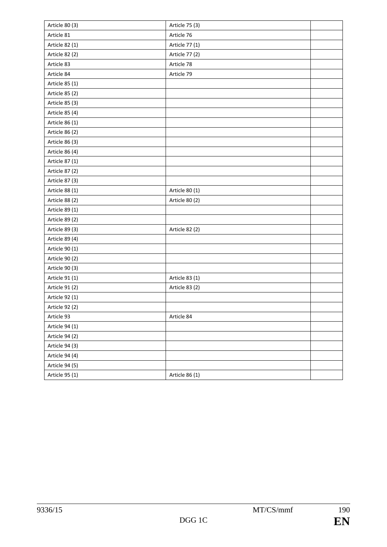| Article 80 (3) | Article 75 (3) |  |
|----------------|----------------|--|
| Article 81     | Article 76     |  |
| Article 82 (1) | Article 77 (1) |  |
| Article 82 (2) | Article 77 (2) |  |
| Article 83     | Article 78     |  |
| Article 84     | Article 79     |  |
| Article 85 (1) |                |  |
| Article 85 (2) |                |  |
| Article 85 (3) |                |  |
| Article 85 (4) |                |  |
| Article 86 (1) |                |  |
| Article 86 (2) |                |  |
| Article 86 (3) |                |  |
| Article 86 (4) |                |  |
| Article 87 (1) |                |  |
| Article 87 (2) |                |  |
| Article 87 (3) |                |  |
| Article 88 (1) | Article 80 (1) |  |
| Article 88 (2) | Article 80 (2) |  |
| Article 89 (1) |                |  |
| Article 89 (2) |                |  |
| Article 89 (3) | Article 82 (2) |  |
| Article 89 (4) |                |  |
| Article 90 (1) |                |  |
| Article 90 (2) |                |  |
| Article 90 (3) |                |  |
| Article 91 (1) | Article 83 (1) |  |
| Article 91 (2) | Article 83 (2) |  |
| Article 92 (1) |                |  |
| Article 92 (2) |                |  |
| Article 93     | Article 84     |  |
| Article 94 (1) |                |  |
| Article 94 (2) |                |  |
| Article 94 (3) |                |  |
| Article 94 (4) |                |  |
| Article 94 (5) |                |  |
| Article 95 (1) | Article 86 (1) |  |